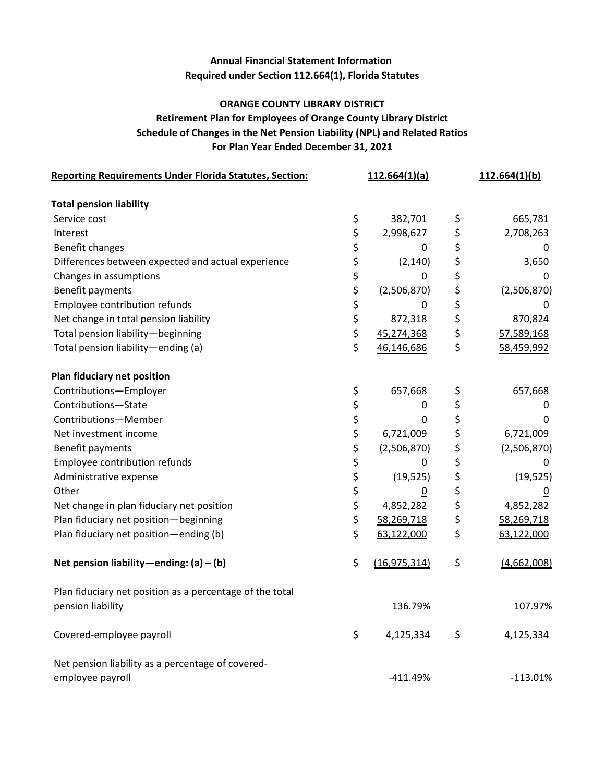## **Annual Financial Statement Information Required under Section 112.664(1), Florida Statutes**

#### **ORANGE COUNTY LIBRARY DISTRICT**

### **For Plan Year Ended December 31, 2021 Schedule of Changes in the Net Pension Liability (NPL) and Related Ratios Retirement Plan for Employees of Orange County Library District**

| <b>Reporting Requirements Under Florida Statutes, Section:</b> |          | 112.664(1)(a)   | 112.664(1)(b)        |
|----------------------------------------------------------------|----------|-----------------|----------------------|
| <b>Total pension liability</b>                                 |          |                 |                      |
| Service cost                                                   | \$       | 382,701         | \$<br>665,781        |
| Interest                                                       | \$       | 2,998,627       | \$<br>2,708,263      |
| Benefit changes                                                | \$       | 0               | \$<br>0              |
| Differences between expected and actual experience             |          | (2, 140)        | \$<br>3,650          |
| Changes in assumptions                                         |          | 0               | \$<br>0              |
| Benefit payments                                               | ややない     | (2,506,870)     | \$<br>(2,506,870)    |
| Employee contribution refunds                                  |          | $\overline{0}$  | \$                   |
| Net change in total pension liability                          |          | 872,318         | \$<br>870,824        |
| Total pension liability-beginning                              | \$       | 45,274,368      | \$<br>57,589,168     |
| Total pension liability-ending (a)                             | \$       | 46,146,686      | \$<br>58,459,992     |
| Plan fiduciary net position                                    |          |                 |                      |
| Contributions-Employer                                         | \$       | 657,668         | \$<br>657,668        |
| Contributions-State                                            | \$       | 0               | \$<br>0              |
| Contributions-Member                                           | \$       | 0               | \$<br>0              |
| Net investment income                                          | \$       | 6,721,009       | \$<br>6,721,009      |
| Benefit payments                                               | \$       | (2,506,870)     | \$<br>(2,506,870)    |
| Employee contribution refunds                                  | \$<br>\$ | 0               | \$<br>0              |
| Administrative expense                                         |          | (19, 525)       | \$<br>(19, 525)      |
| Other                                                          | \$       | $\underline{0}$ | \$<br>$\overline{0}$ |
| Net change in plan fiduciary net position                      | \$       | 4,852,282       | \$<br>4,852,282      |
| Plan fiduciary net position-beginning                          | \$       | 58,269,718      | \$<br>58,269,718     |
| Plan fiduciary net position-ending (b)                         | \$       | 63,122,000      | \$<br>63,122,000     |
| Net pension liability-ending: $(a) - (b)$                      | \$       | (16, 975, 314)  | \$<br>(4,662,008)    |
| Plan fiduciary net position as a percentage of the total       |          |                 |                      |
| pension liability                                              |          | 136.79%         | 107.97%              |
| Covered-employee payroll                                       | \$       | 4,125,334       | \$<br>4,125,334      |
| Net pension liability as a percentage of covered-              |          |                 |                      |
| employee payroll                                               |          | $-411.49%$      | $-113.01%$           |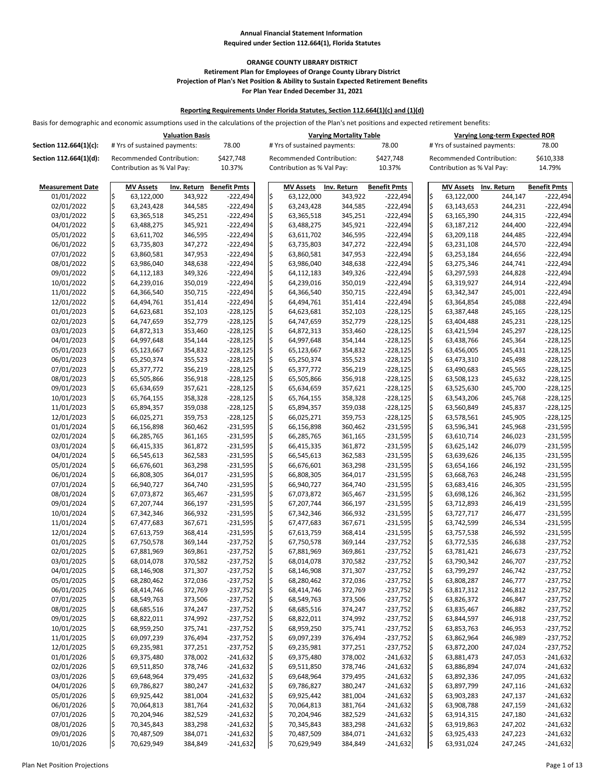Basis for demographic and economic assumptions used in the calculations of the projection of the Plan's net positions and expected retirement benefits:

|                          | <b>Valuation Basis</b> |                                                                |                    |                          |     |                                                         | <b>Varying Mortality Table</b> |                          |      |                                                                | <b>Varying Long-term Expected ROR</b> |                          |
|--------------------------|------------------------|----------------------------------------------------------------|--------------------|--------------------------|-----|---------------------------------------------------------|--------------------------------|--------------------------|------|----------------------------------------------------------------|---------------------------------------|--------------------------|
| Section 112.664(1)(c):   |                        | # Yrs of sustained payments:                                   |                    | 78.00                    |     | # Yrs of sustained payments:                            |                                | 78.00                    |      | # Yrs of sustained payments:                                   |                                       | 78.00                    |
| Section 112.664(1)(d):   |                        | <b>Recommended Contribution:</b><br>Contribution as % Val Pay: |                    | \$427,748<br>10.37%      |     | Recommended Contribution:<br>Contribution as % Val Pay: |                                | \$427,748<br>10.37%      |      | <b>Recommended Contribution:</b><br>Contribution as % Val Pay: |                                       | \$610,338<br>14.79%      |
| <b>Measurement Date</b>  |                        | <b>MV Assets</b>                                               | Inv. Return        | <b>Benefit Pmts</b>      |     | <b>MV Assets</b>                                        | Inv. Return                    | <b>Benefit Pmts</b>      |      | <b>MV Assets</b>                                               | Inv. Return                           | <b>Benefit Pmts</b>      |
| 01/01/2022               | \$                     | 63,122,000                                                     | 343,922            | $-222,494$               | l\$ | 63,122,000                                              | 343,922                        | $-222,494$               | \$   | 63,122,000                                                     | 244,147                               | $-222,494$               |
| 02/01/2022               |                        | 63,243,428                                                     | 344,585            | $-222,494$               | l\$ | 63,243,428                                              | 344,585                        | $-222,494$               | I\$  | 63,143,653                                                     | 244,231                               | $-222,494$               |
| 03/01/2022               |                        | 63,365,518                                                     | 345,251            | $-222,494$               | l\$ | 63,365,518                                              | 345,251                        | $-222,494$               | l\$  | 63,165,390                                                     | 244,315                               | $-222,494$               |
| 04/01/2022               | \$                     | 63,488,275                                                     | 345,921            | $-222,494$               |     | 63,488,275                                              | 345,921                        | $-222,494$               |      | 63,187,212                                                     | 244,400                               | $-222,494$               |
| 05/01/2022               |                        | 63,611,702                                                     | 346,595            | $-222,494$               |     | 63,611,702                                              | 346,595                        | $-222,494$               |      | 63,209,118                                                     | 244,485                               | $-222,494$               |
| 06/01/2022               |                        | 63,735,803                                                     | 347,272            | $-222,494$               |     | 63,735,803                                              | 347,272                        | $-222,494$               |      | 63,231,108                                                     | 244,570                               | $-222,494$               |
| 07/01/2022               | S                      | 63,860,581                                                     | 347,953            | $-222,494$               |     | 63,860,581                                              | 347,953                        | $-222,494$               |      | 63,253,184                                                     | 244,656                               | $-222,494$               |
| 08/01/2022               |                        | 63,986,040                                                     | 348,638            | $-222,494$               |     | 63,986,040                                              | 348,638                        | $-222,494$               | l\$  | 63,275,346                                                     | 244,741                               | $-222,494$               |
| 09/01/2022               |                        | 64,112,183                                                     | 349,326            | $-222,494$               |     | 64,112,183                                              | 349,326                        | $-222,494$               |      | 63,297,593                                                     | 244,828                               | $-222,494$               |
| 10/01/2022               | \$                     | 64,239,016                                                     | 350,019            | $-222,494$               |     | 64,239,016                                              | 350,019                        | $-222,494$               |      | 63,319,927                                                     | 244,914                               | $-222,494$               |
| 11/01/2022               |                        | 64,366,540                                                     | 350,715            | $-222,494$               |     | 64,366,540                                              | 350,715                        | $-222,494$               |      | 63,342,347                                                     | 245,001                               | $-222,494$               |
| 12/01/2022               |                        | 64,494,761                                                     | 351,414            | $-222,494$               |     | 64,494,761                                              | 351,414                        | $-222,494$               |      | 63,364,854                                                     | 245,088                               | $-222,494$               |
| 01/01/2023               |                        | 64,623,681                                                     | 352,103            | $-228,125$               |     | 64,623,681                                              | 352,103                        | $-228,125$               | l\$  | 63,387,448                                                     | 245,165                               | $-228,125$               |
| 02/01/2023               |                        | 64,747,659                                                     | 352,779            | $-228,125$               |     | 64,747,659                                              | 352,779                        | $-228,125$               |      | 63,404,488                                                     | 245,231                               | $-228,125$               |
| 03/01/2023               | \$                     | 64,872,313                                                     | 353,460            | $-228,125$               |     | 64,872,313                                              | 353,460                        | $-228,125$               |      | 63,421,594                                                     | 245,297                               | $-228,125$               |
| 04/01/2023               |                        | 64,997,648                                                     | 354,144            | $-228,125$               |     | 64,997,648                                              | 354,144                        | $-228,125$               |      | 63,438,766                                                     | 245,364                               | $-228,125$               |
| 05/01/2023               |                        | 65,123,667                                                     | 354,832            | $-228,125$               |     | 65,123,667                                              | 354,832                        | $-228,125$               |      | 63,456,005                                                     | 245,431                               | $-228,125$               |
| 06/01/2023               |                        | 65,250,374                                                     | 355,523            | $-228,125$               |     | 65,250,374                                              | 355,523                        | $-228,125$               |      | 63,473,310                                                     | 245,498                               | $-228,125$               |
| 07/01/2023               | \$                     | 65,377,772                                                     | 356,219            | $-228,125$               |     | 65,377,772                                              | 356,219                        | $-228,125$               |      | 63,490,683                                                     | 245,565                               | $-228,125$               |
| 08/01/2023               |                        | 65,505,866                                                     | 356,918            | $-228,125$               |     | 65,505,866                                              | 356,918                        | $-228,125$               |      | 63,508,123                                                     | 245,632                               | $-228,125$               |
| 09/01/2023               |                        | 65,634,659                                                     | 357,621            | $-228,125$               |     | 65,634,659                                              | 357,621                        | $-228,125$               | l\$  | 63,525,630                                                     | 245,700                               | $-228,125$               |
| 10/01/2023<br>11/01/2023 |                        | 65,764,155<br>65,894,357                                       | 358,328<br>359,038 | $-228,125$<br>$-228,125$ |     | 65,764,155<br>65,894,357                                | 358,328<br>359,038             | $-228,125$<br>$-228,125$ |      | 63,543,206<br>63,560,849                                       | 245,768<br>245,837                    | $-228,125$<br>$-228,125$ |
| 12/01/2023               |                        | 66,025,271                                                     | 359,753            | $-228,125$               |     | 66,025,271                                              | 359,753                        | $-228,125$               |      | 63,578,561                                                     | 245,905                               | $-228,125$               |
| 01/01/2024               |                        | 66,156,898                                                     | 360,462            | $-231,595$               |     | 66,156,898                                              | 360,462                        | $-231,595$               |      | 63,596,341                                                     | 245,968                               | $-231,595$               |
| 02/01/2024               |                        | 66,285,765                                                     | 361,165            | $-231,595$               | l\$ | 66,285,765                                              | 361,165                        | $-231,595$               | l\$  | 63,610,714                                                     | 246,023                               | $-231,595$               |
| 03/01/2024               |                        | 66,415,335                                                     | 361,872            | $-231,595$               | l\$ | 66,415,335                                              | 361,872                        | $-231,595$               |      | 63,625,142                                                     | 246,079                               | $-231,595$               |
| 04/01/2024               |                        | 66,545,613                                                     | 362,583            | $-231,595$               |     | 66,545,613                                              | 362,583                        | $-231,595$               |      | 63,639,626                                                     | 246,135                               | $-231,595$               |
| 05/01/2024               |                        | 66,676,601                                                     | 363,298            | $-231,595$               |     | 66,676,601                                              | 363,298                        | $-231,595$               |      | 63,654,166                                                     | 246,192                               | $-231,595$               |
| 06/01/2024               |                        | 66,808,305                                                     | 364,017            | $-231,595$               |     | 66,808,305                                              | 364,017                        | $-231,595$               |      | 63,668,763                                                     | 246,248                               | $-231,595$               |
| 07/01/2024               |                        | 66,940,727                                                     | 364,740            | $-231,595$               |     | 66,940,727                                              | 364,740                        | $-231,595$               |      | 63,683,416                                                     | 246,305                               | $-231,595$               |
| 08/01/2024               |                        | 67,073,872                                                     | 365,467            | $-231,595$               |     | 67,073,872                                              | 365,467                        | $-231,595$               |      | 63,698,126                                                     | 246,362                               | $-231,595$               |
| 09/01/2024               |                        | 67,207,744                                                     | 366,197            | $-231,595$               |     | 67,207,744                                              | 366,197                        | $-231,595$               |      | 63,712,893                                                     | 246,419                               | $-231,595$               |
| 10/01/2024               |                        | 67,342,346                                                     | 366,932            | $-231,595$               |     | 67,342,346                                              | 366,932                        | $-231,595$               |      | 63,727,717                                                     | 246,477                               | $-231,595$               |
| 11/01/2024               |                        | 67,477,683                                                     | 367,671            | $-231,595$               |     | 67,477,683                                              | 367,671                        | $-231,595$               |      | 63,742,599                                                     | 246,534                               | $-231,595$               |
| 12/01/2024               |                        | 67,613,759                                                     | 368,414            | $-231,595$               |     | 67,613,759                                              | 368,414                        | $-231,595$               |      | 63,757,538                                                     | 246,592                               | $-231,595$               |
| 01/01/2025               |                        | 67,750,578                                                     | 369,144            | $-237,752$               |     | 67,750,578                                              | 369,144                        | $-237,752$               |      | 63,772,535                                                     | 246,638                               | $-237,752$               |
| 02/01/2025               |                        | 67,881,969                                                     | 369,861            | $-237,752$               |     | 67,881,969                                              | 369,861                        | $-237,752$               |      | 63,781,421                                                     | 246,673                               | $-237,752$               |
| 03/01/2025               |                        | 68,014,078                                                     | 370,582            | $-237,752$               |     | 68,014,078                                              | 370,582                        | $-237,752$               |      | 63,790,342                                                     | 246,707                               | $-237,752$               |
| 04/01/2025<br>05/01/2025 |                        | 68,146,908                                                     | 371,307<br>372,036 | $-237,752$<br>$-237,752$ |     | 68,146,908                                              | 371,307<br>372,036             | $-237,752$<br>$-237,752$ |      | 63,799,297                                                     | 246,742<br>246,777                    | $-237,752$               |
| 06/01/2025               |                        | 68,280,462<br>68,414,746                                       | 372,769            | $-237,752$               |     | 68,280,462<br>68,414,746                                | 372,769                        | $-237,752$               |      | 63,808,287<br>63,817,312                                       | 246,812                               | $-237,752$<br>$-237,752$ |
| 07/01/2025               |                        | 68,549,763                                                     | 373,506            | $-237,752$               |     | 68,549,763                                              | 373,506                        | $-237,752$               |      | 63,826,372                                                     | 246,847                               | $-237,752$               |
| 08/01/2025               |                        | 68,685,516                                                     | 374,247            | $-237,752$               |     | 68,685,516                                              | 374,247                        | $-237,752$               |      | 63,835,467                                                     | 246,882                               | $-237,752$               |
| 09/01/2025               |                        | 68,822,011                                                     | 374,992            | $-237,752$               |     | 68,822,011                                              | 374,992                        | $-237,752$               |      | 63,844,597                                                     | 246,918                               | $-237,752$               |
| 10/01/2025               |                        | 68,959,250                                                     | 375,741            | $-237,752$               |     | 68,959,250                                              | 375,741                        | $-237,752$               |      | 63,853,763                                                     | 246,953                               | $-237,752$               |
| 11/01/2025               |                        | 69,097,239                                                     | 376,494            | $-237,752$               |     | 69,097,239                                              | 376,494                        | $-237,752$               |      | 63,862,964                                                     | 246,989                               | $-237,752$               |
| 12/01/2025               |                        | 69,235,981                                                     | 377,251            | $-237,752$               |     | 69,235,981                                              | 377,251                        | $-237,752$               |      | 63,872,200                                                     | 247,024                               | $-237,752$               |
| 01/01/2026               |                        | 69,375,480                                                     | 378,002            | $-241,632$               |     | 69,375,480                                              | 378,002                        | $-241,632$               |      | 63,881,473                                                     | 247,053                               | $-241,632$               |
| 02/01/2026               |                        | 69,511,850                                                     | 378,746            | $-241,632$               |     | 69,511,850                                              | 378,746                        | $-241,632$               |      | 63,886,894                                                     | 247,074                               | $-241,632$               |
| 03/01/2026               |                        | 69,648,964                                                     | 379,495            | $-241,632$               |     | 69,648,964                                              | 379,495                        | $-241,632$               |      | 63,892,336                                                     | 247,095                               | $-241,632$               |
| 04/01/2026               |                        | 69,786,827                                                     | 380,247            | $-241,632$               |     | 69,786,827                                              | 380,247                        | $-241,632$               |      | 63,897,799                                                     | 247,116                               | $-241,632$               |
| 05/01/2026               |                        | 69,925,442                                                     | 381,004            | $-241,632$               |     | 69,925,442                                              | 381,004                        | $-241,632$               |      | 63,903,283                                                     | 247,137                               | $-241,632$               |
| 06/01/2026               |                        | 70,064,813                                                     | 381,764            | $-241,632$               |     | 70,064,813                                              | 381,764                        | $-241,632$               |      | 63,908,788                                                     | 247,159                               | $-241,632$               |
| 07/01/2026               |                        | 70,204,946                                                     | 382,529            | $-241,632$               |     | 70,204,946                                              | 382,529                        | $-241,632$               |      | 63,914,315                                                     | 247,180                               | $-241,632$               |
| 08/01/2026               |                        | 70,345,843                                                     | 383,298            | $-241,632$               |     | 70,345,843                                              | 383,298                        | $-241,632$               |      | 63,919,863                                                     | 247,202                               | $-241,632$               |
| 09/01/2026               | ļŞ                     | 70,487,509                                                     | 384,071            | $-241,632$               | ΙŞ  | 70,487,509                                              | 384,071                        | $-241,632$               | ١>   | 63,925,433                                                     | 247,223                               | $-241,632$               |
| 10/01/2026               | $\varsigma$            | 70,629,949                                                     | 384,849            | $-241,632$               | l\$ | 70,629,949                                              | 384,849                        | $-241,632$               | l\$. | 63,931,024                                                     | 247,245                               | $-241,632$               |

#### **Reporting Requirements Under Florida Statutes, Section 112.664(1)(c) and (1)(d)**

## **Annual Financial Statement Information Required under Section 112.664(1), Florida Statutes**

# **ORANGE COUNTY LIBRARY DISTRICT Retirement Plan for Employees of Orange County Library District Projection of Plan's Net Position & Ability to Sustain Expected Retirement Benefits For Plan Year Ended December 31, 2021**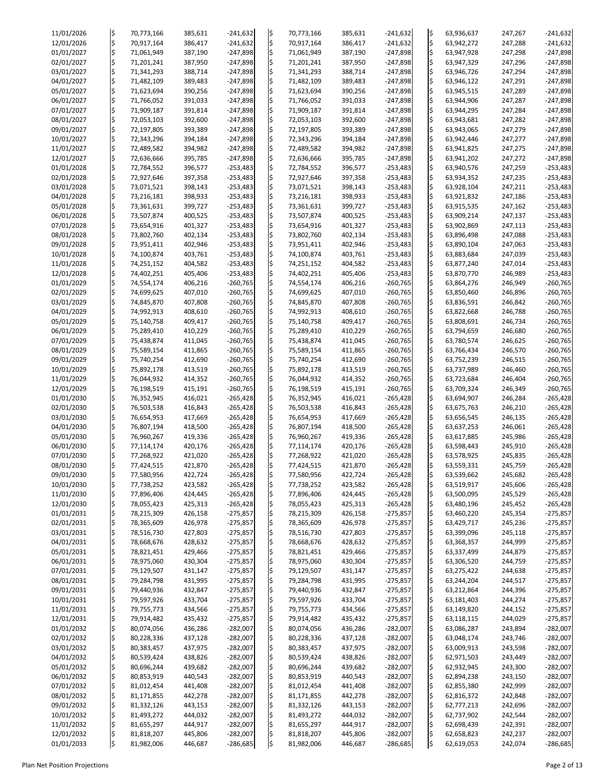| 11/01/2026 | ļ\$         | 70,773,166 | 385,631 | $-241,632$ | ļ\$                     | 70,773,166 | 385,631 | $-241,632$ | ļ\$                     | 63,936,637 | 247,267 | $-241,632$ |
|------------|-------------|------------|---------|------------|-------------------------|------------|---------|------------|-------------------------|------------|---------|------------|
| 12/01/2026 | $\varsigma$ | 70,917,164 | 386,417 | $-241,632$ | l\$                     | 70,917,164 | 386,417 | $-241,632$ | ļ\$                     | 63,942,272 | 247,288 | $-241,632$ |
| 01/01/2027 | \$          | 71,061,949 | 387,190 | $-247,898$ | $\varsigma$             | 71,061,949 | 387,190 | $-247,898$ | ļ\$                     | 63,947,928 | 247,298 | $-247,898$ |
|            |             |            |         |            |                         |            |         |            |                         |            |         |            |
| 02/01/2027 | l\$         | 71,201,241 | 387,950 | $-247,898$ | $\varsigma$             | 71,201,241 | 387,950 | $-247,898$ | ļ\$                     | 63,947,329 | 247,296 | $-247,898$ |
| 03/01/2027 |             | 71,341,293 | 388,714 | $-247,898$ | $\varsigma$             | 71,341,293 | 388,714 | $-247,898$ | ļ\$                     | 63,946,726 | 247,294 | $-247,898$ |
|            |             |            |         |            | $\frac{1}{2}$           |            |         |            |                         |            |         |            |
| 04/01/2027 | \$          | 71,482,109 | 389,483 | $-247,898$ |                         | 71,482,109 | 389,483 | $-247,898$ | \$                      | 63,946,122 | 247,291 | $-247,898$ |
| 05/01/2027 | \$          | 71,623,694 | 390,256 | $-247,898$ | l\$                     | 71,623,694 | 390,256 | $-247,898$ | ļ\$                     | 63,945,515 | 247,289 | $-247,898$ |
| 06/01/2027 | \$          | 71,766,052 | 391,033 | $-247,898$ | $\frac{1}{2}$           | 71,766,052 | 391,033 | $-247,898$ | ļ\$                     | 63,944,906 | 247,287 | $-247,898$ |
|            |             |            |         |            |                         |            |         |            |                         |            |         |            |
| 07/01/2027 | l\$         | 71,909,187 | 391,814 | $-247,898$ | $\varsigma$             | 71,909,187 | 391,814 | $-247,898$ | ļ\$                     | 63,944,295 | 247,284 | $-247,898$ |
| 08/01/2027 | \$          | 72,053,103 | 392,600 | $-247,898$ | $\frac{1}{2}$           | 72,053,103 | 392,600 | $-247,898$ | ļ\$                     | 63,943,681 | 247,282 | $-247,898$ |
|            |             |            |         |            | $\overline{\mathsf{S}}$ |            |         |            |                         |            |         |            |
| 09/01/2027 |             | 72,197,805 | 393,389 | $-247,898$ |                         | 72,197,805 | 393,389 | $-247,898$ | ļ\$                     | 63,943,065 | 247,279 | $-247,898$ |
| 10/01/2027 | l\$         | 72,343,296 | 394,184 | $-247,898$ | l\$                     | 72,343,296 | 394,184 | $-247,898$ | ļ\$                     | 63,942,446 | 247,277 | $-247,898$ |
| 11/01/2027 |             | 72,489,582 | 394,982 | $-247,898$ | $\overline{\mathsf{S}}$ | 72,489,582 | 394,982 | $-247,898$ | ļ\$                     | 63,941,825 | 247,275 | $-247,898$ |
|            |             |            |         |            |                         |            |         |            |                         |            |         |            |
| 12/01/2027 | \$          | 72,636,666 | 395,785 | $-247,898$ | $\varsigma$             | 72,636,666 | 395,785 | $-247,898$ | ļ\$                     | 63,941,202 | 247,272 | $-247,898$ |
| 01/01/2028 |             | 72,784,552 | 396,577 | $-253,483$ | $\overline{\mathsf{S}}$ | 72,784,552 | 396,577 | $-253,483$ | l\$                     | 63,940,576 | 247,259 | $-253,483$ |
| 02/01/2028 |             | 72,927,646 | 397,358 | $-253,483$ | l\$                     | 72,927,646 | 397,358 | $-253,483$ | ļ\$                     | 63,934,352 | 247,235 | $-253,483$ |
|            | \$          |            |         |            |                         |            |         |            |                         |            |         |            |
| 03/01/2028 | l\$         | 73,071,521 | 398,143 | $-253,483$ | l\$                     | 73,071,521 | 398,143 | $-253,483$ | l\$                     | 63,928,104 | 247,211 | $-253,483$ |
| 04/01/2028 |             | 73,216,181 | 398,933 | $-253,483$ | $\varsigma$             | 73,216,181 | 398,933 | $-253,483$ | ļ\$                     | 63,921,832 | 247,186 | $-253,483$ |
|            |             |            |         |            |                         |            |         |            |                         |            |         |            |
| 05/01/2028 | \$          | 73,361,631 | 399,727 | $-253,483$ | $\overline{\varsigma}$  | 73,361,631 | 399,727 | $-253,483$ | ļ\$                     | 63,915,535 | 247,162 | $-253,483$ |
| 06/01/2028 | \$          | 73,507,874 | 400,525 | $-253,483$ | l\$                     | 73,507,874 | 400,525 | $-253,483$ | ļ\$                     | 63,909,214 | 247,137 | $-253,483$ |
| 07/01/2028 | \$          | 73,654,916 | 401,327 | $-253,483$ | $\overline{\mathsf{S}}$ | 73,654,916 | 401,327 | $-253,483$ | ļ\$                     | 63,902,869 | 247,113 | $-253,483$ |
|            |             |            |         |            |                         |            |         |            |                         |            |         |            |
| 08/01/2028 |             | 73,802,760 | 402,134 | $-253,483$ | $\frac{1}{2}$           | 73,802,760 | 402,134 | $-253,483$ | ļ\$                     | 63,896,498 | 247,088 | $-253,483$ |
| 09/01/2028 |             | 73,951,411 | 402,946 | $-253,483$ | l\$                     | 73,951,411 | 402,946 | $-253,483$ | l\$                     | 63,890,104 | 247,063 | $-253,483$ |
| 10/01/2028 |             | 74,100,874 | 403,761 | $-253,483$ | $\overline{\mathsf{S}}$ | 74,100,874 | 403,761 | $-253,483$ | ļ\$                     | 63,883,684 | 247,039 | $-253,483$ |
|            |             |            |         |            |                         |            |         |            |                         |            |         |            |
| 11/01/2028 | \$          | 74,251,152 | 404,582 | $-253,483$ | $\varsigma$             | 74,251,152 | 404,582 | $-253,483$ | ļ\$                     | 63,877,240 | 247,014 | $-253,483$ |
| 12/01/2028 |             | 74,402,251 | 405,406 | $-253,483$ | $\overline{\mathsf{S}}$ | 74,402,251 | 405,406 | $-253,483$ | ļ\$                     | 63,870,770 | 246,989 | $-253,483$ |
| 01/01/2029 |             |            |         | $-260,765$ | $\varsigma$             |            |         | $-260,765$ | ļ\$                     |            |         | $-260,765$ |
|            | \$          | 74,554,174 | 406,216 |            |                         | 74,554,174 | 406,216 |            |                         | 63,864,276 | 246,949 |            |
| 02/01/2029 |             | 74,699,625 | 407,010 | $-260,765$ | l\$                     | 74,699,625 | 407,010 | $-260,765$ | ļ\$                     | 63,850,460 | 246,896 | $-260,765$ |
| 03/01/2029 | \$          | 74,845,870 | 407,808 | $-260,765$ | $\overline{\mathsf{S}}$ | 74,845,870 | 407,808 | $-260,765$ | ļ\$                     | 63,836,591 | 246,842 | $-260,765$ |
|            |             |            |         |            |                         |            |         |            |                         |            |         |            |
| 04/01/2029 |             | 74,992,913 | 408,610 | $-260,765$ | l\$                     | 74,992,913 | 408,610 | $-260,765$ | l\$                     | 63,822,668 | 246,788 | $-260,765$ |
| 05/01/2029 | \$          | 75,140,758 | 409,417 | $-260,765$ | \$                      | 75,140,758 | 409,417 | $-260,765$ | $\overline{\mathsf{S}}$ | 63,808,691 | 246,734 | $-260,765$ |
| 06/01/2029 | ļ\$         | 75,289,410 | 410,229 | $-260,765$ | l\$                     | 75,289,410 | 410,229 | $-260,765$ | \$                      | 63,794,659 | 246,680 | $-260,765$ |
|            |             |            |         |            |                         |            |         |            |                         |            |         |            |
| 07/01/2029 | l\$         | 75,438,874 | 411,045 | $-260,765$ | l\$                     | 75,438,874 | 411,045 | $-260,765$ | ļ\$                     | 63,780,574 | 246,625 | $-260,765$ |
| 08/01/2029 | \$          | 75,589,154 | 411,865 | $-260,765$ | l\$                     | 75,589,154 | 411,865 | $-260,765$ | ļ\$                     | 63,766,434 | 246,570 | $-260,765$ |
| 09/01/2029 |             | 75,740,254 | 412,690 | $-260,765$ | ¦\$                     | 75,740,254 | 412,690 | $-260,765$ | ļ\$                     | 63,752,239 | 246,515 | $-260,765$ |
|            |             |            |         |            |                         |            |         |            |                         |            |         |            |
| 10/01/2029 |             | 75,892,178 | 413,519 | $-260,765$ | l\$                     | 75,892,178 | 413,519 | $-260,765$ | l\$                     | 63,737,989 | 246,460 | $-260,765$ |
| 11/01/2029 |             | 76,044,932 | 414,352 | $-260,765$ |                         | 76,044,932 | 414,352 | $-260,765$ | ļ\$                     | 63,723,684 | 246,404 | $-260,765$ |
| 12/01/2029 |             | 76,198,519 | 415,191 | $-260,765$ | l\$                     | 76,198,519 | 415,191 | $-260,765$ | l\$                     | 63,709,324 | 246,349 | $-260,765$ |
|            |             |            |         |            |                         |            |         |            |                         |            |         |            |
| 01/01/2030 |             | 76,352,945 | 416,021 | $-265,428$ | $\frac{1}{2}$           | 76,352,945 | 416,021 | $-265,428$ | ļ\$                     | 63,694,907 | 246,284 | $-265,428$ |
| 02/01/2030 |             | 76,503,538 | 416,843 | $-265,428$ | $\overline{\mathsf{S}}$ | 76,503,538 | 416,843 | $-265,428$ | ļ\$                     | 63,675,763 | 246,210 | $-265,428$ |
|            |             |            |         |            |                         |            |         |            |                         |            |         |            |
| 03/01/2030 |             | 76,654,953 | 417,669 | $-265,428$ | l\$                     | 76,654,953 | 417,669 | $-265,428$ | l\$                     | 63,656,545 | 246,135 | $-265,428$ |
| 04/01/2030 |             | 76,807,194 | 418,500 | $-265,428$ | l\$                     | 76,807,194 | 418,500 | $-265,428$ | ļ\$                     | 63,637,253 | 246,061 | $-265,428$ |
| 05/01/2030 |             | 76,960,267 | 419,336 | $-265,428$ | l\$                     | 76,960,267 | 419,336 | $-265,428$ | l\$                     | 63,617,885 | 245,986 | $-265,428$ |
|            |             |            |         |            |                         |            |         |            |                         |            |         |            |
| 06/01/2030 |             | 77,114,174 | 420,176 | $-265,428$ | $\frac{1}{2}$           | 77,114,174 | 420,176 | $-265,428$ | l\$                     | 63,598,443 | 245,910 | $-265,428$ |
| 07/01/2030 |             | 77,268,922 | 421,020 | $-265,428$ | $\overline{\mathsf{S}}$ | 77,268,922 | 421,020 | $-265,428$ | ļ\$                     | 63,578,925 | 245,835 | $-265,428$ |
| 08/01/2030 |             | 77,424,515 | 421,870 | $-265,428$ | l\$                     | 77,424,515 | 421,870 | $-265,428$ | l\$                     | 63,559,331 | 245,759 | $-265,428$ |
|            |             |            |         |            |                         |            |         |            |                         |            |         |            |
| 09/01/2030 |             | 77,580,956 | 422,724 | $-265,428$ | $\overline{\mathsf{S}}$ | 77,580,956 | 422,724 | $-265,428$ | ļ\$                     | 63,539,662 | 245,682 | $-265,428$ |
| 10/01/2030 |             | 77,738,252 | 423,582 | $-265,428$ | $\frac{1}{2}$           | 77,738,252 | 423,582 | $-265,428$ | ļ\$                     | 63,519,917 | 245,606 | $-265,428$ |
| 11/01/2030 | \$          | 77,896,406 | 424,445 | $-265,428$ | $\varsigma$             | 77,896,406 | 424,445 | $-265,428$ | l\$                     | 63,500,095 | 245,529 | $-265,428$ |
|            |             |            |         |            |                         |            |         |            |                         |            |         |            |
| 12/01/2030 |             | 78,055,423 | 425,313 | $-265,428$ | $\overline{\mathsf{S}}$ | 78,055,423 | 425,313 | $-265,428$ | ļ\$                     | 63,480,196 | 245,452 | $-265,428$ |
| 01/01/2031 |             | 78,215,309 | 426,158 | $-275,857$ | l\$                     | 78,215,309 | 426,158 | $-275,857$ | l\$                     | 63,460,220 | 245,354 | $-275,857$ |
| 02/01/2031 |             | 78,365,609 | 426,978 | $-275,857$ | l\$                     | 78,365,609 | 426,978 | $-275,857$ | ļ\$                     | 63,429,717 | 245,236 | $-275,857$ |
|            |             |            |         |            |                         |            |         |            |                         |            |         |            |
| 03/01/2031 |             | 78,516,730 | 427,803 | $-275,857$ | $\varsigma$             | 78,516,730 | 427,803 | $-275,857$ | ļ\$                     | 63,399,096 | 245,118 | $-275,857$ |
| 04/01/2031 |             | 78,668,676 | 428,632 | $-275,857$ | l\$                     | 78,668,676 | 428,632 | $-275,857$ | l\$                     | 63,368,357 | 244,999 | $-275,857$ |
| 05/01/2031 | \$          | 78,821,451 | 429,466 | $-275,857$ | l\$                     | 78,821,451 | 429,466 | $-275,857$ | ļ\$                     | 63,337,499 | 244,879 | $-275,857$ |
|            |             |            |         |            |                         |            |         |            |                         |            |         |            |
| 06/01/2031 |             | 78,975,060 | 430,304 | $-275,857$ | ¦\$                     | 78,975,060 | 430,304 | $-275,857$ | ļ\$                     | 63,306,520 | 244,759 | $-275,857$ |
| 07/01/2031 |             | 79,129,507 | 431,147 | $-275,857$ | ¦\$                     | 79,129,507 | 431,147 | $-275,857$ |                         | 63,275,422 | 244,638 | $-275,857$ |
| 08/01/2031 |             | 79,284,798 | 431,995 | $-275,857$ | l\$                     | 79,284,798 | 431,995 | $-275,857$ | ļ\$                     | 63,244,204 | 244,517 | $-275,857$ |
|            |             |            |         |            |                         |            |         |            |                         |            |         |            |
| 09/01/2031 |             | 79,440,936 | 432,847 | $-275,857$ | l\$                     | 79,440,936 | 432,847 | $-275,857$ | l\$                     | 63,212,864 | 244,396 | $-275,857$ |
| 10/01/2031 |             | 79,597,926 | 433,704 | $-275,857$ | l\$                     | 79,597,926 | 433,704 | $-275,857$ | ļ\$                     | 63,181,403 | 244,274 | $-275,857$ |
| 11/01/2031 |             | 79,755,773 | 434,566 | $-275,857$ | l\$                     | 79,755,773 | 434,566 | $-275,857$ | l\$                     | 63,149,820 | 244,152 | $-275,857$ |
|            |             |            |         |            |                         |            |         |            |                         |            |         |            |
| 12/01/2031 |             | 79,914,482 | 435,432 | $-275,857$ |                         | 79,914,482 | 435,432 | $-275,857$ |                         | 63,118,115 | 244,029 | $-275,857$ |
| 01/01/2032 |             | 80,074,056 | 436,286 | $-282,007$ | \$                      | 80,074,056 | 436,286 | $-282,007$ | ¦\$                     | 63,086,287 | 243,894 | $-282,007$ |
| 02/01/2032 | l\$         | 80,228,336 | 437,128 | $-282,007$ | l\$                     | 80,228,336 | 437,128 | $-282,007$ | ļ\$                     | 63,048,174 | 243,746 | $-282,007$ |
|            |             |            |         |            |                         |            |         |            |                         |            |         |            |
| 03/01/2032 |             | 80,383,457 | 437,975 | $-282,007$ | \$                      | 80,383,457 | 437,975 | $-282,007$ | ļ\$                     | 63,009,913 | 243,598 | $-282,007$ |
| 04/01/2032 |             | 80,539,424 | 438,826 | $-282,007$ |                         | 80,539,424 | 438,826 | $-282,007$ | ļ\$                     | 62,971,503 | 243,449 | $-282,007$ |
| 05/01/2032 |             | 80,696,244 | 439,682 | $-282,007$ | l\$                     | 80,696,244 | 439,682 | $-282,007$ | ļ\$                     | 62,932,945 | 243,300 | $-282,007$ |
|            |             |            |         |            |                         |            |         |            |                         |            |         |            |
| 06/01/2032 |             | 80,853,919 | 440,543 | $-282,007$ | ¦\$                     | 80,853,919 | 440,543 | $-282,007$ | ļ\$                     | 62,894,238 | 243,150 | $-282,007$ |
| 07/01/2032 |             | 81,012,454 | 441,408 | $-282,007$ | l\$                     | 81,012,454 | 441,408 | $-282,007$ | ļ\$                     | 62,855,380 | 242,999 | $-282,007$ |
| 08/01/2032 |             | 81,171,855 | 442,278 | $-282,007$ |                         | 81,171,855 | 442,278 | $-282,007$ |                         | 62,816,372 | 242,848 | $-282,007$ |
|            |             |            |         |            |                         |            |         |            |                         |            |         |            |
| 09/01/2032 |             | 81,332,126 | 443,153 | $-282,007$ |                         | 81,332,126 | 443,153 | $-282,007$ | ļ\$                     | 62,777,213 | 242,696 | $-282,007$ |
| 10/01/2032 |             | 81,493,272 | 444,032 | $-282,007$ | l\$                     | 81,493,272 | 444,032 | $-282,007$ | \$                      | 62,737,902 | 242,544 | $-282,007$ |
| 11/01/2032 |             | 81,655,297 | 444,917 | $-282,007$ | l\$                     | 81,655,297 | 444,917 | $-282,007$ | ļ\$                     | 62,698,439 | 242,391 | $-282,007$ |
|            |             |            |         |            |                         |            |         |            |                         |            |         |            |
| 12/01/2032 |             | 81,818,207 | 445,806 | $-282,007$ | ¦\$                     | 81,818,207 | 445,806 | $-282,007$ | ļ\$                     | 62,658,823 | 242,237 | $-282,007$ |
| 01/01/2033 | \$          | 81,982,006 | 446,687 | $-286,685$ | \$                      | 81,982,006 | 446,687 | $-286,685$ | l\$                     | 62,619,053 | 242,074 | $-286,685$ |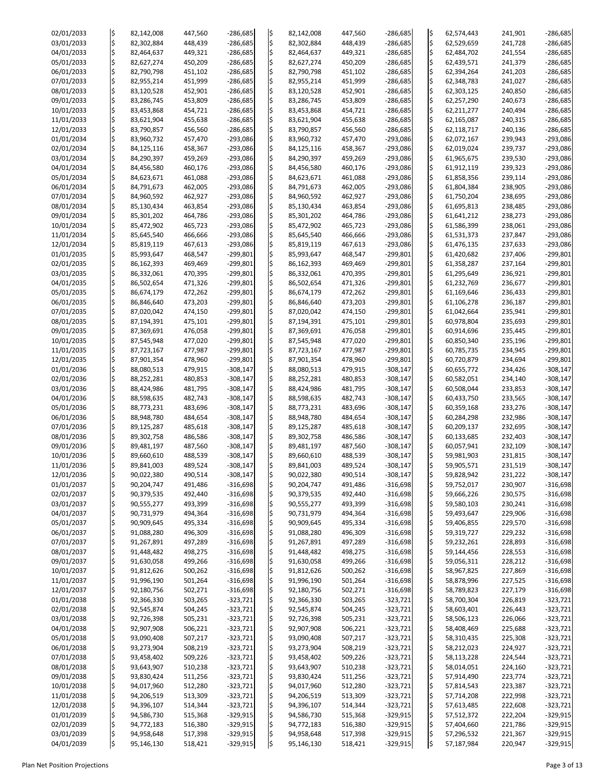| 02/01/2033 | ¦\$                     | 82,142,008 | 447,560 | $-286,685$ | ¦\$ | 82,142,008 | 447,560 | $-286,685$ | l\$           | 62,574,443 | 241,901 | $-286,685$ |
|------------|-------------------------|------------|---------|------------|-----|------------|---------|------------|---------------|------------|---------|------------|
| 03/01/2033 | ļ\$                     | 82,302,884 | 448,439 | $-286,685$ | l\$ | 82,302,884 | 448,439 | $-286,685$ | \$            | 62,529,659 | 241,728 | $-286,685$ |
| 04/01/2033 | \$                      | 82,464,637 | 449,321 | $-286,685$ | l\$ | 82,464,637 | 449,321 | $-286,685$ | \$            | 62,484,702 | 241,554 | $-286,685$ |
|            |                         |            |         |            |     |            |         |            |               |            |         |            |
| 05/01/2033 | \$                      | 82,627,274 | 450,209 | $-286,685$ | l\$ | 82,627,274 | 450,209 | $-286,685$ | \$            | 62,439,571 | 241,379 | $-286,685$ |
| 06/01/2033 | l\$                     | 82,790,798 | 451,102 | $-286,685$ | l\$ | 82,790,798 | 451,102 | $-286,685$ | \$            | 62,394,264 | 241,203 | $-286,685$ |
| 07/01/2033 | \$                      | 82,955,214 | 451,999 | $-286,685$ |     | 82,955,214 | 451,999 | $-286,685$ | \$            | 62,348,783 | 241,027 | $-286,685$ |
|            |                         |            |         |            |     |            |         |            |               |            |         |            |
| 08/01/2033 | l\$                     | 83,120,528 | 452,901 | $-286,685$ | l\$ | 83,120,528 | 452,901 | $-286,685$ | \$            | 62,303,125 | 240,850 | $-286,685$ |
| 09/01/2033 | l\$                     | 83,286,745 | 453,809 | $-286,685$ | l\$ | 83,286,745 | 453,809 | $-286,685$ | $\frac{1}{2}$ | 62,257,290 | 240,673 | $-286,685$ |
| 10/01/2033 | \$                      | 83,453,868 | 454,721 | $-286,685$ | l\$ | 83,453,868 | 454,721 | $-286,685$ | \$            | 62,211,277 | 240,494 | $-286,685$ |
|            |                         |            |         |            |     |            |         |            |               |            |         |            |
| 11/01/2033 | l\$                     | 83,621,904 | 455,638 | $-286,685$ | l\$ | 83,621,904 | 455,638 | $-286,685$ | \$            | 62,165,087 | 240,315 | $-286,685$ |
| 12/01/2033 | \$                      | 83,790,857 | 456,560 | $-286,685$ |     | 83,790,857 | 456,560 | $-286,685$ | \$            | 62,118,717 | 240,136 | $-286,685$ |
| 01/01/2034 | l\$                     | 83,960,732 | 457,470 | $-293,086$ | l\$ | 83,960,732 | 457,470 | $-293,086$ | \$            | 62,072,167 | 239,943 | $-293,086$ |
|            |                         |            |         |            |     |            |         |            |               |            |         |            |
| 02/01/2034 | \$                      | 84,125,116 | 458,367 | $-293,086$ | l\$ | 84,125,116 | 458,367 | $-293,086$ | \$            | 62,019,024 | 239,737 | $-293,086$ |
| 03/01/2034 | \$                      | 84,290,397 | 459,269 | $-293,086$ | l\$ | 84,290,397 | 459,269 | $-293,086$ | $\varsigma$   | 61,965,675 | 239,530 | $-293,086$ |
| 04/01/2034 | l\$                     | 84,456,580 | 460,176 | $-293,086$ | l\$ | 84,456,580 | 460,176 | $-293,086$ | \$            | 61,912,119 | 239,323 | $-293,086$ |
|            |                         |            |         |            |     |            |         |            |               |            |         |            |
| 05/01/2034 | \$                      | 84,623,671 | 461,088 | $-293,086$ | l\$ | 84,623,671 | 461,088 | $-293,086$ | \$            | 61,858,356 | 239,114 | $-293,086$ |
| 06/01/2034 | \$                      | 84,791,673 | 462,005 | $-293,086$ | l\$ | 84,791,673 | 462,005 | $-293,086$ | \$            | 61,804,384 | 238,905 | $-293,086$ |
| 07/01/2034 | \$                      | 84,960,592 | 462,927 | $-293,086$ | l\$ | 84,960,592 | 462,927 | $-293,086$ | \$            | 61,750,204 | 238,695 | $-293,086$ |
|            |                         |            |         |            |     |            |         |            |               |            |         |            |
| 08/01/2034 | \$                      | 85,130,434 | 463,854 | $-293,086$ | l\$ | 85,130,434 | 463,854 | $-293,086$ | \$            | 61,695,813 | 238,485 | $-293,086$ |
| 09/01/2034 | \$                      | 85,301,202 | 464,786 | $-293,086$ | l\$ | 85,301,202 | 464,786 | $-293,086$ | \$            | 61,641,212 | 238,273 | $-293,086$ |
| 10/01/2034 | \$                      | 85,472,902 | 465,723 | $-293,086$ | l\$ | 85,472,902 | 465,723 | $-293,086$ | \$            | 61,586,399 | 238,061 | $-293,086$ |
|            |                         |            |         |            |     |            |         |            |               |            |         |            |
| 11/01/2034 | \$                      | 85,645,540 | 466,666 | $-293,086$ | l\$ | 85,645,540 | 466,666 | $-293,086$ | \$            | 61,531,373 | 237,847 | $-293,086$ |
| 12/01/2034 | l\$                     | 85,819,119 | 467,613 | $-293,086$ | l\$ | 85,819,119 | 467,613 | $-293,086$ | \$            | 61,476,135 | 237,633 | $-293,086$ |
| 01/01/2035 | \$                      | 85,993,647 | 468,547 | $-299,801$ |     | 85,993,647 | 468,547 | $-299,801$ | \$            | 61,420,682 | 237,406 | $-299,801$ |
|            |                         |            |         |            |     |            |         |            |               |            |         |            |
| 02/01/2035 | l\$                     | 86,162,393 | 469,469 | $-299,801$ | l\$ | 86,162,393 | 469,469 | $-299,801$ | \$            | 61,358,287 | 237,164 | $-299,801$ |
| 03/01/2035 | l\$                     | 86,332,061 | 470,395 | $-299,801$ | l\$ | 86,332,061 | 470,395 | $-299,801$ | \$            | 61,295,649 | 236,921 | $-299,801$ |
| 04/01/2035 | \$                      | 86,502,654 | 471,326 | $-299,801$ | l\$ | 86,502,654 | 471,326 | $-299,801$ | $\frac{1}{2}$ | 61,232,769 | 236,677 | $-299,801$ |
|            |                         |            |         |            |     |            |         |            |               |            |         |            |
| 05/01/2035 | l\$                     | 86,674,179 | 472,262 | $-299,801$ |     | 86,674,179 | 472,262 | $-299,801$ | \$            | 61,169,646 | 236,433 | $-299,801$ |
| 06/01/2035 | l\$                     | 86,846,640 | 473,203 | $-299,801$ | l\$ | 86,846,640 | 473,203 | $-299,801$ | \$            | 61,106,278 | 236,187 | $-299,801$ |
| 07/01/2035 |                         | 87,020,042 | 474,150 | $-299,801$ | l\$ | 87,020,042 | 474,150 | $-299,801$ | \$            | 61,042,664 | 235,941 | $-299,801$ |
|            |                         |            |         |            |     |            |         |            |               |            |         |            |
| 08/01/2035 | $\overline{\mathsf{S}}$ | 87,194,391 | 475,101 | $-299,801$ | l\$ | 87,194,391 | 475,101 | $-299,801$ | \$            | 60,978,804 | 235,693 | $-299,801$ |
| 09/01/2035 | l\$                     | 87,369,691 | 476,058 | $-299,801$ | I\$ | 87,369,691 | 476,058 | $-299,801$ | l\$           | 60,914,696 | 235,445 | $-299,801$ |
| 10/01/2035 |                         | 87,545,948 | 477,020 | $-299,801$ | l\$ | 87,545,948 | 477,020 | $-299,801$ | ¦\$           | 60,850,340 | 235,196 | $-299,801$ |
|            |                         |            |         |            |     |            |         |            |               |            |         |            |
| 11/01/2035 |                         | 87,723,167 | 477,987 | $-299,801$ | l\$ | 87,723,167 | 477,987 | $-299,801$ | \$            | 60,785,735 | 234,945 | $-299,801$ |
| 12/01/2035 |                         | 87,901,354 | 478,960 | $-299,801$ | l\$ | 87,901,354 | 478,960 | $-299,801$ | \$            | 60,720,879 | 234,694 | $-299,801$ |
| 01/01/2036 |                         | 88,080,513 | 479,915 | $-308,147$ |     | 88,080,513 | 479,915 | $-308,147$ | ¦\$           | 60,655,772 | 234,426 | $-308,147$ |
|            |                         |            |         |            |     |            |         |            |               |            |         |            |
| 02/01/2036 |                         | 88,252,281 | 480,853 | $-308,147$ | l\$ | 88,252,281 | 480,853 | $-308,147$ | \$            | 60,582,051 | 234,140 | $-308,147$ |
| 03/01/2036 |                         | 88,424,986 | 481,795 | $-308,147$ | l\$ | 88,424,986 | 481,795 | $-308,147$ | \$            | 60,508,044 | 233,853 | $-308,147$ |
| 04/01/2036 |                         | 88,598,635 | 482,743 | $-308,147$ | l\$ | 88,598,635 | 482,743 | $-308,147$ | \$            | 60,433,750 | 233,565 | $-308,147$ |
|            |                         |            |         |            |     |            |         |            |               |            |         |            |
| 05/01/2036 |                         | 88,773,231 | 483,696 | $-308,147$ |     | 88,773,231 | 483,696 | $-308,147$ | \$            | 60,359,168 | 233,276 | $-308,147$ |
| 06/01/2036 | l\$                     | 88,948,780 | 484,654 | $-308,147$ |     | 88,948,780 | 484,654 | $-308,147$ | ¦\$           | 60,284,298 | 232,986 | $-308,147$ |
| 07/01/2036 |                         | 89,125,287 | 485,618 | $-308,147$ | l\$ | 89,125,287 | 485,618 | $-308,147$ | \$            | 60,209,137 | 232,695 | $-308,147$ |
|            |                         |            |         |            |     |            |         |            |               |            |         |            |
| 08/01/2036 | \$                      | 89,302,758 | 486,586 | $-308,147$ | l\$ | 89,302,758 | 486,586 | $-308,147$ | \$            | 60,133,685 | 232,403 | $-308,147$ |
| 09/01/2036 |                         | 89,481,197 | 487,560 | $-308,147$ | l\$ | 89,481,197 | 487,560 | $-308,147$ | $\frac{1}{2}$ | 60,057,941 | 232,109 | $-308,147$ |
| 10/01/2036 |                         | 89,660,610 | 488,539 | $-308,147$ |     | 89,660,610 | 488,539 | $-308,147$ | \$            | 59,981,903 | 231,815 | $-308,147$ |
|            |                         |            |         |            |     |            |         |            |               |            |         |            |
| 11/01/2036 |                         | 89,841,003 | 489,524 | $-308,147$ |     | 89,841,003 | 489,524 | $-308,147$ | \$            | 59,905,571 | 231,519 | $-308,147$ |
| 12/01/2036 | \$                      | 90,022,380 | 490,514 | $-308,147$ | l\$ | 90,022,380 | 490,514 | $-308,147$ | \$            | 59,828,942 | 231,222 | $-308,147$ |
| 01/01/2037 |                         | 90,204,747 | 491,486 | $-316,698$ | l\$ | 90,204,747 | 491,486 | $-316,698$ | \$            | 59,752,017 | 230,907 | $-316,698$ |
|            |                         |            |         |            |     |            |         |            |               |            |         |            |
| 02/01/2037 |                         | 90,379,535 | 492,440 | $-316,698$ | l\$ | 90,379,535 | 492,440 | $-316,698$ | \$            | 59,666,226 | 230,575 | $-316,698$ |
| 03/01/2037 |                         | 90,555,277 | 493,399 | $-316,698$ | l\$ | 90,555,277 | 493,399 | $-316,698$ | \$            | 59,580,103 | 230,241 | $-316,698$ |
| 04/01/2037 |                         | 90,731,979 | 494,364 | $-316,698$ |     | 90,731,979 | 494,364 | $-316,698$ | \$            | 59,493,647 | 229,906 | $-316,698$ |
|            |                         |            |         |            |     |            |         |            |               |            |         |            |
| 05/01/2037 |                         | 90,909,645 | 495,334 | $-316,698$ | l\$ | 90,909,645 | 495,334 | $-316,698$ | ¦\$           | 59,406,855 | 229,570 | $-316,698$ |
| 06/01/2037 |                         | 91,088,280 | 496,309 | $-316,698$ |     | 91,088,280 | 496,309 | $-316,698$ | $\varsigma$   | 59,319,727 | 229,232 | $-316,698$ |
| 07/01/2037 |                         | 91,267,891 | 497,289 | $-316,698$ | l\$ | 91,267,891 | 497,289 | $-316,698$ | \$            | 59,232,261 | 228,893 | $-316,698$ |
| 08/01/2037 |                         | 91,448,482 | 498,275 | $-316,698$ | l\$ | 91,448,482 | 498,275 | $-316,698$ | \$            | 59,144,456 | 228,553 | $-316,698$ |
|            |                         |            |         |            |     |            |         |            |               |            |         |            |
| 09/01/2037 | \$                      | 91,630,058 | 499,266 | $-316,698$ |     | 91,630,058 | 499,266 | $-316,698$ | \$            | 59,056,311 | 228,212 | $-316,698$ |
| 10/01/2037 | l\$                     | 91,812,626 | 500,262 | $-316,698$ |     | 91,812,626 | 500,262 | $-316,698$ | ¦\$           | 58,967,825 | 227,869 | $-316,698$ |
| 11/01/2037 |                         | 91,996,190 | 501,264 | $-316,698$ |     | 91,996,190 | 501,264 | $-316,698$ | $\varsigma$   | 58,878,996 | 227,525 | $-316,698$ |
|            |                         |            |         |            |     |            |         |            |               |            |         |            |
| 12/01/2037 |                         | 92,180,756 | 502,271 | $-316,698$ | l\$ | 92,180,756 | 502,271 | $-316,698$ | \$            | 58,789,823 | 227,179 | $-316,698$ |
| 01/01/2038 |                         | 92,366,330 | 503,265 | $-323,721$ |     | 92,366,330 | 503,265 | $-323,721$ | \$            | 58,700,304 | 226,819 | $-323,721$ |
| 02/01/2038 |                         | 92,545,874 | 504,245 | $-323,721$ |     | 92,545,874 | 504,245 | $-323,721$ | $\frac{1}{2}$ | 58,603,401 | 226,443 | $-323,721$ |
| 03/01/2038 |                         |            |         |            |     |            |         |            |               |            |         |            |
|            |                         | 92,726,398 | 505,231 | $-323,721$ |     | 92,726,398 | 505,231 | $-323,721$ |               | 58,506,123 | 226,066 | $-323,721$ |
| 04/01/2038 | \$                      | 92,907,908 | 506,221 | -323,721   | l\$ | 92,907,908 | 506,221 | $-323,721$ | \$            | 58,408,469 | 225,688 | $-323,721$ |
| 05/01/2038 | l\$                     | 93,090,408 | 507,217 | $-323,721$ | l\$ | 93,090,408 | 507,217 | $-323,721$ | l\$           | 58,310,435 | 225,308 | $-323,721$ |
|            |                         |            |         |            |     |            |         |            |               |            |         |            |
| 06/01/2038 |                         | 93,273,904 | 508,219 | $-323,721$ | \$  | 93,273,904 | 508,219 | $-323,721$ | \$            | 58,212,023 | 224,927 | $-323,721$ |
| 07/01/2038 |                         | 93,458,402 | 509,226 | $-323,721$ |     | 93,458,402 | 509,226 | $-323,721$ | ļ\$           | 58,113,228 | 224,544 | $-323,721$ |
| 08/01/2038 |                         | 93,643,907 | 510,238 | $-323,721$ |     | 93,643,907 | 510,238 | $-323,721$ | \$            | 58,014,051 | 224,160 | $-323,721$ |
| 09/01/2038 |                         | 93,830,424 | 511,256 | $-323,721$ |     | 93,830,424 | 511,256 | $-323,721$ | \$            | 57,914,490 | 223,774 | $-323,721$ |
|            |                         |            |         |            |     |            |         |            |               |            |         |            |
| 10/01/2038 |                         | 94,017,960 | 512,280 | $-323,721$ |     | 94,017,960 | 512,280 | $-323,721$ | \$            | 57,814,543 | 223,387 | $-323,721$ |
| 11/01/2038 |                         | 94,206,519 | 513,309 | $-323,721$ |     | 94,206,519 | 513,309 | $-323,721$ | ¦\$           | 57,714,208 | 222,998 | $-323,721$ |
| 12/01/2038 |                         | 94,396,107 | 514,344 | $-323,721$ |     | 94,396,107 | 514,344 | $-323,721$ | ļ\$           | 57,613,485 | 222,608 | $-323,721$ |
|            |                         |            |         |            |     |            |         |            |               |            |         |            |
| 01/01/2039 |                         | 94,586,730 | 515,368 | $-329,915$ |     | 94,586,730 | 515,368 | $-329,915$ | \$            | 57,512,372 | 222,204 | $-329,915$ |
| 02/01/2039 |                         | 94,772,183 | 516,380 | $-329,915$ |     | 94,772,183 | 516,380 | $-329,915$ | ¦\$           | 57,404,660 | 221,786 | $-329,915$ |
| 03/01/2039 | ļ\$                     | 94,958,648 | 517,398 | $-329,915$ |     | 94,958,648 | 517,398 | $-329,915$ | \$            | 57,296,532 | 221,367 | $-329,915$ |
|            |                         |            |         |            |     |            |         |            |               |            |         |            |
| 04/01/2039 | ļ\$                     | 95,146,130 | 518,421 | $-329,915$ |     | 95,146,130 | 518,421 | $-329,915$ | \$            | 57,187,984 | 220,947 | $-329,915$ |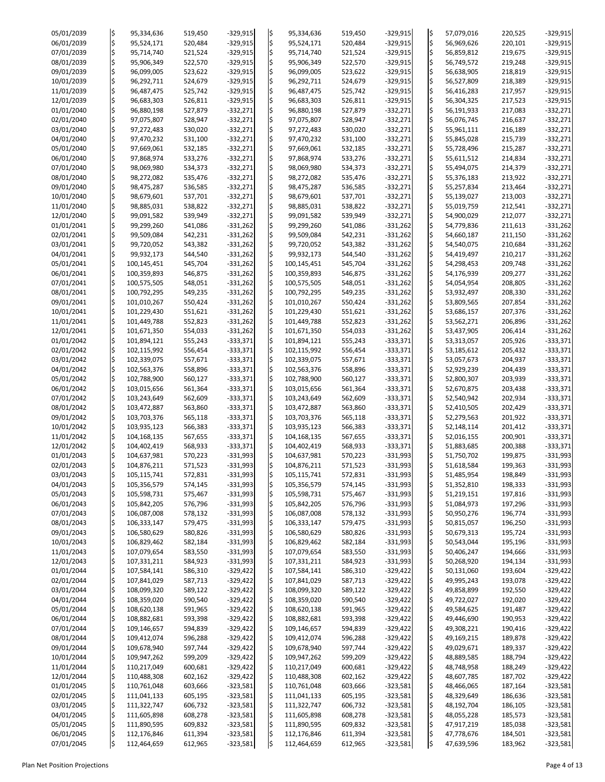| 05/01/2039 | ļ\$         | 95,334,636  | 519,450 | $-329,915$ | I\$.                    | 95,334,636  | 519,450 | $-329,915$ | ļ\$ | 57,079,016 | 220,525 | $-329,915$ |
|------------|-------------|-------------|---------|------------|-------------------------|-------------|---------|------------|-----|------------|---------|------------|
| 06/01/2039 | $\varsigma$ | 95,524,171  | 520,484 | $-329,915$ | l\$                     | 95,524,171  | 520,484 | $-329,915$ | l\$ | 56,969,626 | 220,101 | $-329,915$ |
|            |             |             |         |            |                         |             |         |            |     |            |         |            |
| 07/01/2039 | \$          | 95,714,740  | 521,524 | $-329,915$ | $\overline{\mathsf{S}}$ | 95,714,740  | 521,524 | $-329,915$ | \$  | 56,859,812 | 219,675 | $-329,915$ |
| 08/01/2039 | l\$         | 95,906,349  | 522,570 | $-329,915$ | l\$                     | 95,906,349  | 522,570 | $-329,915$ | l\$ | 56,749,572 | 219,248 | $-329,915$ |
|            |             |             |         |            |                         |             |         |            |     |            |         |            |
| 09/01/2039 |             | 96,099,005  | 523,622 | $-329,915$ | $\overline{\mathsf{S}}$ | 96,099,005  | 523,622 | $-329,915$ | l\$ | 56,638,905 | 218,819 | $-329,915$ |
| 10/01/2039 | \$          | 96,292,711  | 524,679 | $-329,915$ | l\$                     | 96,292,711  | 524,679 | $-329,915$ | l\$ | 56,527,809 | 218,389 | $-329,915$ |
|            |             |             |         |            |                         |             |         |            |     |            |         |            |
| 11/01/2039 | \$          | 96,487,475  | 525,742 | $-329,915$ |                         | 96,487,475  | 525,742 | $-329,915$ | l\$ | 56,416,283 | 217,957 | $-329,915$ |
| 12/01/2039 | l\$         | 96,683,303  | 526,811 | $-329,915$ | l\$                     | 96,683,303  | 526,811 | $-329,915$ | \$  | 56,304,325 | 217,523 | $-329,915$ |
|            |             |             |         |            |                         |             |         |            |     |            |         |            |
| 01/01/2040 | l\$         | 96,880,198  | 527,879 | $-332,271$ | l\$                     | 96,880,198  | 527,879 | $-332,271$ | l\$ | 56,191,933 | 217,083 | $-332,271$ |
| 02/01/2040 | \$          | 97,075,807  | 528,947 | $-332,271$ | l\$                     | 97,075,807  | 528,947 | $-332,271$ | ļ\$ | 56,076,745 | 216,637 | $-332,271$ |
| 03/01/2040 |             |             | 530,020 | $-332,271$ | l\$                     |             | 530,020 |            | l\$ |            | 216,189 |            |
|            | \$          | 97,272,483  |         |            |                         | 97,272,483  |         | $-332,271$ |     | 55,961,111 |         | $-332,271$ |
| 04/01/2040 | l\$         | 97,470,232  | 531,100 | $-332,271$ | l\$                     | 97,470,232  | 531,100 | $-332,271$ | l\$ | 55,845,028 | 215,739 | $-332,271$ |
| 05/01/2040 |             | 97,669,061  | 532,185 | $-332,271$ | l\$                     | 97,669,061  | 532,185 | $-332,271$ | ļ\$ | 55,728,496 | 215,287 | $-332,271$ |
|            |             |             |         |            |                         |             |         |            |     |            |         |            |
| 06/01/2040 | \$          | 97,868,974  | 533,276 | $-332,271$ | ļ\$                     | 97,868,974  | 533,276 | $-332,271$ | ¦\$ | 55,611,512 | 214,834 | $-332,271$ |
| 07/01/2040 |             | 98,069,980  | 534,373 | $-332,271$ | l\$                     | 98,069,980  | 534,373 | $-332,271$ | l\$ | 55,494,075 | 214,379 | $-332,271$ |
|            |             |             |         |            |                         |             |         |            |     |            |         |            |
| 08/01/2040 | \$          | 98,272,082  | 535,476 | $-332,271$ |                         | 98,272,082  | 535,476 | $-332,271$ | \$  | 55,376,183 | 213,922 | $-332,271$ |
| 09/01/2040 | l\$         | 98,475,287  | 536,585 | $-332,271$ | l\$                     | 98,475,287  | 536,585 | $-332,271$ | l\$ | 55,257,834 | 213,464 | $-332,271$ |
|            |             |             |         |            |                         |             |         |            |     |            |         |            |
| 10/01/2040 |             | 98,679,601  | 537,701 | $-332,271$ | l\$                     | 98,679,601  | 537,701 | $-332,271$ | ļ\$ | 55,139,027 | 213,003 | $-332,271$ |
| 11/01/2040 | \$          | 98,885,031  | 538,822 | $-332,271$ | l\$                     | 98,885,031  | 538,822 | $-332,271$ | \$  | 55,019,759 | 212,541 | $-332,271$ |
|            |             |             |         |            | l\$                     |             |         |            |     |            |         |            |
| 12/01/2040 | \$          | 99,091,582  | 539,949 | $-332,271$ |                         | 99,091,582  | 539,949 | $-332,271$ | ļ\$ | 54,900,029 | 212,077 | $-332,271$ |
| 01/01/2041 | l\$         | 99,299,260  | 541,086 | $-331,262$ | l\$                     | 99,299,260  | 541,086 | $-331,262$ | \$  | 54,779,836 | 211,613 | $-331,262$ |
| 02/01/2041 | l\$         | 99,509,084  | 542,231 | $-331,262$ | l\$                     | 99,509,084  | 542,231 | $-331,262$ | l\$ | 54,660,187 | 211,150 | $-331,262$ |
|            |             |             |         |            |                         |             |         |            |     |            |         |            |
| 03/01/2041 |             | 99,720,052  | 543,382 | $-331,262$ | l\$                     | 99,720,052  | 543,382 | $-331,262$ | l\$ | 54,540,075 | 210,684 | $-331,262$ |
| 04/01/2041 |             | 99,932,173  | 544,540 | $-331,262$ | l\$                     | 99,932,173  | 544,540 | $-331,262$ | ¦\$ | 54,419,497 | 210,217 | $-331,262$ |
|            |             |             |         |            |                         |             |         |            |     |            |         |            |
| 05/01/2041 | l\$         | 100,145,451 | 545,704 | $-331,262$ | l\$                     | 100,145,451 | 545,704 | $-331,262$ | l\$ | 54,298,453 | 209,748 | $-331,262$ |
| 06/01/2041 | l\$         | 100,359,893 | 546,875 | $-331,262$ | l\$                     | 100,359,893 | 546,875 | $-331,262$ | ¦\$ | 54,176,939 | 209,277 | $-331,262$ |
|            |             |             |         |            |                         |             |         |            |     |            |         |            |
| 07/01/2041 | l\$         | 100,575,505 | 548,051 | $-331,262$ | l\$                     | 100,575,505 | 548,051 | $-331,262$ | ¦\$ | 54,054,954 | 208,805 | $-331,262$ |
| 08/01/2041 |             | 100,792,295 | 549,235 | $-331,262$ | l\$                     | 100,792,295 | 549,235 | $-331,262$ | l\$ | 53,932,497 | 208,330 | $-331,262$ |
|            |             |             |         |            |                         |             |         |            |     |            |         |            |
| 09/01/2041 | l\$         | 101,010,267 | 550,424 | $-331,262$ | l\$                     | 101,010,267 | 550,424 | $-331,262$ | \$  | 53,809,565 | 207,854 | $-331,262$ |
| 10/01/2041 |             | 101,229,430 | 551,621 | $-331,262$ | I\$                     | 101,229,430 | 551,621 | $-331,262$ | l\$ | 53,686,157 | 207,376 | $-331,262$ |
|            |             |             |         |            |                         |             |         |            |     |            |         |            |
| 11/01/2041 | l\$         | 101,449,788 | 552,823 | $-331,262$ |                         | 101,449,788 | 552,823 | $-331,262$ | l\$ | 53,562,271 | 206,896 | $-331,262$ |
| 12/01/2041 | I\$         | 101,671,350 | 554,033 | $-331,262$ | I\$                     | 101,671,350 | 554,033 | $-331,262$ | l\$ | 53,437,905 | 206,414 | $-331,262$ |
| 01/01/2042 | l\$         | 101,894,121 |         | $-333,371$ |                         | 101,894,121 |         | $-333,371$ | l\$ |            | 205,926 | $-333,371$ |
|            |             |             | 555,243 |            |                         |             | 555,243 |            |     | 53,313,057 |         |            |
| 02/01/2042 | l\$         | 102,115,992 | 556,454 | $-333,371$ | l\$                     | 102,115,992 | 556,454 | $-333,371$ | l\$ | 53,185,612 | 205,432 | $-333,371$ |
| 03/01/2042 |             | 102,339,075 | 557,671 | $-333,371$ |                         | 102,339,075 | 557,671 | $-333,371$ | l\$ | 53,057,673 | 204,937 | $-333,371$ |
|            |             |             |         |            |                         |             |         |            |     |            |         |            |
| 04/01/2042 |             | 102,563,376 | 558,896 | $-333,371$ | l\$                     | 102,563,376 | 558,896 | $-333,371$ | l\$ | 52,929,239 | 204,439 | $-333,371$ |
| 05/01/2042 |             | 102,788,900 | 560,127 | $-333,371$ |                         | 102,788,900 | 560,127 | $-333,371$ | l\$ | 52,800,307 | 203,939 | $-333,371$ |
|            |             |             |         |            |                         |             |         |            |     |            |         |            |
| 06/01/2042 |             | 103,015,656 | 561,364 | $-333,371$ | I\$                     | 103,015,656 | 561,364 | $-333,371$ | l\$ | 52,670,875 | 203,438 | $-333,371$ |
| 07/01/2042 |             | 103,243,649 | 562,609 | $-333,371$ | l\$                     | 103,243,649 | 562,609 | $-333,371$ | l\$ | 52,540,942 | 202,934 | $-333,371$ |
|            |             |             |         |            |                         |             |         |            |     |            |         |            |
| 08/01/2042 |             | 103,472,887 | 563,860 | $-333,371$ | I\$                     | 103,472,887 | 563,860 | $-333,371$ | ļ\$ | 52,410,505 | 202,429 | $-333,371$ |
| 09/01/2042 |             | 103,703,376 | 565,118 | $-333,371$ |                         | 103,703,376 | 565,118 | $-333,371$ | l\$ | 52,279,563 | 201,922 | $-333,371$ |
|            |             |             |         |            |                         |             |         |            |     |            |         |            |
| 10/01/2042 | l\$         | 103,935,123 | 566,383 | $-333,371$ | l\$                     | 103,935,123 | 566,383 | $-333,371$ | ļ\$ | 52,148,114 | 201,412 | $-333,371$ |
| 11/01/2042 |             | 104,168,135 | 567,655 | $-333,371$ | l\$                     | 104,168,135 | 567,655 | $-333,371$ | ļ\$ | 52,016,155 | 200,901 | $-333,371$ |
|            |             |             |         |            |                         |             |         |            |     |            |         |            |
| 12/01/2042 |             | 104,402,419 | 568,933 | $-333,371$ | l\$                     | 104,402,419 | 568,933 | $-333,371$ | l\$ | 51,883,685 | 200,388 | $-333,371$ |
| 01/01/2043 |             | 104,637,981 | 570,223 | $-331,993$ | l\$                     | 104,637,981 | 570,223 | $-331,993$ | l\$ | 51,750,702 | 199,875 | $-331,993$ |
| 02/01/2043 |             | 104,876,211 | 571,523 | $-331,993$ |                         | 104,876,211 | 571,523 | $-331,993$ | l\$ | 51,618,584 | 199,363 | $-331,993$ |
|            |             |             |         |            |                         |             |         |            |     |            |         |            |
| 03/01/2043 |             | 105,115,741 | 572,831 | $-331,993$ | l\$                     | 105,115,741 | 572,831 | $-331,993$ | ļ\$ | 51,485,954 | 198,849 | $-331,993$ |
| 04/01/2043 |             | 105,356,579 | 574,145 | $-331,993$ | l\$                     | 105,356,579 | 574,145 | $-331,993$ | l\$ | 51,352,810 | 198,333 | $-331,993$ |
|            |             |             |         |            |                         |             |         |            |     |            |         |            |
| 05/01/2043 |             | 105,598,731 | 575,467 | $-331,993$ | l\$                     | 105,598,731 | 575,467 | $-331,993$ | l\$ | 51,219,151 | 197,816 | $-331,993$ |
| 06/01/2043 | ¦\$         | 105,842,205 | 576,796 | $-331,993$ |                         | 105,842,205 | 576,796 | $-331,993$ | ļ\$ | 51,084,973 | 197,296 | $-331,993$ |
| 07/01/2043 |             | 106,087,008 |         | $-331,993$ |                         | 106,087,008 |         |            | l\$ |            |         |            |
|            | l\$         |             | 578,132 |            | I\$                     |             | 578,132 | $-331,993$ |     | 50,950,276 | 196,774 | $-331,993$ |
| 08/01/2043 |             | 106,333,147 | 579,475 | $-331,993$ | l\$                     | 106,333,147 | 579,475 | $-331,993$ | l\$ | 50,815,057 | 196,250 | $-331,993$ |
| 09/01/2043 |             | 106,580,629 | 580,826 | $-331,993$ | l\$                     | 106,580,629 | 580,826 | $-331,993$ | l\$ | 50,679,313 | 195,724 | $-331,993$ |
|            |             |             |         |            |                         |             |         |            |     |            |         |            |
| 10/01/2043 |             | 106,829,462 | 582,184 | $-331,993$ | I\$                     | 106,829,462 | 582,184 | $-331,993$ | l\$ | 50,543,044 | 195,196 | $-331,993$ |
| 11/01/2043 | l\$         | 107,079,654 | 583,550 | $-331,993$ | l\$                     | 107,079,654 | 583,550 | $-331,993$ | l\$ | 50,406,247 | 194,666 | $-331,993$ |
| 12/01/2043 | l\$         | 107,331,211 | 584,923 | $-331,993$ |                         | 107,331,211 | 584,923 | $-331,993$ | l\$ | 50,268,920 | 194,134 | $-331,993$ |
|            |             |             |         |            |                         |             |         |            |     |            |         |            |
| 01/01/2044 |             | 107,584,141 | 586,310 | $-329,422$ | l\$                     | 107,584,141 | 586,310 | $-329,422$ | l\$ | 50,131,060 | 193,604 | $-329,422$ |
| 02/01/2044 |             | 107,841,029 | 587,713 | $-329,422$ | l\$                     | 107,841,029 | 587,713 | $-329,422$ | ļ\$ | 49,995,243 | 193,078 | $-329,422$ |
|            |             |             |         |            |                         |             |         |            |     |            |         |            |
| 03/01/2044 |             | 108,099,320 | 589,122 | $-329,422$ | l\$                     | 108,099,320 | 589,122 | $-329,422$ | l\$ | 49,858,899 | 192,550 | $-329,422$ |
| 04/01/2044 |             | 108,359,020 | 590,540 | $-329,422$ | l\$                     | 108,359,020 | 590,540 | $-329,422$ | l\$ | 49,722,027 | 192,020 | $-329,422$ |
|            |             |             |         |            |                         |             |         |            |     |            |         |            |
| 05/01/2044 |             | 108,620,138 | 591,965 | $-329,422$ | l\$                     | 108,620,138 | 591,965 | $-329,422$ | l\$ | 49,584,625 | 191,487 | $-329,422$ |
| 06/01/2044 |             | 108,882,681 | 593,398 | $-329,422$ |                         | 108,882,681 | 593,398 | $-329,422$ |     | 49,446,690 | 190,953 | $-329,422$ |
|            |             |             |         |            | k.                      |             |         |            |     |            |         |            |
| 07/01/2044 | $\varsigma$ | 109,146,657 | 594,839 | $-329,422$ |                         | 109,146,657 | 594,839 | $-329,422$ | ¦\$ | 49,308,221 | 190,416 | $-329,422$ |
| 08/01/2044 | I\$         | 109,412,074 | 596,288 | $-329,422$ | ļ\$                     | 109,412,074 | 596,288 | $-329,422$ | ļ\$ | 49,169,215 | 189,878 | $-329,422$ |
| 09/01/2044 |             | 109,678,940 | 597,744 | $-329,422$ |                         | 109,678,940 | 597,744 | $-329,422$ | ļ\$ | 49,029,671 | 189,337 | $-329,422$ |
|            |             |             |         |            |                         |             |         |            |     |            |         |            |
| 10/01/2044 | \$          | 109,947,262 | 599,209 | $-329,422$ | ļ\$                     | 109,947,262 | 599,209 | $-329,422$ | ļ\$ | 48,889,585 | 188,794 | $-329,422$ |
| 11/01/2044 |             | 110,217,049 | 600,681 | $-329,422$ |                         | 110,217,049 | 600,681 | $-329,422$ | ļ\$ | 48,748,958 | 188,249 | $-329,422$ |
|            |             |             |         |            |                         |             |         |            |     |            |         |            |
| 12/01/2044 |             | 110,488,308 | 602,162 | $-329,422$ |                         | 110,488,308 | 602,162 | $-329,422$ | ļ\$ | 48,607,785 | 187,702 | $-329,422$ |
| 01/01/2045 | I\$         | 110,761,048 | 603,666 | $-323,581$ |                         | 110,761,048 | 603,666 | $-323,581$ | l\$ | 48,466,065 | 187,164 | $-323,581$ |
|            |             | 111,041,133 |         |            |                         |             |         | $-323,581$ |     |            |         |            |
| 02/01/2045 |             |             | 605,195 | $-323,581$ |                         | 111,041,133 | 605,195 |            | l\$ | 48,329,649 | 186,636 | $-323,581$ |
| 03/01/2045 | \$          | 111,322,747 | 606,732 | $-323,581$ |                         | 111,322,747 | 606,732 | $-323,581$ | ļ\$ | 48,192,704 | 186,105 | $-323,581$ |
| 04/01/2045 |             | 111,605,898 | 608,278 | $-323,581$ |                         | 111,605,898 | 608,278 | $-323,581$ |     | 48,055,228 | 185,573 | $-323,581$ |
|            |             |             |         |            |                         |             |         |            | ļ\$ |            |         |            |
| 05/01/2045 |             | 111,890,595 | 609,832 | $-323,581$ |                         | 111,890,595 | 609,832 | $-323,581$ | ļ\$ | 47,917,219 | 185,038 | $-323,581$ |
| 06/01/2045 | l\$         | 112,176,846 | 611,394 | $-323,581$ | ļ\$                     | 112,176,846 | 611,394 | $-323,581$ | ļ\$ | 47,778,676 | 184,501 | $-323,581$ |
|            |             |             |         |            |                         |             |         |            |     |            |         |            |
| 07/01/2045 | l\$         | 112,464,659 | 612,965 | $-323,581$ |                         | 112,464,659 | 612,965 | $-323,581$ | ļ\$ | 47,639,596 | 183,962 | $-323,581$ |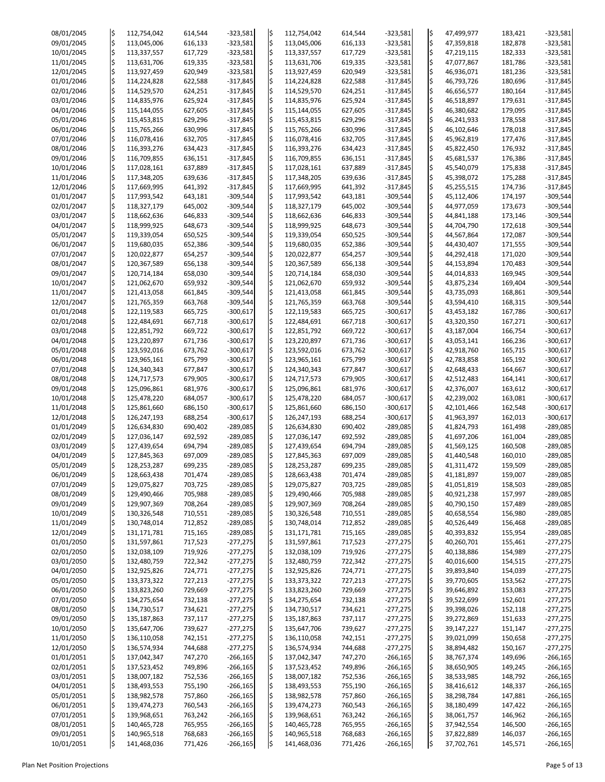| 08/01/2045 | l\$         | 112,754,042   | 614,544 | $-323,581$ | l\$ | 112,754,042   | 614,544 | $-323,581$ | ¦\$ | 47,499,977 | 183,421 | $-323,581$ |
|------------|-------------|---------------|---------|------------|-----|---------------|---------|------------|-----|------------|---------|------------|
| 09/01/2045 | \$          | 113,045,006   | 616,133 | $-323,581$ | l\$ | 113,045,006   | 616,133 | $-323,581$ | ¦\$ | 47,359,818 | 182,878 | $-323,581$ |
| 10/01/2045 | \$          | 113,337,557   | 617,729 | $-323,581$ | l\$ | 113,337,557   | 617,729 | $-323,581$ | \$  | 47,219,115 | 182,333 | $-323,581$ |
|            |             |               |         |            |     |               |         |            |     |            |         |            |
| 11/01/2045 | \$          | 113,631,706   | 619,335 | $-323,581$ | l\$ | 113,631,706   | 619,335 | $-323,581$ | ļ\$ | 47,077,867 | 181,786 | $-323,581$ |
| 12/01/2045 | l\$         | 113,927,459   | 620,949 | $-323,581$ | l\$ | 113,927,459   | 620,949 | $-323,581$ | ¦\$ | 46,936,071 | 181,236 | $-323,581$ |
| 01/01/2046 | \$          |               |         |            |     |               |         |            | ¦\$ |            |         |            |
|            |             | 114,224,828   | 622,588 | $-317,845$ | l\$ | 114,224,828   | 622,588 | $-317,845$ |     | 46,793,726 | 180,696 | $-317,845$ |
| 02/01/2046 | l\$         | 114,529,570   | 624,251 | $-317,845$ | I\$ | 114,529,570   | 624,251 | $-317,845$ | ¦\$ | 46,656,577 | 180,164 | $-317,845$ |
| 03/01/2046 | \$          | 114,835,976   | 625,924 | $-317,845$ | l\$ | 114,835,976   | 625,924 | $-317,845$ | ¦\$ | 46,518,897 | 179,631 | $-317,845$ |
|            |             |               |         |            |     |               |         |            |     |            |         |            |
| 04/01/2046 | \$          | 115,144,055   | 627,605 | $-317,845$ | l\$ | 115,144,055   | 627,605 | $-317,845$ | ¦\$ | 46,380,682 | 179,095 | $-317,845$ |
| 05/01/2046 | l\$         | 115,453,815   | 629,296 | $-317,845$ | l\$ | 115,453,815   | 629,296 | $-317,845$ | l\$ | 46,241,933 | 178,558 | $-317,845$ |
| 06/01/2046 | \$          | 115,765,266   | 630,996 | $-317,845$ |     | 115,765,266   | 630,996 | $-317,845$ | ¦\$ | 46,102,646 | 178,018 | $-317,845$ |
|            |             |               |         |            |     |               |         |            |     |            |         |            |
| 07/01/2046 | l\$         | 116,078,416   | 632,705 | $-317,845$ | I\$ | 116,078,416   | 632,705 | $-317,845$ | l\$ | 45,962,819 | 177,476 | $-317,845$ |
| 08/01/2046 | \$          | 116,393,276   | 634,423 | $-317,845$ | l\$ | 116,393,276   | 634,423 | $-317,845$ | l\$ | 45,822,450 | 176,932 | $-317,845$ |
|            | $\varsigma$ |               |         |            |     |               |         |            |     |            |         |            |
| 09/01/2046 |             | 116,709,855   | 636,151 | $-317,845$ | l\$ | 116,709,855   | 636,151 | $-317,845$ | ¦\$ | 45,681,537 | 176,386 | $-317,845$ |
| 10/01/2046 | l\$         | 117,028,161   | 637,889 | $-317,845$ | l\$ | 117,028,161   | 637,889 | $-317,845$ | l\$ | 45,540,079 | 175,838 | $-317,845$ |
| 11/01/2046 | \$          | 117,348,205   | 639,636 | $-317,845$ | l\$ | 117,348,205   | 639,636 | $-317,845$ | ¦\$ | 45,398,072 | 175,288 | $-317,845$ |
|            |             |               |         |            |     |               |         |            |     |            |         |            |
| 12/01/2046 | \$          | 117,669,995   | 641,392 | $-317,845$ | l\$ | 117,669,995   | 641,392 | $-317,845$ | l\$ | 45,255,515 | 174,736 | $-317,845$ |
| 01/01/2047 | \$          | 117,993,542   | 643,181 | $-309,544$ | l\$ | 117,993,542   | 643,181 | $-309,544$ | ¦\$ | 45,112,406 | 174,197 | $-309,544$ |
| 02/01/2047 | \$          | 118,327,179   | 645,002 | $-309,544$ | l\$ | 118,327,179   | 645,002 | $-309,544$ | ¦\$ | 44,977,059 | 173,673 | $-309,544$ |
|            |             |               |         |            |     |               |         |            |     |            |         |            |
| 03/01/2047 | l\$         | 118,662,636   | 646,833 | $-309,544$ | l\$ | 118,662,636   | 646,833 | $-309,544$ | ¦\$ | 44,841,188 | 173,146 | $-309,544$ |
| 04/01/2047 | \$          | 118,999,925   | 648,673 | $-309,544$ | l\$ | 118,999,925   | 648,673 | $-309,544$ | ¦\$ | 44,704,790 | 172,618 | $-309,544$ |
| 05/01/2047 | \$          | 119,339,054   |         | $-309,544$ |     | 119,339,054   |         | $-309,544$ | ¦\$ | 44,567,864 |         | $-309,544$ |
|            |             |               | 650,525 |            | l\$ |               | 650,525 |            |     |            | 172,087 |            |
| 06/01/2047 | \$          | 119,680,035   | 652,386 | $-309,544$ | l\$ | 119,680,035   | 652,386 | $-309,544$ | ļ\$ | 44,430,407 | 171,555 | $-309,544$ |
| 07/01/2047 | \$          | 120,022,877   | 654,257 | $-309,544$ | l\$ | 120,022,877   | 654,257 | $-309,544$ | \$  | 44,292,418 | 171,020 | $-309,544$ |
|            |             |               |         |            |     |               |         |            |     |            |         |            |
| 08/01/2047 | \$          | 120,367,589   | 656,138 | $-309,544$ | l\$ | 120,367,589   | 656,138 | $-309,544$ | ¦\$ | 44,153,894 | 170,483 | $-309,544$ |
| 09/01/2047 | \$          | 120,714,184   | 658,030 | $-309,544$ | l\$ | 120,714,184   | 658,030 | $-309,544$ | ¦\$ | 44,014,833 | 169,945 | $-309,544$ |
| 10/01/2047 | $\varsigma$ | 121,062,670   | 659,932 | $-309,544$ | l\$ | 121,062,670   | 659,932 | $-309,544$ | ¦\$ | 43,875,234 | 169,404 | $-309,544$ |
|            |             |               |         |            |     |               |         |            |     |            |         |            |
| 11/01/2047 | l\$         | 121,413,058   | 661,845 | $-309,544$ |     | 121,413,058   | 661,845 | $-309,544$ | ļ\$ | 43,735,093 | 168,861 | $-309,544$ |
| 12/01/2047 | \$          | 121,765,359   | 663,768 | $-309,544$ | l\$ | 121,765,359   | 663,768 | $-309,544$ | \$  | 43,594,410 | 168,315 | $-309,544$ |
| 01/01/2048 | \$          | 122,119,583   | 665,725 | $-300,617$ | l\$ | 122,119,583   | 665,725 | $-300,617$ | ļ\$ | 43,453,182 | 167,786 | $-300,617$ |
|            |             |               |         |            |     |               |         |            |     |            |         |            |
| 02/01/2048 | \$          | 122,484,691   | 667,718 | $-300,617$ | l\$ | 122,484,691   | 667,718 | $-300,617$ | l\$ | 43,320,350 | 167,271 | $-300,617$ |
| 03/01/2048 | l\$         | 122,851,792   | 669,722 | $-300,617$ |     | 122,851,792   | 669,722 | $-300,617$ | l\$ | 43,187,004 | 166,754 | $-300,617$ |
| 04/01/2048 | l\$         | 123,220,897   | 671,736 | $-300,617$ | I\$ | 123,220,897   | 671,736 | $-300,617$ | ļ\$ | 43,053,141 | 166,236 | $-300,617$ |
|            |             |               |         |            |     |               |         |            |     |            |         |            |
| 05/01/2048 | \$          | 123,592,016   | 673,762 | $-300,617$ | l\$ | 123,592,016   | 673,762 | $-300,617$ | ļ\$ | 42,918,760 | 165,715 | $-300,617$ |
| 06/01/2048 | \$          | 123,965,161   | 675,799 | $-300,617$ | I\$ | 123,965,161   | 675,799 | $-300,617$ | ¦\$ | 42,783,858 | 165,192 | $-300,617$ |
| 07/01/2048 |             |               |         |            |     |               |         | $-300,617$ |     |            |         |            |
|            |             | 124,340,343   | 677,847 | $-300,617$ |     | 124,340,343   | 677,847 |            | ļ\$ | 42,648,433 | 164,667 | $-300,617$ |
| 08/01/2048 | \$          | 124,717,573   | 679,905 | $-300,617$ | l\$ | 124,717,573   | 679,905 | $-300,617$ | \$  | 42,512,483 | 164,141 | $-300,617$ |
| 09/01/2048 | l\$         | 125,096,861   | 681,976 | $-300,617$ | I\$ | 125,096,861   | 681,976 | $-300,617$ | l\$ | 42,376,007 | 163,612 | $-300,617$ |
|            |             |               |         |            |     |               |         |            |     |            |         |            |
| 10/01/2048 | l\$         | 125,478,220   | 684,057 | $-300,617$ | l\$ | 125,478,220   | 684,057 | $-300,617$ | ļ\$ | 42,239,002 | 163,081 | $-300,617$ |
| 11/01/2048 | \$          | 125,861,660   | 686,150 | $-300,617$ |     | 125,861,660   | 686,150 | $-300,617$ | ļ\$ | 42,101,466 | 162,548 | $-300,617$ |
| 12/01/2048 | ı\$         | 126,247,193   | 688,254 | $-300,617$ |     | 126,247,193   | 688,254 | $-300,617$ | ļ\$ | 41,963,397 | 162,013 | $-300,617$ |
|            |             |               |         |            |     |               |         |            |     |            |         |            |
| 01/01/2049 | l\$         | 126,634,830   | 690,402 | $-289,085$ | l\$ | 126,634,830   | 690,402 | $-289,085$ | l\$ | 41,824,793 | 161,498 | $-289,085$ |
| 02/01/2049 | ¦\$         | 127,036,147   | 692,592 | $-289,085$ | l\$ | 127,036,147   | 692,592 | $-289,085$ | ļ\$ | 41,697,206 | 161,004 | $-289,085$ |
| 03/01/2049 |             | 127,439,654   | 694,794 | $-289,085$ | l\$ | 127,439,654   | 694,794 | $-289,085$ | l\$ | 41,569,125 | 160,508 | $-289,085$ |
|            |             |               |         |            |     |               |         |            |     |            |         |            |
| 04/01/2049 | \$          | 127,845,363   | 697,009 | $-289,085$ |     | 127,845,363   | 697,009 | $-289,085$ | ļ\$ | 41,440,548 | 160,010 | $-289,085$ |
| 05/01/2049 | l\$         | 128,253,287   | 699,235 | $-289,085$ | IŞ  | 128,253,287   | 699,235 | $-289,085$ | l\$ | 41,311,472 | 159,509 | $-289,085$ |
| 06/01/2049 | l\$         | 128,663,438   | 701,474 | $-289,085$ | l\$ | 128,663,438   | 701,474 | $-289,085$ | \$  | 41,181,897 | 159,007 | $-289,085$ |
|            |             |               |         |            |     |               |         |            |     |            |         |            |
| 07/01/2049 | ¦\$         | 129,075,827   | 703,725 | $-289,085$ | l\$ | 129,075,827   | 703,725 | $-289,085$ | l\$ | 41,051,819 | 158,503 | $-289,085$ |
| 08/01/2049 |             | 129,490,466   | 705,988 | $-289,085$ | l\$ | 129,490,466   | 705,988 | $-289,085$ | ļ\$ | 40,921,238 | 157,997 | $-289,085$ |
|            |             |               |         |            |     |               |         |            |     |            |         |            |
| 09/01/2049 | \$          | 129,907,369   | 708,264 | $-289,085$ | l\$ | 129,907,369   | 708,264 | $-289,085$ | ¦\$ | 40,790,150 | 157,489 | $-289,085$ |
| 10/01/2049 | l\$         | 130,326,548   | 710,551 | $-289,085$ |     | 130,326,548   | 710,551 | $-289,085$ | ļ\$ | 40,658,554 | 156,980 | $-289,085$ |
| 11/01/2049 | \$          | 130,748,014   | 712,852 | $-289,085$ | l\$ | 130,748,014   | 712,852 | $-289,085$ | ļ\$ | 40,526,449 | 156,468 | $-289,085$ |
|            |             |               |         |            |     |               |         |            |     |            |         |            |
| 12/01/2049 | \$,         | 131,171,781   | 715,165 | $-289,085$ | I\$ | 131,171,781   | 715,165 | $-289,085$ | ¦\$ | 40,393,832 | 155,954 | $-289,085$ |
| 01/01/2050 | l\$         | 131,597,861   | 717,523 | $-277,275$ | I\$ | 131,597,861   | 717,523 | $-277,275$ | ļ\$ | 40,260,701 | 155,461 | $-277,275$ |
| 02/01/2050 | l\$         | 132,038,109   | 719,926 | $-277,275$ | l\$ | 132,038,109   | 719,926 | $-277,275$ | ļ\$ | 40,138,886 | 154,989 | $-277,275$ |
|            |             |               |         |            |     |               |         |            |     |            |         |            |
| 03/01/2050 | \$          | 132,480,759   | 722,342 | $-277,275$ | I\$ | 132,480,759   | 722,342 | $-277,275$ | ¦\$ | 40,016,600 | 154,515 | $-277,275$ |
| 04/01/2050 |             | 132,925,826   | 724,771 | $-277,275$ | l\$ | 132,925,826   | 724,771 | $-277,275$ | l\$ | 39,893,840 | 154,039 | $-277,275$ |
| 05/01/2050 | \$          | 133, 373, 322 | 727,213 | $-277,275$ |     | 133, 373, 322 | 727,213 | $-277,275$ | ¦\$ | 39,770,605 | 153,562 | $-277,275$ |
|            |             |               |         |            |     |               |         |            |     |            |         |            |
| 06/01/2050 | l\$         | 133,823,260   | 729,669 | $-277,275$ | I\$ | 133,823,260   | 729,669 | $-277,275$ | l\$ | 39,646,892 | 153,083 | $-277,275$ |
| 07/01/2050 | l\$         | 134,275,654   | 732,138 | $-277,275$ | l\$ | 134,275,654   | 732,138 | $-277,275$ | ļ\$ | 39,522,699 | 152,601 | $-277,275$ |
| 08/01/2050 | \$          | 134,730,517   | 734,621 | $-277,275$ |     | 134,730,517   | 734,621 | $-277,275$ |     | 39,398,026 | 152,118 | $-277,275$ |
|            |             |               |         |            |     |               |         |            |     |            |         |            |
| 09/01/2050 |             | 135,187,863   | 737,117 | $-277,275$ |     | 135,187,863   | 737,117 | $-277,275$ |     | 39,272,869 | 151,633 | $-277,275$ |
| 10/01/2050 | \$          | 135,647,706   | 739,627 | $-277,275$ | I¢  | 135,647,706   | 739,627 | $-277,275$ | ļ\$ | 39,147,227 | 151,147 | $-277,275$ |
| 11/01/2050 | l\$         | 136,110,058   |         | $-277,275$ |     |               |         | $-277,275$ | ļ\$ | 39,021,099 | 150,658 | $-277,275$ |
|            |             |               | 742,151 |            | I\$ | 136,110,058   | 742,151 |            |     |            |         |            |
| 12/01/2050 | \$          | 136,574,934   | 744,688 | $-277,275$ |     | 136,574,934   | 744,688 | $-277,275$ | ¦\$ | 38,894,482 | 150,167 | $-277,275$ |
| 01/01/2051 | \$          | 137,042,347   | 747,270 | $-266,165$ |     | 137,042,347   | 747,270 | $-266,165$ | ļ\$ | 38,767,374 | 149,696 | $-266,165$ |
|            |             |               |         |            |     |               |         |            |     |            |         |            |
| 02/01/2051 | ı\$         | 137,523,452   | 749,896 | $-266,165$ |     | 137,523,452   | 749,896 | $-266,165$ | l\$ | 38,650,905 | 149,245 | $-266,165$ |
| 03/01/2051 | \$          | 138,007,182   | 752,536 | $-266,165$ |     | 138,007,182   | 752,536 | $-266,165$ |     | 38,533,985 | 148,792 | $-266,165$ |
| 04/01/2051 | \$          | 138,493,553   | 755,190 | $-266,165$ |     | 138,493,553   | 755,190 | $-266,165$ |     | 38,416,612 | 148,337 | $-266,165$ |
|            |             |               |         |            |     |               |         |            |     |            |         |            |
| 05/01/2051 |             | 138,982,578   | 757,860 | $-266,165$ |     | 138,982,578   | 757,860 | $-266,165$ |     | 38,298,784 | 147,881 | $-266,165$ |
| 06/01/2051 | \$          | 139,474,273   | 760,543 | $-266,165$ |     | 139,474,273   | 760,543 | $-266,165$ | \$  | 38,180,499 | 147,422 | $-266,165$ |
| 07/01/2051 | l\$         | 139,968,651   | 763,242 | $-266,165$ |     | 139,968,651   | 763,242 | $-266,165$ | I\$ | 38,061,757 | 146,962 | $-266,165$ |
|            |             |               |         |            |     |               |         |            |     |            |         |            |
| 08/01/2051 | \$          | 140,465,728   | 765,955 | $-266,165$ |     | 140,465,728   | 765,955 | $-266,165$ | l\$ | 37,942,554 | 146,500 | $-266,165$ |
| 09/01/2051 | \$          | 140,965,518   | 768,683 | $-266,165$ |     | 140,965,518   | 768,683 | $-266,165$ | \$  | 37,822,889 | 146,037 | $-266,165$ |
| 10/01/2051 | l\$         | 141,468,036   | 771,426 | $-266,165$ |     | 141,468,036   | 771,426 | $-266,165$ | l\$ | 37,702,761 | 145,571 | $-266,165$ |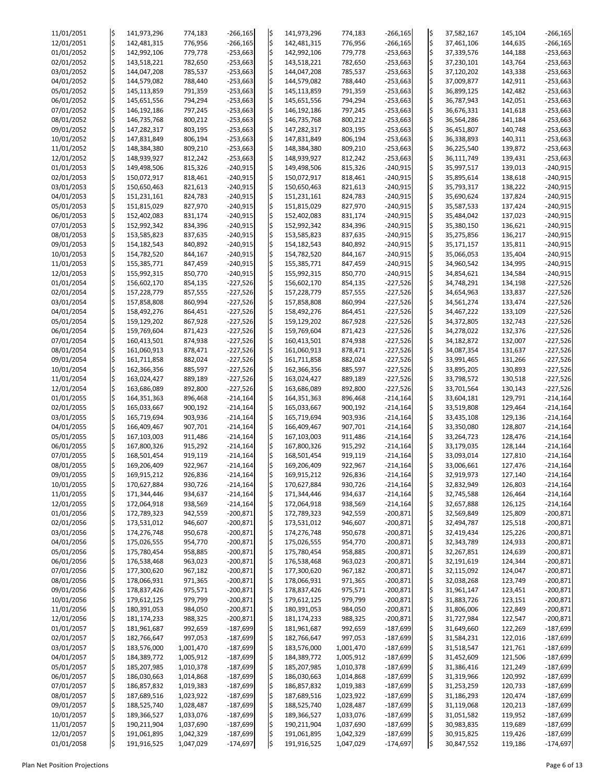| 11/01/2051 | l\$ | 141,973,296 | 774,183   | $-266,165$ | l\$ | 141,973,296 | 774,183   | $-266,165$ | ļ\$ | 37,582,167 | 145,104 | $-266,165$ |
|------------|-----|-------------|-----------|------------|-----|-------------|-----------|------------|-----|------------|---------|------------|
| 12/01/2051 | l\$ | 142,481,315 | 776,956   | $-266,165$ | l\$ | 142,481,315 | 776,956   | $-266,165$ | l\$ | 37,461,106 | 144,635 | $-266,165$ |
| 01/01/2052 | l\$ | 142,992,106 | 779,778   | $-253,663$ | l\$ | 142,992,106 | 779,778   | $-253,663$ | \$  | 37,339,576 | 144,188 | $-253,663$ |
|            |     |             |           |            |     |             |           |            | ļ\$ |            |         |            |
| 02/01/2052 | l\$ | 143,518,221 | 782,650   | $-253,663$ | l\$ | 143,518,221 | 782,650   | $-253,663$ |     | 37,230,101 | 143,764 | $-253,663$ |
| 03/01/2052 | l\$ | 144,047,208 | 785,537   | $-253,663$ | l\$ | 144,047,208 | 785,537   | $-253,663$ | l\$ | 37,120,202 | 143,338 | $-253,663$ |
| 04/01/2052 | ¦\$ | 144,579,082 | 788,440   | $-253,663$ | I\$ | 144,579,082 | 788,440   | $-253,663$ | l\$ | 37,009,877 | 142,911 | $-253,663$ |
| 05/01/2052 | l\$ | 145,113,859 | 791,359   | $-253,663$ | I\$ | 145,113,859 | 791,359   | $-253,663$ | l\$ | 36,899,125 | 142,482 | $-253,663$ |
|            |     |             |           |            |     |             |           |            |     |            |         |            |
| 06/01/2052 | l\$ | 145,651,556 | 794,294   | $-253,663$ | l\$ | 145,651,556 | 794,294   | $-253,663$ | l\$ | 36,787,943 | 142,051 | $-253,663$ |
| 07/01/2052 | ¦\$ | 146,192,186 | 797,245   | $-253,663$ | l\$ | 146,192,186 | 797,245   | $-253,663$ | ¦\$ | 36,676,331 | 141,618 | $-253,663$ |
|            |     |             |           |            |     |             |           |            |     |            |         |            |
| 08/01/2052 | l\$ | 146,735,768 | 800,212   | $-253,663$ | l\$ | 146,735,768 | 800,212   | $-253,663$ | l\$ | 36,564,286 | 141,184 | $-253,663$ |
| 09/01/2052 | ¦\$ | 147,282,317 | 803,195   | $-253,663$ |     | 147,282,317 | 803,195   | $-253,663$ | l\$ | 36,451,807 | 140,748 | $-253,663$ |
| 10/01/2052 | l\$ | 147,831,849 | 806,194   | $-253,663$ | I\$ | 147,831,849 | 806,194   | $-253,663$ | l\$ | 36,338,893 | 140,311 | $-253,663$ |
| 11/01/2052 | l\$ |             |           | $-253,663$ |     |             | 809,210   | $-253,663$ | l\$ |            | 139,872 |            |
|            |     | 148,384,380 | 809,210   |            | l\$ | 148,384,380 |           |            |     | 36,225,540 |         | $-253,663$ |
| 12/01/2052 | l\$ | 148,939,927 | 812,242   | $-253,663$ | ļ\$ | 148,939,927 | 812,242   | $-253,663$ | l\$ | 36,111,749 | 139,431 | $-253,663$ |
| 01/01/2053 | l\$ | 149,498,506 | 815,326   | $-240,915$ | I\$ | 149,498,506 | 815,326   | $-240,915$ | l\$ | 35,997,517 | 139,013 | $-240,915$ |
|            |     |             |           |            |     |             |           |            |     |            |         |            |
| 02/01/2053 | l\$ | 150,072,917 | 818,461   | $-240,915$ | l\$ | 150,072,917 | 818,461   | $-240,915$ | l\$ | 35,895,614 | 138,618 | $-240,915$ |
| 03/01/2053 | l\$ | 150,650,463 | 821,613   | $-240,915$ |     | 150,650,463 | 821,613   | $-240,915$ | l\$ | 35,793,317 | 138,222 | $-240,915$ |
| 04/01/2053 | l\$ | 151,231,161 | 824,783   | $-240,915$ | l\$ | 151,231,161 | 824,783   | $-240,915$ | l\$ | 35,690,624 | 137,824 | $-240,915$ |
| 05/01/2053 | l\$ | 151,815,029 | 827,970   | $-240,915$ | l\$ | 151,815,029 | 827,970   | $-240,915$ | l\$ | 35,587,533 | 137,424 | $-240,915$ |
|            |     |             |           |            |     |             |           |            |     |            |         |            |
| 06/01/2053 | l\$ | 152,402,083 | 831,174   | $-240,915$ | l\$ | 152,402,083 | 831,174   | $-240,915$ | l\$ | 35,484,042 | 137,023 | $-240,915$ |
| 07/01/2053 | l\$ | 152,992,342 | 834,396   | $-240,915$ | l\$ | 152,992,342 | 834,396   | $-240,915$ | l\$ | 35,380,150 | 136,621 | $-240,915$ |
| 08/01/2053 | l\$ | 153,585,823 | 837,635   | $-240,915$ | l\$ | 153,585,823 | 837,635   | $-240,915$ | l\$ | 35,275,856 | 136,217 | $-240,915$ |
|            |     |             |           |            |     |             |           |            |     |            |         |            |
| 09/01/2053 | l\$ | 154,182,543 | 840,892   | $-240,915$ | l\$ | 154,182,543 | 840,892   | $-240,915$ | l\$ | 35,171,157 | 135,811 | $-240,915$ |
| 10/01/2053 | l\$ | 154,782,520 | 844,167   | $-240,915$ |     | 154,782,520 | 844,167   | $-240,915$ | ¦\$ | 35,066,053 | 135,404 | $-240,915$ |
| 11/01/2053 | l\$ | 155,385,771 | 847,459   | $-240,915$ | l\$ | 155,385,771 | 847,459   | $-240,915$ | l\$ | 34,960,542 | 134,995 | $-240,915$ |
|            |     |             |           |            |     |             |           |            |     |            |         |            |
| 12/01/2053 | l\$ | 155,992,315 | 850,770   | $-240,915$ | l\$ | 155,992,315 | 850,770   | $-240,915$ | l\$ | 34,854,621 | 134,584 | $-240,915$ |
| 01/01/2054 | l\$ | 156,602,170 | 854,135   | $-227,526$ | I\$ | 156,602,170 | 854,135   | $-227,526$ | l\$ | 34,748,291 | 134,198 | $-227,526$ |
| 02/01/2054 | l\$ | 157,228,779 | 857,555   | $-227,526$ |     | 157,228,779 | 857,555   | $-227,526$ | l\$ | 34,654,963 | 133,837 | $-227,526$ |
|            |     |             |           |            |     |             |           |            |     |            |         |            |
| 03/01/2054 | l\$ | 157,858,808 | 860,994   | $-227,526$ | l\$ | 157,858,808 | 860,994   | $-227,526$ | ļ\$ | 34,561,274 | 133,474 | $-227,526$ |
| 04/01/2054 |     | 158,492,276 | 864,451   | $-227,526$ | l\$ | 158,492,276 | 864,451   | $-227,526$ | l\$ | 34,467,222 | 133,109 | $-227,526$ |
| 05/01/2054 | l\$ | 159,129,202 | 867,928   | $-227,526$ | l\$ | 159,129,202 | 867,928   | $-227,526$ | l\$ | 34,372,805 | 132,743 | $-227,526$ |
|            |     |             |           |            |     |             |           |            |     |            |         |            |
| 06/01/2054 | I\$ | 159,769,604 | 871,423   | $-227,526$ |     | 159,769,604 | 871,423   | $-227,526$ | l\$ | 34,278,022 | 132,376 | $-227,526$ |
| 07/01/2054 | l\$ | 160,413,501 | 874,938   | $-227,526$ | I\$ | 160,413,501 | 874,938   | $-227,526$ | l\$ | 34,182,872 | 132,007 | $-227,526$ |
| 08/01/2054 |     | 161,060,913 | 878,471   | $-227,526$ | l\$ | 161,060,913 | 878,471   | $-227,526$ | l\$ | 34,087,354 | 131,637 | $-227,526$ |
|            |     |             |           |            |     |             |           |            |     |            |         |            |
| 09/01/2054 |     | 161,711,858 | 882,024   | $-227,526$ | ļ\$ | 161,711,858 | 882,024   | $-227,526$ | l\$ | 33,991,465 | 131,266 | $-227,526$ |
| 10/01/2054 |     | 162,366,356 | 885,597   | $-227,526$ |     | 162,366,356 | 885,597   | $-227,526$ | l\$ | 33,895,205 | 130,893 | $-227,526$ |
| 11/01/2054 | l\$ | 163,024,427 | 889,189   | $-227,526$ |     | 163,024,427 | 889,189   | $-227,526$ | ļ\$ | 33,798,572 | 130,518 | $-227,526$ |
|            |     |             |           |            |     |             |           |            |     |            |         |            |
| 12/01/2054 |     | 163,686,089 | 892,800   | $-227,526$ | l\$ | 163,686,089 | 892,800   | $-227,526$ | l\$ | 33,701,564 | 130,143 | $-227,526$ |
| 01/01/2055 |     | 164,351,363 | 896,468   | $-214,164$ | l\$ | 164,351,363 | 896,468   | $-214,164$ | l\$ | 33,604,181 | 129,791 | $-214,164$ |
| 02/01/2055 |     | 165,033,667 | 900,192   | $-214,164$ |     | 165,033,667 | 900,192   | $-214,164$ | l\$ | 33,519,808 | 129,464 | $-214,164$ |
|            |     |             |           |            |     |             |           |            |     |            |         |            |
| 03/01/2055 |     | 165,719,694 | 903,936   | $-214,164$ |     | 165,719,694 | 903,936   | $-214,164$ | l\$ | 33,435,108 | 129,136 | $-214,164$ |
| 04/01/2055 | l\$ | 166,409,467 | 907,701   | $-214,164$ | l\$ | 166,409,467 | 907,701   | $-214,164$ | l\$ | 33,350,080 | 128,807 | $-214,164$ |
| 05/01/2055 |     | 167,103,003 | 911,486   | $-214,164$ | l\$ | 167,103,003 | 911,486   | $-214,164$ | l\$ | 33,264,723 | 128,476 | $-214,164$ |
|            |     |             |           |            |     |             |           |            |     |            |         |            |
| 06/01/2055 |     | 167,800,326 | 915,292   | $-214,164$ | l\$ | 167,800,326 | 915,292   | $-214,164$ | l\$ | 33,179,035 | 128,144 | $-214,164$ |
| 07/01/2055 |     | 168,501,454 | 919,119   | $-214,164$ |     | 168,501,454 | 919,119   | $-214,164$ | ļ\$ | 33,093,014 | 127,810 | $-214,164$ |
| 08/01/2055 |     | 169,206,409 | 922,967   | $-214,164$ |     | 169,206,409 | 922,967   | $-214,164$ | l\$ | 33,006,661 | 127,476 | $-214,164$ |
|            |     |             |           |            |     |             |           |            |     |            |         |            |
| 09/01/2055 |     | 169,915,212 | 926,836   | $-214,164$ | l\$ | 169,915,212 | 926,836   | $-214,164$ | l\$ | 32,919,973 | 127,140 | $-214,164$ |
| 10/01/2055 |     | 170,627,884 | 930,726   | $-214,164$ | l\$ | 170,627,884 | 930,726   | $-214,164$ | l\$ | 32,832,949 | 126,803 | $-214,164$ |
| 11/01/2055 |     | 171,344,446 | 934,637   | $-214,164$ | l\$ | 171,344,446 | 934,637   | $-214,164$ | l\$ | 32,745,588 | 126,464 | $-214,164$ |
|            |     |             |           |            |     |             |           |            |     |            |         |            |
| 12/01/2055 | l\$ | 172,064,918 | 938,569   | $-214,164$ | l\$ | 172,064,918 | 938,569   | $-214,164$ | \$  | 32,657,888 | 126,125 | $-214,164$ |
| 01/01/2056 |     | 172,789,323 | 942,559   | $-200,871$ |     | 172,789,323 | 942,559   | $-200,871$ | l\$ | 32,569,849 | 125,809 | $-200,871$ |
| 02/01/2056 |     | 173,531,012 | 946,607   | $-200,871$ | l\$ | 173,531,012 | 946,607   | $-200,871$ | l\$ | 32,494,787 | 125,518 | $-200,871$ |
| 03/01/2056 |     |             |           | $-200,871$ |     |             |           |            | l\$ |            |         |            |
|            |     | 174,276,748 | 950,678   |            | I\$ | 174,276,748 | 950,678   | $-200,871$ |     | 32,419,434 | 125,226 | $-200,871$ |
| 04/01/2056 |     | 175,026,555 | 954,770   | $-200,871$ | I\$ | 175,026,555 | 954,770   | $-200,871$ | l\$ | 32,343,789 | 124,933 | $-200,871$ |
| 05/01/2056 |     | 175,780,454 | 958,885   | $-200,871$ | l\$ | 175,780,454 | 958,885   | $-200,871$ | l\$ | 32,267,851 | 124,639 | $-200,871$ |
| 06/01/2056 |     | 176,538,468 | 963,023   | $-200,871$ | ļ\$ | 176,538,468 | 963,023   | $-200,871$ | l\$ | 32,191,619 | 124,344 | $-200,871$ |
|            |     |             |           |            |     |             |           |            |     |            |         |            |
| 07/01/2056 |     | 177,300,620 | 967,182   | $-200,871$ | l\$ | 177,300,620 | 967,182   | $-200,871$ | l\$ | 32,115,092 | 124,047 | $-200,871$ |
| 08/01/2056 |     | 178,066,931 | 971,365   | $-200,871$ |     | 178,066,931 | 971,365   | $-200,871$ | l\$ | 32,038,268 | 123,749 | $-200,871$ |
| 09/01/2056 |     | 178,837,426 | 975,571   | $-200,871$ | I\$ | 178,837,426 | 975,571   | $-200,871$ | l\$ | 31,961,147 | 123,451 | $-200,871$ |
|            |     |             |           |            |     |             |           |            |     |            |         |            |
| 10/01/2056 |     | 179,612,125 | 979,799   | $-200,871$ | l\$ | 179,612,125 | 979,799   | $-200,871$ | l\$ | 31,883,726 | 123,151 | $-200,871$ |
| 11/01/2056 |     | 180,391,053 | 984,050   | $-200,871$ |     | 180,391,053 | 984,050   | $-200,871$ | l\$ | 31,806,006 | 122,849 | $-200,871$ |
| 12/01/2056 |     | 181,174,233 | 988,325   | $-200,871$ |     | 181,174,233 | 988,325   | $-200,871$ |     | 31,727,984 | 122,547 | $-200,871$ |
| 01/01/2057 | \$  | 181,961,687 | 992,659   | $-187,699$ | k.  | 181,961,687 | 992,659   | $-187,699$ | ļ\$ | 31,649,660 | 122,269 | $-187,699$ |
|            |     |             |           |            |     |             |           |            |     |            |         |            |
| 02/01/2057 | l\$ | 182,766,647 | 997,053   | $-187,699$ | ļ\$ | 182,766,647 | 997,053   | $-187,699$ | ļ\$ | 31,584,231 | 122,016 | $-187,699$ |
| 03/01/2057 | l\$ | 183,576,000 | 1,001,470 | $-187,699$ | ļ\$ | 183,576,000 | 1,001,470 | $-187,699$ | ļ\$ | 31,518,547 | 121,761 | $-187,699$ |
| 04/01/2057 |     | 184,389,772 | 1,005,912 | $-187,699$ |     | 184,389,772 | 1,005,912 | $-187,699$ | ļ\$ | 31,452,609 | 121,506 | $-187,699$ |
|            | \$  |             |           |            | ļ\$ |             |           |            |     |            |         |            |
| 05/01/2057 | I\$ | 185,207,985 | 1,010,378 | $-187,699$ | ļ\$ | 185,207,985 | 1,010,378 | $-187,699$ | ļ\$ | 31,386,416 | 121,249 | $-187,699$ |
| 06/01/2057 |     | 186,030,663 | 1,014,868 | $-187,699$ | ļ\$ | 186,030,663 | 1,014,868 | $-187,699$ | \$  | 31,319,966 | 120,992 | $-187,699$ |
| 07/01/2057 | \$  | 186,857,832 | 1,019,383 | $-187,699$ |     | 186,857,832 | 1,019,383 | $-187,699$ | ļ\$ | 31,253,259 | 120,733 | $-187,699$ |
|            |     |             |           |            | ļ\$ |             |           |            |     |            |         |            |
| 08/01/2057 |     | 187,689,516 | 1,023,922 | $-187,699$ |     | 187,689,516 | 1,023,922 | $-187,699$ | l\$ | 31,186,293 | 120,474 | $-187,699$ |
| 09/01/2057 | \$  | 188,525,740 | 1,028,487 | $-187,699$ |     | 188,525,740 | 1,028,487 | $-187,699$ | \$  | 31,119,068 | 120,213 | $-187,699$ |
| 10/01/2057 |     | 189,366,527 | 1,033,076 | $-187,699$ |     | 189,366,527 | 1,033,076 | $-187,699$ | ļ\$ | 31,051,582 | 119,952 | $-187,699$ |
|            | I\$ |             |           |            | ΙŞ  |             |           |            |     |            |         |            |
| 11/01/2057 | l\$ | 190,211,904 | 1,037,690 | $-187,699$ | I\$ | 190,211,904 | 1,037,690 | $-187,699$ | ļ\$ | 30,983,835 | 119,689 | $-187,699$ |
| 12/01/2057 | \$  | 191,061,895 | 1,042,329 | $-187,699$ | ļ\$ | 191,061,895 | 1,042,329 | $-187,699$ | ļ\$ | 30,915,825 | 119,426 | $-187,699$ |
| 01/01/2058 | l\$ | 191,916,525 | 1,047,029 | $-174,697$ |     | 191,916,525 | 1,047,029 | $-174,697$ | ļ\$ | 30,847,552 | 119,186 | $-174,697$ |
|            |     |             |           |            |     |             |           |            |     |            |         |            |

Plan Net Position Projections **Page 6 of 13** Page 6 of 13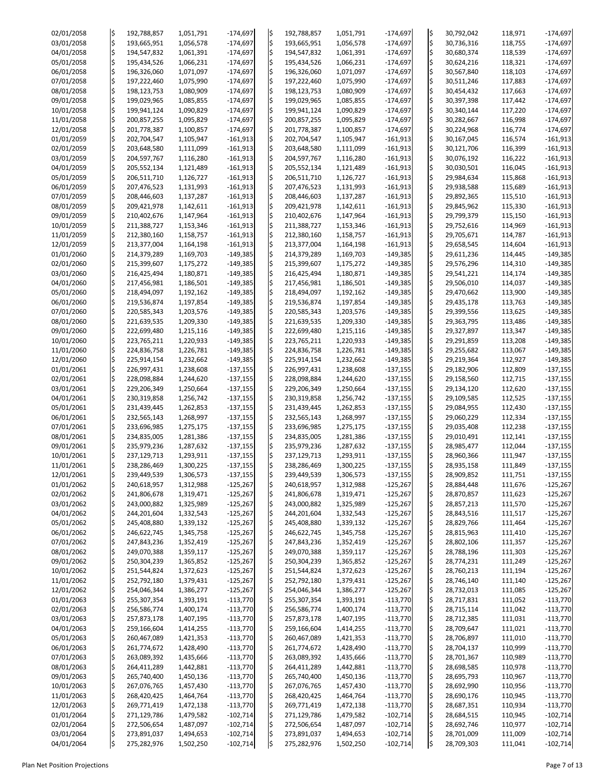| 02/01/2058 | l\$           | 192,788,857 | 1,051,791 | $-174,697$ | l\$ | 192,788,857 | 1,051,791 | $-174,697$ | ļ\$                | 30,792,042 | 118,971 | $-174,697$ |
|------------|---------------|-------------|-----------|------------|-----|-------------|-----------|------------|--------------------|------------|---------|------------|
| 03/01/2058 | $\frac{1}{2}$ | 193,665,951 | 1,056,578 | $-174,697$ | l\$ | 193,665,951 | 1,056,578 | $-174,697$ | l\$                | 30,736,316 | 118,755 | $-174,697$ |
|            |               |             |           |            |     |             |           |            |                    |            |         |            |
| 04/01/2058 | \$            | 194,547,832 | 1,061,391 | $-174,697$ | l\$ | 194,547,832 | 1,061,391 | $-174,697$ | l\$                | 30,680,374 | 118,539 | $-174,697$ |
| 05/01/2058 | \$            | 195,434,526 | 1,066,231 | $-174,697$ | l\$ | 195,434,526 | 1,066,231 | $-174,697$ | l\$                | 30,624,216 | 118,321 | $-174,697$ |
| 06/01/2058 | \$            | 196,326,060 | 1,071,097 | $-174,697$ | l\$ | 196,326,060 | 1,071,097 | $-174,697$ | l\$                | 30,567,840 | 118,103 | $-174,697$ |
| 07/01/2058 | $\frac{1}{2}$ | 197,222,460 | 1,075,990 | $-174,697$ | l\$ | 197,222,460 | 1,075,990 | $-174,697$ | l\$                | 30,511,246 | 117,883 | $-174,697$ |
| 08/01/2058 | \$            | 198,123,753 | 1,080,909 | $-174,697$ | l\$ | 198,123,753 | 1,080,909 | $-174,697$ | l\$                | 30,454,432 | 117,663 | $-174,697$ |
| 09/01/2058 | $\frac{1}{2}$ | 199,029,965 | 1,085,855 | $-174,697$ | l\$ | 199,029,965 | 1,085,855 | $-174,697$ | l\$                | 30,397,398 | 117,442 | $-174,697$ |
| 10/01/2058 | \$            | 199,941,124 | 1,090,829 | $-174,697$ | l\$ | 199,941,124 | 1,090,829 | $-174,697$ | l\$                | 30,340,144 | 117,220 | $-174,697$ |
| 11/01/2058 | \$            | 200,857,255 |           | $-174,697$ | l\$ |             |           | $-174,697$ | l\$                |            | 116,998 | $-174,697$ |
|            |               |             | 1,095,829 |            |     | 200,857,255 | 1,095,829 |            |                    | 30,282,667 |         |            |
| 12/01/2058 | $\varsigma$   | 201,778,387 | 1,100,857 | $-174,697$ | l\$ | 201,778,387 | 1,100,857 | $-174,697$ | l\$                | 30,224,968 | 116,774 | $-174,697$ |
| 01/01/2059 | \$            | 202,704,547 | 1,105,947 | $-161,913$ | l\$ | 202,704,547 | 1,105,947 | $-161,913$ | l\$                | 30,167,045 | 116,574 | $-161,913$ |
| 02/01/2059 | $\frac{1}{2}$ | 203,648,580 | 1,111,099 | $-161,913$ | l\$ | 203,648,580 | 1,111,099 | $-161,913$ | l\$                | 30,121,706 | 116,399 | $-161,913$ |
| 03/01/2059 | $\varsigma$   | 204,597,767 | 1,116,280 | $-161,913$ | l\$ | 204,597,767 | 1,116,280 | $-161,913$ | l\$                | 30,076,192 | 116,222 | $-161,913$ |
| 04/01/2059 | \$            | 205,552,134 | 1,121,489 | $-161,913$ | l\$ | 205,552,134 | 1,121,489 | $-161,913$ | l\$                | 30,030,501 | 116,045 | $-161,913$ |
| 05/01/2059 | \$            | 206,511,710 | 1,126,727 | $-161,913$ | l\$ | 206,511,710 | 1,126,727 | $-161,913$ | \$                 | 29,984,634 | 115,868 | $-161,913$ |
| 06/01/2059 | \$            | 207,476,523 | 1,131,993 | $-161,913$ | l\$ | 207,476,523 | 1,131,993 | $-161,913$ | l\$                | 29,938,588 | 115,689 | $-161,913$ |
| 07/01/2059 | $\frac{1}{2}$ | 208,446,603 | 1,137,287 | $-161,913$ | l\$ | 208,446,603 | 1,137,287 | $-161,913$ | l\$                | 29,892,365 | 115,510 | $-161,913$ |
|            |               |             |           |            |     |             |           |            |                    |            |         |            |
| 08/01/2059 | \$            | 209,421,978 | 1,142,611 | $-161,913$ | l\$ | 209,421,978 | 1,142,611 | $-161,913$ | l\$                | 29,845,962 | 115,330 | $-161,913$ |
| 09/01/2059 | \$            | 210,402,676 | 1,147,964 | $-161,913$ | l\$ | 210,402,676 | 1,147,964 | $-161,913$ | ¦\$                | 29,799,379 | 115,150 | $-161,913$ |
| 10/01/2059 | $\frac{1}{2}$ | 211,388,727 | 1,153,346 | $-161,913$ | l\$ | 211,388,727 | 1,153,346 | $-161,913$ | l\$                | 29,752,616 | 114,969 | $-161,913$ |
| 11/01/2059 | $\varsigma$   | 212,380,160 | 1,158,757 | $-161,913$ | l\$ | 212,380,160 | 1,158,757 | $-161,913$ | l\$                | 29,705,671 | 114,787 | $-161,913$ |
| 12/01/2059 | \$            | 213,377,004 | 1,164,198 | $-161,913$ | l\$ | 213,377,004 | 1,164,198 | $-161,913$ | l\$                | 29,658,545 | 114,604 | $-161,913$ |
| 01/01/2060 | \$            | 214,379,289 | 1,169,703 | $-149,385$ | l\$ | 214,379,289 | 1,169,703 | $-149,385$ | ļ\$                | 29,611,236 | 114,445 | $-149,385$ |
| 02/01/2060 | \$            | 215,399,607 | 1,175,272 | $-149,385$ | l\$ | 215,399,607 | 1,175,272 | $-149,385$ | l\$                | 29,576,296 | 114,310 | $-149,385$ |
| 03/01/2060 | $\frac{1}{2}$ | 216,425,494 | 1,180,871 | $-149,385$ | l\$ |             |           | $-149,385$ | l\$                |            |         |            |
|            |               |             |           |            |     | 216,425,494 | 1,180,871 |            |                    | 29,541,221 | 114,174 | $-149,385$ |
| 04/01/2060 | $\frac{1}{2}$ | 217,456,981 | 1,186,501 | $-149,385$ | l\$ | 217,456,981 | 1,186,501 | $-149,385$ | l\$                | 29,506,010 | 114,037 | $-149,385$ |
| 05/01/2060 | \$            | 218,494,097 | 1,192,162 | $-149,385$ | l\$ | 218,494,097 | 1,192,162 | $-149,385$ | ¦\$                | 29,470,662 | 113,900 | $-149,385$ |
| 06/01/2060 | \$            | 219,536,874 | 1,197,854 | $-149,385$ | l\$ | 219,536,874 | 1,197,854 | $-149,385$ | l\$                | 29,435,178 | 113,763 | $-149,385$ |
| 07/01/2060 | \$            | 220,585,343 | 1,203,576 | $-149,385$ | l\$ | 220,585,343 | 1,203,576 | $-149,385$ | ¦\$                | 29,399,556 | 113,625 | $-149,385$ |
| 08/01/2060 | \$            | 221,639,535 | 1,209,330 | $-149,385$ | l\$ | 221,639,535 | 1,209,330 | $-149,385$ | $\ddot{\varsigma}$ | 29,363,795 | 113,486 | $-149,385$ |
| 09/01/2060 | l\$           | 222,699,480 | 1,215,116 | $-149,385$ |     | 222,699,480 | 1,215,116 | $-149,385$ | l\$                | 29,327,897 | 113,347 | $-149,385$ |
| 10/01/2060 | l\$           | 223,765,211 | 1,220,933 | $-149,385$ | l\$ | 223,765,211 | 1,220,933 | $-149,385$ | l\$                | 29,291,859 | 113,208 | $-149,385$ |
|            |               |             |           |            |     |             |           |            |                    |            |         |            |
| 11/01/2060 | l\$           | 224,836,758 | 1,226,781 | $-149,385$ | l\$ | 224,836,758 | 1,226,781 | $-149,385$ | l\$                | 29,255,682 | 113,067 | $-149,385$ |
| 12/01/2060 | \$            | 225,914,154 | 1,232,662 | $-149,385$ | l\$ | 225,914,154 | 1,232,662 | $-149,385$ | l\$                | 29,219,364 | 112,927 | $-149,385$ |
| 01/01/2061 | l\$           | 226,997,431 | 1,238,608 | $-137,155$ |     | 226,997,431 | 1,238,608 | $-137,155$ | l\$                | 29,182,906 | 112,809 | $-137,155$ |
| 02/01/2061 | \$            | 228,098,884 | 1,244,620 | $-137,155$ | l\$ | 228,098,884 | 1,244,620 | $-137,155$ | l\$                | 29,158,560 | 112,715 | $-137,155$ |
| 03/01/2061 | l\$           | 229,206,349 | 1,250,664 | $-137,155$ |     | 229,206,349 | 1,250,664 | $-137,155$ | ¦\$                | 29,134,120 | 112,620 | $-137,155$ |
| 04/01/2061 | l\$           | 230,319,858 | 1,256,742 | $-137,155$ | l\$ | 230,319,858 | 1,256,742 | $-137,155$ | l\$                | 29,109,585 | 112,525 | $-137,155$ |
| 05/01/2061 | \$            | 231,439,445 | 1,262,853 | $-137,155$ |     | 231,439,445 | 1,262,853 | $-137,155$ | l\$                | 29,084,955 | 112,430 | $-137,155$ |
| 06/01/2061 | l\$           | 232,565,143 | 1,268,997 | $-137,155$ |     | 232,565,143 | 1,268,997 | $-137,155$ | l\$                | 29,060,229 | 112,334 | $-137,155$ |
|            |               |             |           |            |     |             |           |            |                    |            |         |            |
| 07/01/2061 | \$            | 233,696,985 | 1,275,175 | $-137,155$ | l\$ | 233,696,985 | 1,275,175 | $-137,155$ | l\$                | 29,035,408 | 112,238 | $-137,155$ |
| 08/01/2061 | \$            | 234,835,005 | 1,281,386 | $-137,155$ | l\$ | 234,835,005 | 1,281,386 | $-137,155$ | l\$                | 29,010,491 | 112,141 | $-137,155$ |
| 09/01/2061 | l\$           | 235,979,236 | 1,287,632 | $-137,155$ | l\$ | 235,979,236 | 1,287,632 | $-137,155$ | l\$                | 28,985,477 | 112,044 | $-137,155$ |
| 10/01/2061 | \$            | 237,129,713 | 1,293,911 | $-137,155$ |     | 237,129,713 | 1,293,911 | $-137,155$ | l\$                | 28,960,366 | 111,947 | $-137,155$ |
| 11/01/2061 | l\$           | 238,286,469 | 1,300,225 | $-137,155$ |     | 238,286,469 | 1,300,225 | $-137,155$ | l\$                | 28,935,158 | 111,849 | $-137,155$ |
| 12/01/2061 | \$            | 239,449,539 | 1,306,573 | $-137,155$ | l\$ | 239,449,539 | 1,306,573 | $-137,155$ | l\$                | 28,909,852 | 111,751 | $-137,155$ |
| 01/01/2062 | \$            | 240,618,957 | 1,312,988 | $-125,267$ | l\$ | 240,618,957 | 1,312,988 | $-125,267$ | l\$                | 28,884,448 | 111,676 | $-125,267$ |
| 02/01/2062 |               | 241,806,678 | 1,319,471 | $-125,267$ | l\$ | 241,806,678 | 1,319,471 | $-125,267$ | l\$                | 28,870,857 | 111,623 | $-125,267$ |
|            |               |             |           |            |     |             |           |            |                    |            |         |            |
| 03/01/2062 | \$            | 243,000,882 | 1,325,989 | $-125,267$ | l\$ | 243,000,882 | 1,325,989 | $-125,267$ | l\$                | 28,857,213 | 111,570 | $-125,267$ |
| 04/01/2062 | \$            | 244,201,604 | 1,332,543 | $-125,267$ |     | 244,201,604 | 1,332,543 | $-125,267$ | l\$                | 28,843,516 | 111,517 | $-125,267$ |
| 05/01/2062 | l\$           | 245,408,880 | 1,339,132 | $-125,267$ | l\$ | 245,408,880 | 1,339,132 | $-125,267$ | l\$                | 28,829,766 | 111,464 | $-125,267$ |
| 06/01/2062 | \$            | 246,622,745 | 1,345,758 | $-125,267$ |     | 246,622,745 | 1,345,758 | $-125,267$ | l\$                | 28,815,963 | 111,410 | $-125,267$ |
| 07/01/2062 | l\$           | 247,843,236 | 1,352,419 | $-125,267$ | l\$ | 247,843,236 | 1,352,419 | $-125,267$ | l\$                | 28,802,106 | 111,357 | $-125,267$ |
| 08/01/2062 | \$            | 249,070,388 | 1,359,117 | $-125,267$ | l\$ | 249,070,388 | 1,359,117 | $-125,267$ | l\$                | 28,788,196 | 111,303 | $-125,267$ |
| 09/01/2062 | \$            | 250,304,239 | 1,365,852 | $-125,267$ | l\$ | 250,304,239 | 1,365,852 | $-125,267$ | l\$                | 28,774,231 | 111,249 | $-125,267$ |
| 10/01/2062 | l\$           | 251,544,824 | 1,372,623 | $-125,267$ | l\$ | 251,544,824 | 1,372,623 | $-125,267$ | l\$                | 28,760,213 | 111,194 | $-125,267$ |
| 11/01/2062 | \$            | 252,792,180 | 1,379,431 | $-125,267$ |     | 252,792,180 | 1,379,431 | $-125,267$ | ļ\$                | 28,746,140 | 111,140 | $-125,267$ |
|            |               |             |           |            |     |             |           |            |                    |            |         |            |
| 12/01/2062 | l\$           | 254,046,344 | 1,386,277 | $-125,267$ | I\$ | 254,046,344 | 1,386,277 | $-125,267$ | l\$                | 28,732,013 | 111,085 | $-125,267$ |
| 01/01/2063 | l\$           | 255,307,354 | 1,393,191 | $-113,770$ | l\$ | 255,307,354 | 1,393,191 | $-113,770$ | l\$                | 28,717,831 | 111,052 | $-113,770$ |
| 02/01/2063 | $\frac{1}{2}$ | 256,586,774 | 1,400,174 | $-113,770$ | IŞ  | 256,586,774 | 1,400,174 | $-113,770$ | l\$                | 28,715,114 | 111,042 | $-113,770$ |
| 03/01/2063 |               | 257,873,178 | 1,407,195 | $-113,770$ |     | 257,873,178 | 1,407,195 | $-113,770$ | l\$.               | 28,712,385 | 111,031 | $-113,770$ |
| 04/01/2063 | \$            | 259,166,604 | 1,414,255 | $-113,770$ | l\$ | 259,166,604 | 1,414,255 | $-113,770$ | ¦\$                | 28,709,647 | 111,021 | $-113,770$ |
| 05/01/2063 | \$            | 260,467,089 | 1,421,353 | $-113,770$ | ļ\$ | 260,467,089 | 1,421,353 | $-113,770$ | ļ\$                | 28,706,897 | 111,010 | $-113,770$ |
| 06/01/2063 | l\$           | 261,774,672 | 1,428,490 | $-113,770$ |     | 261,774,672 | 1,428,490 | $-113,770$ | ļ\$                | 28,704,137 | 110,999 | $-113,770$ |
| 07/01/2063 | \$            | 263,089,392 | 1,435,666 | $-113,770$ |     | 263,089,392 | 1,435,666 | $-113,770$ | \$                 | 28,701,367 | 110,989 | $-113,770$ |
|            |               |             |           |            | ΙŞ  |             |           |            |                    |            |         |            |
| 08/01/2063 | l\$           | 264,411,289 | 1,442,881 | $-113,770$ | ΙŞ  | 264,411,289 | 1,442,881 | $-113,770$ | ļ\$                | 28,698,585 | 110,978 | $-113,770$ |
| 09/01/2063 | \$            | 265,740,400 | 1,450,136 | $-113,770$ |     | 265,740,400 | 1,450,136 | $-113,770$ | ļ\$                | 28,695,793 | 110,967 | $-113,770$ |
| 10/01/2063 | \$            | 267,076,765 | 1,457,430 | $-113,770$ | ١Ş  | 267,076,765 | 1,457,430 | $-113,770$ | \$                 | 28,692,990 | 110,956 | $-113,770$ |
| 11/01/2063 |               | 268,420,425 | 1,464,764 | $-113,770$ |     | 268,420,425 | 1,464,764 | $-113,770$ | ļ\$                | 28,690,176 | 110,945 | $-113,770$ |
| 12/01/2063 | \$            | 269,771,419 | 1,472,138 | $-113,770$ |     | 269,771,419 | 1,472,138 | $-113,770$ | \$                 | 28,687,351 | 110,934 | $-113,770$ |
| 01/01/2064 | l\$           | 271,129,786 | 1,479,582 | $-102,714$ |     | 271,129,786 | 1,479,582 | $-102,714$ | ļ\$                | 28,684,515 | 110,945 | $-102,714$ |
| 02/01/2064 | l\$           | 272,506,654 | 1,487,097 | $-102,714$ | I\$ | 272,506,654 | 1,487,097 | $-102,714$ | ļ\$                | 28,692,746 | 110,977 | $-102,714$ |
| 03/01/2064 | \$            | 273,891,037 | 1,494,653 | $-102,714$ |     | 273,891,037 | 1,494,653 | $-102,714$ | ļ\$                | 28,701,009 | 111,009 | $-102,714$ |
|            |               |             |           |            | ļ\$ |             |           |            |                    |            |         |            |
| 04/01/2064 | ļ\$           | 275,282,976 | 1,502,250 | $-102,714$ | l\$ | 275,282,976 | 1,502,250 | $-102,714$ | ļ\$                | 28,709,303 | 111,041 | $-102,714$ |

Plan Net Position Projections **Page 7 of 13** Page 7 of 13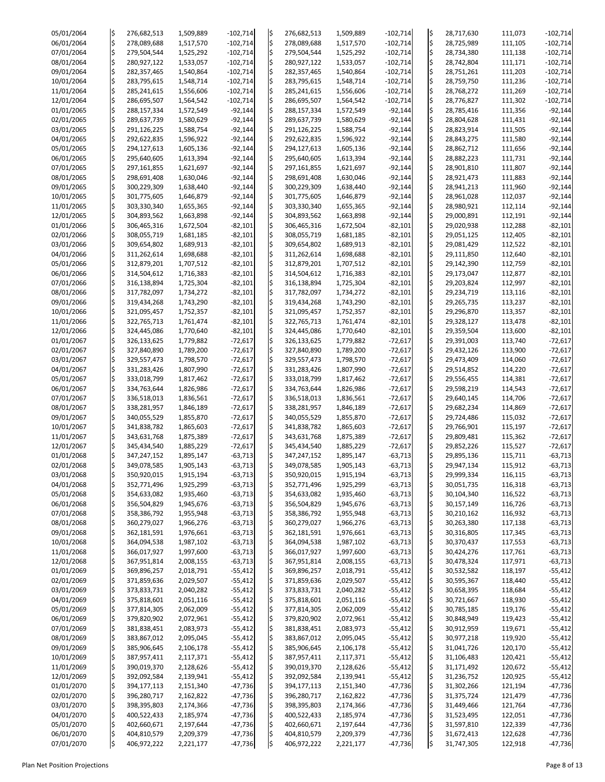| 05/01/2064 |     | 276,682,513 | 1,509,889 |            |     | 276,682,513 |           |            |     |            | 111,073 | $-102,714$ |
|------------|-----|-------------|-----------|------------|-----|-------------|-----------|------------|-----|------------|---------|------------|
|            | l\$ |             |           | $-102,714$ | l\$ |             | 1,509,889 | $-102,714$ | ļ\$ | 28,717,630 |         |            |
| 06/01/2064 | l\$ | 278,089,688 | 1,517,570 | $-102,714$ |     | 278,089,688 | 1,517,570 | $-102,714$ | ¦\$ | 28,725,989 | 111,105 | $-102,714$ |
| 07/01/2064 | l\$ | 279,504,544 | 1,525,292 | $-102,714$ | l\$ | 279,504,544 | 1,525,292 | $-102,714$ | l\$ | 28,734,380 | 111,138 | $-102,714$ |
| 08/01/2064 | ¦\$ | 280,927,122 | 1,533,057 | $-102,714$ | l\$ | 280,927,122 | 1,533,057 | $-102,714$ | ¦\$ | 28,742,804 | 111,171 | $-102,714$ |
| 09/01/2064 | l\$ | 282,357,465 | 1,540,864 | $-102,714$ | l\$ | 282,357,465 | 1,540,864 | $-102,714$ | l\$ | 28,751,261 | 111,203 | $-102,714$ |
|            |     |             |           |            |     |             |           |            |     |            |         |            |
| 10/01/2064 | ¦\$ | 283,795,615 | 1,548,714 | $-102,714$ | l\$ | 283,795,615 | 1,548,714 | $-102,714$ | ¦\$ | 28,759,750 | 111,236 | $-102,714$ |
| 11/01/2064 | l\$ | 285,241,615 | 1,556,606 | $-102,714$ | I\$ | 285,241,615 | 1,556,606 | $-102,714$ | l\$ | 28,768,272 | 111,269 | $-102,714$ |
| 12/01/2064 | l\$ | 286,695,507 | 1,564,542 | $-102,714$ | l\$ | 286,695,507 | 1,564,542 | $-102,714$ | l\$ | 28,776,827 | 111,302 | $-102,714$ |
| 01/01/2065 | ¦\$ | 288,157,334 | 1,572,549 | $-92,144$  | l\$ | 288,157,334 | 1,572,549 | $-92,144$  | ¦\$ | 28,785,416 | 111,356 | $-92,144$  |
|            |     |             |           |            |     |             |           |            |     |            |         |            |
| 02/01/2065 | l\$ | 289,637,739 | 1,580,629 | $-92,144$  | l\$ | 289,637,739 | 1,580,629 | $-92,144$  | l\$ | 28,804,628 | 111,431 | $-92,144$  |
| 03/01/2065 | l\$ | 291,126,225 | 1,588,754 | $-92,144$  | l\$ | 291,126,225 | 1,588,754 | $-92,144$  | ¦\$ | 28,823,914 | 111,505 | $-92,144$  |
| 04/01/2065 | l\$ | 292,622,835 | 1,596,922 | $-92,144$  | I\$ | 292,622,835 | 1,596,922 | $-92,144$  | l\$ | 28,843,275 | 111,580 | $-92,144$  |
| 05/01/2065 | l\$ | 294,127,613 | 1,605,136 | $-92,144$  | l\$ | 294,127,613 | 1,605,136 | $-92,144$  | l\$ | 28,862,712 | 111,656 | $-92,144$  |
| 06/01/2065 | ¦\$ | 295,640,605 | 1,613,394 | $-92,144$  | l\$ | 295,640,605 | 1,613,394 | $-92,144$  | ļ\$ | 28,882,223 | 111,731 | $-92,144$  |
|            |     |             |           |            |     |             |           |            |     |            |         |            |
| 07/01/2065 | l\$ | 297,161,855 | 1,621,697 | $-92,144$  | l\$ | 297,161,855 | 1,621,697 | $-92,144$  | l\$ | 28,901,810 | 111,807 | $-92,144$  |
| 08/01/2065 | l\$ | 298,691,408 | 1,630,046 | $-92,144$  | l\$ | 298,691,408 | 1,630,046 | $-92,144$  | ¦\$ | 28,921,473 | 111,883 | $-92,144$  |
| 09/01/2065 | ¦\$ | 300,229,309 | 1,638,440 | $-92,144$  | l\$ | 300,229,309 | 1,638,440 | $-92,144$  | l\$ | 28,941,213 | 111,960 | $-92,144$  |
| 10/01/2065 | l\$ | 301,775,605 | 1,646,879 | $-92,144$  | l\$ | 301,775,605 | 1,646,879 | $-92,144$  | l\$ | 28,961,028 | 112,037 | $-92,144$  |
| 11/01/2065 | ¦\$ | 303,330,340 |           | $-92,144$  | l\$ | 303,330,340 |           | $-92,144$  | \$  |            | 112,114 | $-92,144$  |
|            |     |             | 1,655,365 |            |     |             | 1,655,365 |            |     | 28,980,921 |         |            |
| 12/01/2065 | l\$ | 304,893,562 | 1,663,898 | $-92,144$  | l\$ | 304,893,562 | 1,663,898 | $-92,144$  | l\$ | 29,000,891 | 112,191 | $-92,144$  |
| 01/01/2066 | l\$ | 306,465,316 | 1,672,504 | $-82,101$  | l\$ | 306,465,316 | 1,672,504 | $-82,101$  | l\$ | 29,020,938 | 112,288 | $-82,101$  |
| 02/01/2066 | ¦\$ | 308,055,719 | 1,681,185 | $-82,101$  | l\$ | 308,055,719 | 1,681,185 | $-82,101$  | ļ\$ | 29,051,125 | 112,405 | $-82,101$  |
| 03/01/2066 | l\$ | 309,654,802 | 1,689,913 | $-82,101$  | l\$ | 309,654,802 | 1,689,913 | $-82,101$  | l\$ | 29,081,429 | 112,522 | $-82,101$  |
|            |     |             |           |            |     |             |           |            |     |            |         |            |
| 04/01/2066 | l\$ | 311,262,614 | 1,698,688 | $-82,101$  | l\$ | 311,262,614 | 1,698,688 | $-82,101$  | \$  | 29,111,850 | 112,640 | $-82,101$  |
| 05/01/2066 |     | 312,879,201 | 1,707,512 | $-82,101$  | l\$ | 312,879,201 | 1,707,512 | $-82,101$  | ¦\$ | 29,142,390 | 112,759 | $-82,101$  |
| 06/01/2066 | l\$ | 314,504,612 | 1,716,383 | $-82,101$  | l\$ | 314,504,612 | 1,716,383 | $-82,101$  | l\$ | 29,173,047 | 112,877 | $-82,101$  |
| 07/01/2066 | ¦\$ | 316,138,894 | 1,725,304 | $-82,101$  | I\$ | 316,138,894 | 1,725,304 | $-82,101$  | l\$ | 29,203,824 | 112,997 | $-82,101$  |
|            |     |             |           |            |     |             |           |            |     |            |         |            |
| 08/01/2066 | l\$ | 317,782,097 | 1,734,272 | $-82,101$  | I\$ | 317,782,097 | 1,734,272 | $-82,101$  | l\$ | 29,234,719 | 113,116 | $-82,101$  |
| 09/01/2066 | l\$ | 319,434,268 | 1,743,290 | $-82,101$  | l\$ | 319,434,268 | 1,743,290 | $-82,101$  | l\$ | 29,265,735 | 113,237 | $-82,101$  |
| 10/01/2066 |     | 321,095,457 | 1,752,357 | $-82,101$  | l\$ | 321,095,457 | 1,752,357 | $-82,101$  | l\$ | 29,296,870 | 113,357 | $-82,101$  |
| 11/01/2066 |     | 322,765,713 | 1,761,474 | $-82,101$  |     | 322,765,713 | 1,761,474 | $-82,101$  | l\$ | 29,328,127 | 113,478 | $-82,101$  |
| 12/01/2066 | I\$ | 324,445,086 | 1,770,640 | $-82,101$  | IS  | 324,445,086 | 1,770,640 | $-82,101$  | l\$ | 29,359,504 | 113,600 | $-82,101$  |
|            |     |             |           |            |     |             |           |            |     |            |         |            |
| 01/01/2067 | l\$ | 326,133,625 | 1,779,882 | $-72,617$  | l\$ | 326,133,625 | 1,779,882 | $-72,617$  | l\$ | 29,391,003 | 113,740 | $-72,617$  |
| 02/01/2067 |     | 327,840,890 | 1,789,200 | $-72,617$  | l\$ | 327,840,890 | 1,789,200 | $-72,617$  | l\$ | 29,432,126 | 113,900 | $-72,617$  |
| 03/01/2067 |     | 329,557,473 | 1,798,570 | $-72,617$  | I\$ | 329,557,473 | 1,798,570 | $-72,617$  | l\$ | 29,473,409 | 114,060 | $-72,617$  |
| 04/01/2067 |     | 331,283,426 | 1,807,990 | $-72,617$  |     | 331,283,426 | 1,807,990 | $-72,617$  | l\$ | 29,514,852 | 114,220 | $-72,617$  |
|            |     |             |           |            |     |             |           |            |     |            |         |            |
| 05/01/2067 |     | 333,018,799 | 1,817,462 | $-72,617$  | l\$ | 333,018,799 | 1,817,462 | $-72,617$  | l\$ | 29,556,455 | 114,381 | $-72,617$  |
| 06/01/2067 |     | 334,763,644 | 1,826,986 | $-72,617$  | l\$ | 334,763,644 | 1,826,986 | $-72,617$  | l\$ | 29,598,219 | 114,543 | $-72,617$  |
| 07/01/2067 |     | 336,518,013 | 1,836,561 | $-72,617$  | l\$ | 336,518,013 | 1,836,561 | $-72,617$  | l\$ | 29,640,145 | 114,706 | $-72,617$  |
| 08/01/2067 |     | 338,281,957 | 1,846,189 | $-72,617$  |     | 338,281,957 | 1,846,189 | $-72,617$  | l\$ | 29,682,234 | 114,869 | $-72,617$  |
| 09/01/2067 |     | 340,055,529 | 1,855,870 | $-72,617$  | IŞ  | 340,055,529 | 1,855,870 | $-72,617$  | l\$ | 29,724,486 | 115,032 | $-72,617$  |
|            |     |             |           |            |     |             |           |            |     |            |         |            |
| 10/01/2067 |     | 341,838,782 | 1,865,603 | $-72,617$  | l\$ | 341,838,782 | 1,865,603 | $-72,617$  | l\$ | 29,766,901 | 115,197 | $-72,617$  |
| 11/01/2067 |     | 343,631,768 | 1,875,389 | $-72,617$  | l\$ | 343,631,768 | 1,875,389 | $-72,617$  | l\$ | 29,809,481 | 115,362 | $-72,617$  |
| 12/01/2067 |     | 345,434,540 | 1,885,229 | $-72,617$  | l\$ | 345,434,540 | 1,885,229 | $-72,617$  | l\$ | 29,852,226 | 115,527 | $-72,617$  |
| 01/01/2068 |     | 347,247,152 | 1,895,147 | $-63,713$  | l\$ | 347,247,152 | 1,895,147 | $-63,713$  | \$  | 29,895,136 | 115,711 | $-63,713$  |
|            |     |             |           |            |     |             |           |            |     |            |         |            |
| 02/01/2068 |     | 349,078,585 | 1,905,143 | $-63,713$  | I\$ | 349,078,585 | 1,905,143 | $-63,713$  | l\$ | 29,947,134 | 115,912 | $-63,713$  |
| 03/01/2068 |     | 350,920,015 | 1,915,194 | $-63,713$  |     | 350,920,015 | 1,915,194 | $-63,713$  | l\$ | 29,999,334 | 116,115 | $-63,713$  |
| 04/01/2068 |     | 352,771,496 | 1,925,299 | $-63,713$  | I\$ | 352,771,496 | 1,925,299 | $-63,713$  | l\$ | 30,051,735 | 116,318 | $-63,713$  |
| 05/01/2068 |     | 354,633,082 | 1,935,460 | $-63,713$  |     | 354,633,082 | 1,935,460 | $-63,713$  | l\$ | 30,104,340 | 116,522 | $-63,713$  |
| 06/01/2068 | l\$ | 356,504,829 | 1,945,676 | $-63,713$  | l\$ | 356,504,829 | 1,945,676 | $-63,713$  | l\$ | 30,157,149 | 116,726 | $-63,713$  |
|            |     |             |           |            |     |             |           |            |     |            |         |            |
| 07/01/2068 |     | 358,386,792 | 1,955,948 | $-63,713$  | I\$ | 358,386,792 | 1,955,948 | $-63,713$  | l\$ | 30,210,162 | 116,932 | $-63,713$  |
| 08/01/2068 |     | 360,279,027 | 1,966,276 | $-63,713$  |     | 360,279,027 | 1,966,276 | $-63,713$  | l\$ | 30,263,380 | 117,138 | $-63,713$  |
| 09/01/2068 |     | 362,181,591 | 1,976,661 | $-63,713$  | I\$ | 362,181,591 | 1,976,661 | $-63,713$  | l\$ | 30,316,805 | 117,345 | $-63,713$  |
| 10/01/2068 |     | 364,094,538 | 1,987,102 | $-63,713$  | I\$ | 364,094,538 | 1,987,102 | $-63,713$  | l\$ | 30,370,437 | 117,553 | $-63,713$  |
| 11/01/2068 |     | 366,017,927 | 1,997,600 | $-63,713$  | l\$ | 366,017,927 | 1,997,600 | $-63,713$  | l\$ | 30,424,276 | 117,761 | $-63,713$  |
|            |     |             |           |            |     |             |           |            |     |            |         |            |
| 12/01/2068 |     | 367,951,814 | 2,008,155 | $-63,713$  | l\$ | 367,951,814 | 2,008,155 | $-63,713$  | l\$ | 30,478,324 | 117,971 | $-63,713$  |
| 01/01/2069 |     | 369,896,257 | 2,018,791 | $-55,412$  |     | 369,896,257 | 2,018,791 | $-55,412$  | l\$ | 30,532,582 | 118,197 | $-55,412$  |
| 02/01/2069 |     | 371,859,636 | 2,029,507 | $-55,412$  | l\$ | 371,859,636 | 2,029,507 | $-55,412$  | \$  | 30,595,367 | 118,440 | $-55,412$  |
| 03/01/2069 |     | 373,833,731 | 2,040,282 | $-55,412$  | I\$ | 373,833,731 | 2,040,282 | $-55,412$  | l\$ | 30,658,395 | 118,684 | $-55,412$  |
| 04/01/2069 |     | 375,818,601 | 2,051,116 | $-55,412$  | l\$ | 375,818,601 | 2,051,116 | $-55,412$  | l\$ | 30,721,667 | 118,930 | $-55,412$  |
|            |     |             |           |            |     |             |           |            |     |            |         |            |
| 05/01/2069 |     | 377,814,305 | 2,062,009 | $-55,412$  | I\$ | 377,814,305 | 2,062,009 | $-55,412$  | l\$ | 30,785,185 | 119,176 | $-55,412$  |
| 06/01/2069 |     | 379,820,902 | 2,072,961 | $-55,412$  |     | 379,820,902 | 2,072,961 | $-55,412$  |     | 30,848,949 | 119,423 | $-55,412$  |
| 07/01/2069 |     | 381,838,451 | 2,083,973 | $-55,412$  | I ¢ | 381,838,451 | 2,083,973 | $-55,412$  | \$  | 30,912,959 | 119,671 | $-55,412$  |
| 08/01/2069 | \$  | 383,867,012 | 2,095,045 | $-55,412$  | ļ\$ | 383,867,012 | 2,095,045 | $-55,412$  | ļ\$ | 30,977,218 | 119,920 | $-55,412$  |
|            |     |             |           |            |     |             |           |            |     |            |         |            |
| 09/01/2069 |     | 385,906,645 | 2,106,178 | $-55,412$  |     | 385,906,645 | 2,106,178 | $-55,412$  | ļ\$ | 31,041,726 | 120,170 | $-55,412$  |
| 10/01/2069 | l\$ | 387,957,411 | 2,117,371 | $-55,412$  |     | 387,957,411 | 2,117,371 | $-55,412$  | ļ\$ | 31,106,483 | 120,421 | $-55,412$  |
| 11/01/2069 |     | 390,019,370 | 2,128,626 | $-55,412$  |     | 390,019,370 | 2,128,626 | $-55,412$  | I\$ | 31,171,492 | 120,672 | $-55,412$  |
| 12/01/2069 |     | 392,092,584 | 2,139,941 | $-55,412$  |     | 392,092,584 | 2,139,941 | $-55,412$  | l\$ | 31,236,752 | 120,925 | $-55,412$  |
| 01/01/2070 | \$  | 394,177,113 | 2,151,340 | $-47,736$  | ļ\$ | 394,177,113 | 2,151,340 | $-47,736$  | ļ\$ | 31,302,266 | 121,194 | $-47,736$  |
| 02/01/2070 |     |             |           |            |     |             |           |            |     |            |         |            |
|            |     | 396,280,717 | 2,162,822 | $-47,736$  |     | 396,280,717 | 2,162,822 | $-47,736$  | ļ\$ | 31,375,724 | 121,479 | $-47,736$  |
| 03/01/2070 |     | 398,395,803 | 2,174,366 | $-47,736$  |     | 398,395,803 | 2,174,366 | $-47,736$  | ļ\$ | 31,449,466 | 121,764 | $-47,736$  |
| 04/01/2070 | I\$ | 400,522,433 | 2,185,974 | $-47,736$  | ļ\$ | 400,522,433 | 2,185,974 | $-47,736$  | ļ\$ | 31,523,495 | 122,051 | $-47,736$  |
| 05/01/2070 | l\$ | 402,660,671 | 2,197,644 | $-47,736$  | ļ\$ | 402,660,671 | 2,197,644 | $-47,736$  | ļ\$ | 31,597,810 | 122,339 | $-47,736$  |
| 06/01/2070 |     | 404,810,579 | 2,209,379 | $-47,736$  |     | 404,810,579 | 2,209,379 | $-47,736$  | ļ\$ | 31,672,413 | 122,628 | $-47,736$  |
|            |     |             |           |            | I\$ |             |           |            |     |            |         |            |
| 07/01/2070 | l\$ | 406,972,222 | 2,221,177 | $-47,736$  |     | 406,972,222 | 2,221,177 | $-47,736$  | I\$ | 31,747,305 | 122,918 | $-47,736$  |

Plan Net Position Projections **Page 8 of 13** Page 8 of 13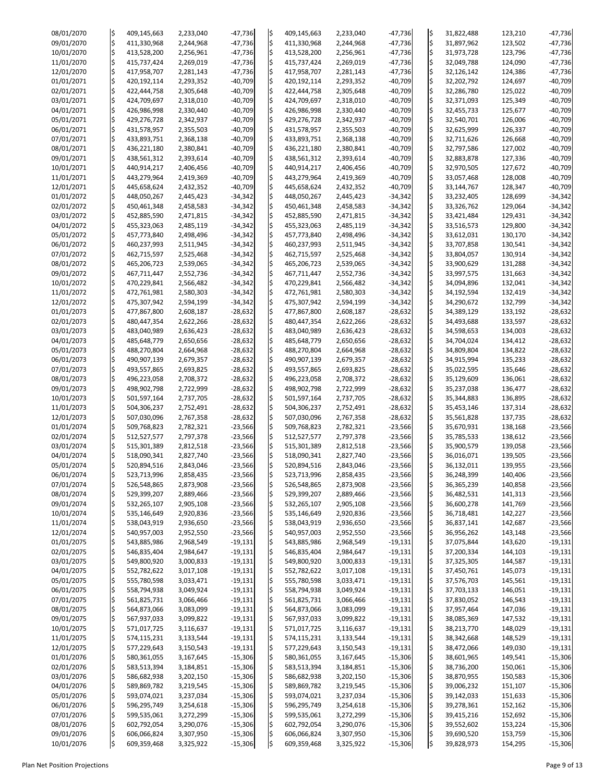| 08/01/2070 | l\$                | 409,145,663 | 2,233,040 | $-47,736$ | ļ\$ | 409,145,663 | 2,233,040 | $-47,736$ | ļ\$                                 | 31,822,488 | 123,210 | $-47,736$ |
|------------|--------------------|-------------|-----------|-----------|-----|-------------|-----------|-----------|-------------------------------------|------------|---------|-----------|
| 09/01/2070 | l\$                | 411,330,968 | 2,244,968 | $-47,736$ | l\$ | 411,330,968 | 2,244,968 | $-47,736$ | l\$                                 | 31,897,962 | 123,502 | $-47,736$ |
|            |                    |             |           |           |     |             |           |           |                                     |            |         |           |
| 10/01/2070 | l\$                | 413,528,200 | 2,256,961 | $-47,736$ | l\$ | 413,528,200 | 2,256,961 | $-47,736$ | l\$                                 | 31,973,728 | 123,796 | $-47,736$ |
| 11/01/2070 | l\$                | 415,737,424 | 2,269,019 | $-47,736$ | l\$ | 415,737,424 | 2,269,019 | $-47,736$ | l\$                                 | 32,049,788 | 124,090 | $-47,736$ |
|            |                    |             |           |           |     |             |           |           |                                     |            |         |           |
| 12/01/2070 | l\$                | 417,958,707 | 2,281,143 | $-47,736$ | l\$ | 417,958,707 | 2,281,143 | $-47,736$ | l\$                                 | 32,126,142 | 124,386 | $-47,736$ |
| 01/01/2071 | \$                 | 420,192,114 | 2,293,352 | $-40,709$ | l\$ | 420,192,114 | 2,293,352 | $-40,709$ | l\$                                 | 32,202,792 | 124,697 | $-40,709$ |
| 02/01/2071 | l\$                | 422,444,758 | 2,305,648 | $-40,709$ | l\$ | 422,444,758 | 2,305,648 | $-40,709$ | l\$                                 | 32,286,780 | 125,022 | $-40,709$ |
|            |                    |             |           |           |     |             |           |           |                                     |            |         |           |
| 03/01/2071 | l\$                | 424,709,697 | 2,318,010 | $-40,709$ | l\$ | 424,709,697 | 2,318,010 | $-40,709$ | l\$                                 | 32,371,093 | 125,349 | $-40,709$ |
| 04/01/2071 | l\$                | 426,986,998 | 2,330,440 | $-40,709$ | ļ\$ | 426,986,998 | 2,330,440 | $-40,709$ | l\$                                 | 32,455,733 | 125,677 | $-40,709$ |
|            |                    |             |           |           |     |             |           |           |                                     |            |         |           |
| 05/01/2071 | l\$                | 429,276,728 | 2,342,937 | $-40,709$ | l\$ | 429,276,728 | 2,342,937 | $-40,709$ | l\$                                 | 32,540,701 | 126,006 | $-40,709$ |
| 06/01/2071 | \$                 | 431,578,957 | 2,355,503 | $-40,709$ | l\$ | 431,578,957 | 2,355,503 | $-40,709$ | l\$                                 | 32,625,999 | 126,337 | $-40,709$ |
|            |                    |             |           |           |     |             |           | $-40,709$ | l\$                                 |            |         |           |
| 07/01/2071 | l\$                | 433,893,751 | 2,368,138 | $-40,709$ | l\$ | 433,893,751 | 2,368,138 |           |                                     | 32,711,626 | 126,668 | $-40,709$ |
| 08/01/2071 | l\$                | 436,221,180 | 2,380,841 | $-40,709$ | l\$ | 436,221,180 | 2,380,841 | $-40,709$ | l\$                                 | 32,797,586 | 127,002 | $-40,709$ |
| 09/01/2071 | \$                 | 438,561,312 | 2,393,614 | $-40,709$ | l\$ | 438,561,312 | 2,393,614 | $-40,709$ | l\$                                 | 32,883,878 | 127,336 | $-40,709$ |
|            |                    |             |           |           |     |             |           |           |                                     |            |         |           |
| 10/01/2071 | l\$                | 440,914,217 | 2,406,456 | $-40,709$ | l\$ | 440,914,217 | 2,406,456 | $-40,709$ | $\left  \boldsymbol{\zeta} \right $ | 32,970,505 | 127,672 | $-40,709$ |
| 11/01/2071 | l\$                | 443,279,964 | 2,419,369 | $-40,709$ | l\$ | 443,279,964 | 2,419,369 | $-40,709$ | l\$                                 | 33,057,468 | 128,008 | $-40,709$ |
|            |                    |             |           |           |     |             |           |           | l\$                                 |            |         |           |
| 12/01/2071 | l\$                | 445,658,624 | 2,432,352 | $-40,709$ | l\$ | 445,658,624 | 2,432,352 | $-40,709$ |                                     | 33,144,767 | 128,347 | $-40,709$ |
| 01/01/2072 | l\$                | 448,050,267 | 2,445,423 | $-34,342$ | l\$ | 448,050,267 | 2,445,423 | $-34,342$ | l\$                                 | 33,232,405 | 128,699 | $-34,342$ |
| 02/01/2072 | \$                 | 450,461,348 | 2,458,583 | $-34,342$ | l\$ | 450,461,348 | 2,458,583 | $-34,342$ | l\$                                 | 33,326,762 | 129,064 | $-34,342$ |
|            |                    |             |           |           |     |             |           |           |                                     |            |         |           |
| 03/01/2072 | l\$                | 452,885,590 | 2,471,815 | $-34,342$ | l\$ | 452,885,590 | 2,471,815 | $-34,342$ | l\$                                 | 33,421,484 | 129,431 | $-34,342$ |
| 04/01/2072 | l\$                | 455,323,063 | 2,485,119 | $-34,342$ | l\$ | 455,323,063 | 2,485,119 | $-34,342$ | l\$                                 | 33,516,573 | 129,800 | $-34,342$ |
| 05/01/2072 | $\ddot{\varsigma}$ |             |           |           |     |             |           |           | l\$                                 |            |         |           |
|            |                    | 457,773,840 | 2,498,496 | $-34,342$ | l\$ | 457,773,840 | 2,498,496 | $-34,342$ |                                     | 33,612,031 | 130,170 | $-34,342$ |
| 06/01/2072 | l\$                | 460,237,993 | 2,511,945 | $-34,342$ | l\$ | 460,237,993 | 2,511,945 | $-34,342$ | l\$                                 | 33,707,858 | 130,541 | $-34,342$ |
| 07/01/2072 | l\$                | 462,715,597 | 2,525,468 | $-34,342$ | l\$ | 462,715,597 | 2,525,468 | $-34,342$ | l\$                                 | 33,804,057 | 130,914 | $-34,342$ |
|            |                    |             |           |           |     |             |           |           |                                     |            |         |           |
| 08/01/2072 | l\$                | 465,206,723 | 2,539,065 | $-34,342$ | l\$ | 465,206,723 | 2,539,065 | $-34,342$ | l\$                                 | 33,900,629 | 131,288 | $-34,342$ |
| 09/01/2072 | l\$                | 467,711,447 | 2,552,736 | $-34,342$ | ļ\$ | 467,711,447 | 2,552,736 | $-34,342$ | l\$                                 | 33,997,575 | 131,663 | $-34,342$ |
|            |                    |             |           |           |     |             |           |           |                                     |            |         |           |
| 10/01/2072 | \$                 | 470,229,841 | 2,566,482 | $-34,342$ | l\$ | 470,229,841 | 2,566,482 | $-34,342$ | l\$                                 | 34,094,896 | 132,041 | $-34,342$ |
| 11/01/2072 | l\$                | 472,761,981 | 2,580,303 | $-34,342$ | l\$ | 472,761,981 | 2,580,303 | $-34,342$ | l\$.                                | 34,192,594 | 132,419 | $-34,342$ |
| 12/01/2072 | l\$                | 475,307,942 | 2,594,199 | $-34,342$ | l\$ | 475,307,942 | 2,594,199 | $-34,342$ | l\$                                 | 34,290,672 | 132,799 | $-34,342$ |
|            |                    |             |           |           |     |             |           |           |                                     |            |         |           |
| 01/01/2073 | \$                 | 477,867,800 | 2,608,187 | $-28,632$ | l\$ | 477,867,800 | 2,608,187 | $-28,632$ | l\$                                 | 34,389,129 | 133,192 | $-28,632$ |
| 02/01/2073 | \$                 | 480,447,354 | 2,622,266 | $-28,632$ |     | 480,447,354 | 2,622,266 | $-28,632$ | l\$                                 | 34,493,688 | 133,597 | $-28,632$ |
|            |                    |             |           |           |     |             |           |           |                                     |            |         |           |
| 03/01/2073 | I\$                | 483,040,989 | 2,636,423 | $-28,632$ |     | 483,040,989 | 2,636,423 | $-28,632$ | l\$                                 | 34,598,653 | 134,003 | $-28,632$ |
| 04/01/2073 | l\$                | 485,648,779 | 2,650,656 | $-28,632$ | I\$ | 485,648,779 | 2,650,656 | $-28,632$ | l\$                                 | 34,704,024 | 134,412 | $-28,632$ |
| 05/01/2073 |                    | 488,270,804 | 2,664,968 | $-28,632$ | l\$ | 488,270,804 | 2,664,968 | $-28,632$ | \$                                  | 34,809,804 | 134,822 | $-28,632$ |
|            |                    |             |           |           |     |             |           |           |                                     |            |         |           |
| 06/01/2073 |                    | 490,907,139 | 2,679,357 | $-28,632$ | l\$ | 490,907,139 | 2,679,357 | $-28,632$ | l\$                                 | 34,915,994 | 135,233 | $-28,632$ |
| 07/01/2073 |                    | 493,557,865 | 2,693,825 | $-28,632$ | l\$ | 493,557,865 | 2,693,825 | $-28,632$ | l\$                                 | 35,022,595 | 135,646 | $-28,632$ |
|            |                    |             |           |           |     |             |           |           |                                     |            |         |           |
| 08/01/2073 | \$                 | 496,223,058 | 2,708,372 | $-28,632$ | l\$ | 496,223,058 | 2,708,372 | $-28,632$ | l\$                                 | 35,129,609 | 136,061 | $-28,632$ |
| 09/01/2073 |                    | 498,902,798 | 2,722,999 | $-28,632$ | l\$ | 498,902,798 | 2,722,999 | $-28,632$ | l\$                                 | 35,237,038 | 136,477 | $-28,632$ |
| 10/01/2073 |                    | 501,597,164 | 2,737,705 | $-28,632$ | l\$ | 501,597,164 | 2,737,705 | $-28,632$ | l\$                                 | 35,344,883 | 136,895 | $-28,632$ |
|            |                    |             |           |           |     |             |           |           |                                     |            |         |           |
| 11/01/2073 |                    | 504,306,237 | 2,752,491 | $-28,632$ | I\$ | 504,306,237 | 2,752,491 | $-28,632$ | l\$                                 | 35,453,146 | 137,314 | $-28,632$ |
| 12/01/2073 |                    | 507,030,096 | 2,767,358 | $-28,632$ |     | 507,030,096 | 2,767,358 | $-28,632$ | l\$                                 | 35,561,828 | 137,735 | $-28,632$ |
|            |                    |             |           |           |     |             |           |           |                                     |            |         |           |
| 01/01/2074 | l\$                | 509,768,823 | 2,782,321 | $-23,566$ | l\$ | 509,768,823 | 2,782,321 | $-23,566$ | l\$                                 | 35,670,931 | 138,168 | $-23,566$ |
| 02/01/2074 |                    | 512,527,577 | 2,797,378 | $-23,566$ | l\$ | 512,527,577 | 2,797,378 | $-23,566$ | l\$                                 | 35,785,533 | 138,612 | $-23,566$ |
| 03/01/2074 |                    |             |           | $-23,566$ | l\$ |             |           | $-23,566$ | l\$                                 |            |         |           |
|            |                    | 515,301,389 | 2,812,518 |           |     | 515,301,389 | 2,812,518 |           |                                     | 35,900,579 | 139,058 | $-23,566$ |
| 04/01/2074 | \$                 | 518,090,341 | 2,827,740 | $-23,566$ |     | 518,090,341 | 2,827,740 | $-23,566$ | l\$                                 | 36,016,071 | 139,505 | $-23,566$ |
| 05/01/2074 |                    | 520,894,516 | 2,843,046 | $-23,566$ | I\$ | 520,894,516 | 2,843,046 | $-23,566$ | l\$                                 | 36,132,011 | 139,955 | $-23,566$ |
|            |                    |             |           |           |     |             |           |           |                                     |            |         |           |
| 06/01/2074 |                    | 523,713,996 | 2,858,435 | $-23,566$ | l\$ | 523,713,996 | 2,858,435 | $-23,566$ | l\$                                 | 36,248,399 | 140,406 | $-23,566$ |
| 07/01/2074 |                    | 526,548,865 | 2,873,908 | $-23,566$ | l\$ | 526,548,865 | 2,873,908 | $-23,566$ | l\$                                 | 36,365,239 | 140,858 | $-23,566$ |
| 08/01/2074 |                    | 529,399,207 | 2,889,466 | $-23,566$ | l\$ | 529,399,207 | 2,889,466 | $-23,566$ | l\$                                 | 36,482,531 | 141,313 | $-23,566$ |
|            |                    |             |           |           |     |             |           |           |                                     |            |         |           |
| 09/01/2074 | \$                 | 532,265,107 | 2,905,108 | $-23,566$ | l\$ | 532,265,107 | 2,905,108 | $-23,566$ | l\$                                 | 36,600,278 | 141,769 | $-23,566$ |
| 10/01/2074 |                    | 535,146,649 | 2,920,836 | $-23,566$ | I\$ | 535,146,649 | 2,920,836 | $-23,566$ | l\$                                 | 36,718,481 | 142,227 | $-23,566$ |
| 11/01/2074 |                    | 538,043,919 | 2,936,650 | $-23,566$ | l\$ | 538,043,919 | 2,936,650 | $-23,566$ | l\$                                 | 36,837,141 | 142,687 | $-23,566$ |
|            |                    |             |           |           |     |             |           |           |                                     |            |         |           |
| 12/01/2074 |                    | 540,957,003 | 2,952,550 | $-23,566$ | l\$ | 540,957,003 | 2,952,550 | $-23,566$ | l\$                                 | 36,956,262 | 143,148 | $-23,566$ |
| 01/01/2075 |                    | 543,885,986 | 2,968,549 | $-19,131$ | l\$ | 543,885,986 | 2,968,549 | $-19,131$ | l\$                                 | 37,075,844 | 143,620 | $-19,131$ |
|            |                    |             |           |           |     |             |           |           | l\$                                 |            |         |           |
| 02/01/2075 |                    | 546,835,404 | 2,984,647 | $-19,131$ | l\$ | 546,835,404 | 2,984,647 | $-19,131$ |                                     | 37,200,334 | 144,103 | $-19,131$ |
| 03/01/2075 |                    | 549,800,920 | 3,000,833 | $-19,131$ | I\$ | 549,800,920 | 3,000,833 | $-19,131$ | l\$                                 | 37,325,305 | 144,587 | $-19,131$ |
| 04/01/2075 |                    | 552,782,622 | 3,017,108 | $-19,131$ |     | 552,782,622 | 3,017,108 | $-19,131$ | l\$                                 | 37,450,761 | 145,073 | $-19,131$ |
|            |                    |             |           |           |     |             |           |           |                                     |            |         |           |
| 05/01/2075 | \$                 | 555,780,598 | 3,033,471 | $-19,131$ |     | 555,780,598 | 3,033,471 | $-19,131$ | l\$                                 | 37,576,703 | 145,561 | $-19,131$ |
| 06/01/2075 |                    | 558,794,938 | 3,049,924 | $-19,131$ | I\$ | 558,794,938 | 3,049,924 | $-19,131$ | l\$                                 | 37,703,133 | 146,051 | $-19,131$ |
| 07/01/2075 |                    | 561,825,731 | 3,066,466 | $-19,131$ | l\$ | 561,825,731 | 3,066,466 | $-19,131$ | l\$                                 | 37,830,052 | 146,543 | $-19,131$ |
|            |                    |             |           |           |     |             |           |           |                                     |            |         |           |
| 08/01/2075 |                    | 564,873,066 | 3,083,099 | $-19,131$ |     | 564,873,066 | 3,083,099 | $-19,131$ | l\$                                 | 37,957,464 | 147,036 | $-19,131$ |
| 09/01/2075 |                    | 567,937,033 | 3,099,822 | $-19,131$ |     | 567,937,033 | 3,099,822 | $-19,131$ | $\varsigma$                         | 38,085,369 | 147,532 | $-19,131$ |
|            |                    |             |           |           | ¢   |             |           |           |                                     |            |         |           |
| 10/01/2075 | \$                 | 571,017,725 | 3,116,637 | $-19,131$ |     | 571,017,725 | 3,116,637 | $-19,131$ | ¦\$                                 | 38,213,770 | 148,029 | $-19,131$ |
| 11/01/2075 | l\$                | 574,115,231 | 3,133,544 | $-19,131$ | ļ\$ | 574,115,231 | 3,133,544 | $-19,131$ | ļ\$                                 | 38,342,668 | 148,529 | $-19,131$ |
| 12/01/2075 |                    | 577,229,643 | 3,150,543 | $-19,131$ | \$  | 577,229,643 | 3,150,543 | $-19,131$ | l\$                                 | 38,472,066 | 149,030 | $-19,131$ |
|            |                    |             |           |           |     |             |           |           |                                     |            |         |           |
| 01/01/2076 |                    | 580,361,055 | 3,167,645 | $-15,306$ | I\$ | 580,361,055 | 3,167,645 | $-15,306$ | ļ\$                                 | 38,601,965 | 149,541 | $-15,306$ |
| 02/01/2076 |                    | 583,513,394 | 3,184,851 | $-15,306$ | I\$ | 583,513,394 | 3,184,851 | $-15,306$ | ļ\$                                 | 38,736,200 | 150,061 | $-15,306$ |
|            |                    |             |           |           |     |             |           |           |                                     |            |         |           |
| 03/01/2076 |                    | 586,682,938 | 3,202,150 | $-15,306$ | l\$ | 586,682,938 | 3,202,150 | $-15,306$ | ļ\$                                 | 38,870,955 | 150,583 | $-15,306$ |
| 04/01/2076 | ¦\$                | 589,869,782 | 3,219,545 | $-15,306$ | ļ\$ | 589,869,782 | 3,219,545 | $-15,306$ | l\$                                 | 39,006,232 | 151,107 | $-15,306$ |
| 05/01/2076 |                    | 593,074,021 | 3,237,034 | $-15,306$ |     | 593,074,021 | 3,237,034 | $-15,306$ | l\$                                 | 39,142,033 | 151,633 | $-15,306$ |
|            |                    |             |           |           |     |             |           |           |                                     |            |         |           |
| 06/01/2076 | l\$                | 596,295,749 | 3,254,618 | $-15,306$ |     | 596,295,749 | 3,254,618 | $-15,306$ | \$                                  | 39,278,361 | 152,162 | $-15,306$ |
| 07/01/2076 |                    | 599,535,061 | 3,272,299 | $-15,306$ | I\$ | 599,535,061 | 3,272,299 | $-15,306$ | l\$                                 | 39,415,216 | 152,692 | $-15,306$ |
| 08/01/2076 |                    | 602,792,054 | 3,290,076 | $-15,306$ | ļ\$ | 602,792,054 | 3,290,076 | $-15,306$ | ļ\$                                 | 39,552,602 | 153,224 | $-15,306$ |
|            |                    |             |           |           |     |             |           |           |                                     |            |         |           |
| 09/01/2076 | ¦\$                | 606,066,824 | 3,307,950 | $-15,306$ | ļ\$ | 606,066,824 | 3,307,950 | $-15,306$ | ļ\$                                 | 39,690,520 | 153,759 | $-15,306$ |
| 10/01/2076 | l\$                | 609,359,468 | 3,325,922 | $-15,306$ | l\$ | 609,359,468 | 3,325,922 | $-15,306$ | ļ\$                                 | 39,828,973 | 154,295 | $-15,306$ |

Plan Net Position Projections **Page 9 of 13** Page 9 of 13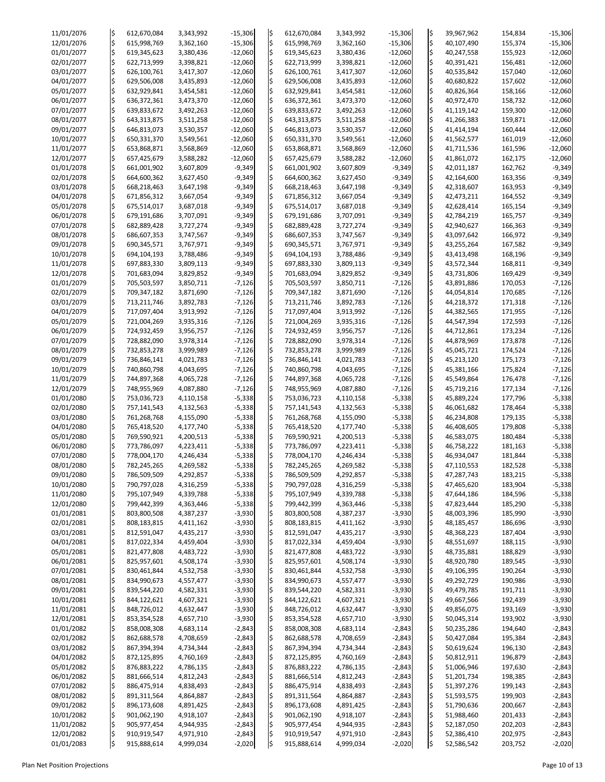| 11/01/2076 | ļ\$           | 612,670,084   | 3,343,992 | $-15,306$ | ļ\$ | 612,670,084   | 3,343,992 | $-15,306$ | \$                      | 39,967,962 | 154,834 | $-15,306$ |
|------------|---------------|---------------|-----------|-----------|-----|---------------|-----------|-----------|-------------------------|------------|---------|-----------|
| 12/01/2076 | l\$           | 615,998,769   | 3,362,160 | $-15,306$ | l\$ | 615,998,769   | 3,362,160 | $-15,306$ | $\overline{\varsigma}$  | 40,107,490 | 155,374 | $-15,306$ |
|            |               |               |           |           |     |               |           |           |                         |            |         |           |
| 01/01/2077 | \$            | 619,345,623   | 3,380,436 | $-12,060$ | l\$ | 619,345,623   | 3,380,436 | $-12,060$ | $\overline{\varsigma}$  | 40,247,558 | 155,923 | $-12,060$ |
| 02/01/2077 | l\$           | 622,713,999   | 3,398,821 | $-12,060$ | l\$ | 622,713,999   | 3,398,821 | $-12,060$ | $\frac{1}{2}$           | 40,391,421 | 156,481 | $-12,060$ |
| 03/01/2077 | l\$           | 626,100,761   | 3,417,307 | $-12,060$ | l\$ | 626,100,761   | 3,417,307 | $-12,060$ | $\overline{\varsigma}$  | 40,535,842 | 157,040 | $-12,060$ |
|            |               |               |           |           |     |               |           |           |                         |            |         |           |
| 04/01/2077 | $\frac{1}{2}$ | 629,506,008   | 3,435,893 | $-12,060$ | l\$ | 629,506,008   | 3,435,893 | $-12,060$ | $\overline{\varsigma}$  | 40,680,822 | 157,602 | $-12,060$ |
| 05/01/2077 | l\$           | 632,929,841   | 3,454,581 | $-12,060$ | l\$ | 632,929,841   | 3,454,581 | $-12,060$ | l\$                     | 40,826,364 | 158,166 | $-12,060$ |
|            |               |               |           |           |     |               |           |           |                         |            |         |           |
| 06/01/2077 | \$            | 636, 372, 361 | 3,473,370 | $-12,060$ | l\$ | 636, 372, 361 | 3,473,370 | $-12,060$ | $\frac{1}{2}$           | 40,972,470 | 158,732 | $-12,060$ |
| 07/01/2077 | \$            | 639,833,672   | 3,492,263 | $-12,060$ | l\$ | 639,833,672   | 3,492,263 | $-12,060$ | $\frac{1}{2}$           | 41,119,142 | 159,300 | $-12,060$ |
| 08/01/2077 | l\$           | 643,313,875   | 3,511,258 | $-12,060$ | l\$ | 643,313,875   | 3,511,258 | $-12,060$ | $\varsigma$             | 41,266,383 | 159,871 | $-12,060$ |
|            |               |               |           |           |     |               |           |           |                         |            |         |           |
| 09/01/2077 | \$            | 646,813,073   | 3,530,357 | $-12,060$ | l\$ | 646,813,073   | 3,530,357 | $-12,060$ | $\overline{\varsigma}$  | 41,414,194 | 160,444 | $-12,060$ |
| 10/01/2077 | l\$           | 650,331,370   | 3,549,561 | $-12,060$ | l\$ | 650,331,370   | 3,549,561 | $-12,060$ | $\frac{1}{2}$           | 41,562,577 | 161,019 | $-12,060$ |
| 11/01/2077 | l\$           | 653,868,871   | 3,568,869 | $-12,060$ | l\$ | 653,868,871   | 3,568,869 | $-12,060$ | $\overline{\varsigma}$  | 41,711,536 | 161,596 | $-12,060$ |
|            |               |               |           |           |     |               |           |           |                         |            |         |           |
| 12/01/2077 | $\frac{1}{2}$ | 657,425,679   | 3,588,282 | $-12,060$ | l\$ | 657,425,679   | 3,588,282 | $-12,060$ | $\overline{\varsigma}$  | 41,861,072 | 162,175 | $-12,060$ |
| 01/01/2078 | l\$           | 661,001,902   | 3,607,809 | $-9,349$  | l\$ | 661,001,902   | 3,607,809 | $-9,349$  | $\frac{1}{2}$           | 42,011,187 | 162,762 | $-9,349$  |
| 02/01/2078 | \$            | 664,600,362   | 3,627,450 | $-9,349$  | l\$ | 664,600,362   | 3,627,450 | $-9,349$  | $\frac{1}{2}$           | 42,164,600 | 163,356 | $-9,349$  |
|            |               |               |           |           |     |               |           |           |                         |            |         |           |
| 03/01/2078 | l\$           | 668,218,463   | 3,647,198 | $-9,349$  | l\$ | 668,218,463   | 3,647,198 | $-9,349$  | $\frac{1}{2}$           | 42,318,607 | 163,953 | $-9,349$  |
| 04/01/2078 | l\$           | 671,856,312   | 3,667,054 | $-9,349$  | l\$ | 671,856,312   | 3,667,054 | $-9,349$  | ¦\$                     | 42,473,211 | 164,552 | $-9,349$  |
| 05/01/2078 | l\$           |               |           |           |     |               |           |           | $\overline{\varsigma}$  |            |         |           |
|            |               | 675,514,017   | 3,687,018 | $-9,349$  | l\$ | 675,514,017   | 3,687,018 | $-9,349$  |                         | 42,628,414 | 165,154 | $-9,349$  |
| 06/01/2078 | l\$           | 679,191,686   | 3,707,091 | $-9,349$  | l\$ | 679,191,686   | 3,707,091 | $-9,349$  | $\frac{1}{2}$           | 42,784,219 | 165,757 | $-9,349$  |
| 07/01/2078 | \$            | 682,889,428   | 3,727,274 | $-9,349$  | l\$ | 682,889,428   | 3,727,274 | $-9,349$  | $\overline{\varsigma}$  | 42,940,627 | 166,363 | $-9,349$  |
|            |               |               |           |           |     |               |           |           | $\overline{\varsigma}$  |            |         |           |
| 08/01/2078 | \$            | 686,607,353   | 3,747,567 | $-9,349$  | \$  | 686,607,353   | 3,747,567 | $-9,349$  |                         | 43,097,642 | 166,972 | $-9,349$  |
| 09/01/2078 | l\$           | 690,345,571   | 3,767,971 | $-9,349$  | l\$ | 690,345,571   | 3,767,971 | $-9,349$  | $\frac{1}{2}$           | 43,255,264 | 167,582 | $-9,349$  |
| 10/01/2078 | ļ\$           | 694,104,193   | 3,788,486 | $-9,349$  | l\$ | 694,104,193   | 3,788,486 | $-9,349$  | $\overline{\varsigma}$  | 43,413,498 | 168,196 | $-9,349$  |
|            |               |               |           |           |     |               |           |           |                         |            |         |           |
| 11/01/2078 | l\$           | 697,883,330   | 3,809,113 | $-9,349$  | l\$ | 697,883,330   | 3,809,113 | $-9,349$  | $\frac{1}{2}$           | 43,572,344 | 168,811 | $-9,349$  |
| 12/01/2078 | \$            | 701,683,094   | 3,829,852 | $-9,349$  | l\$ | 701,683,094   | 3,829,852 | $-9,349$  | $\overline{\varsigma}$  | 43,731,806 | 169,429 | $-9,349$  |
| 01/01/2079 | $\frac{1}{2}$ | 705,503,597   | 3,850,711 | $-7,126$  | l\$ | 705,503,597   | 3,850,711 | $-7,126$  | $\overline{\varsigma}$  | 43,891,886 | 170,053 | $-7,126$  |
|            |               |               |           |           |     |               |           |           |                         |            |         |           |
| 02/01/2079 | l\$           | 709,347,182   | 3,871,690 | $-7,126$  | l\$ | 709,347,182   | 3,871,690 | $-7,126$  | $\frac{1}{2}$           | 44,054,814 | 170,685 | $-7,126$  |
| 03/01/2079 | l\$           | 713,211,746   | 3,892,783 | $-7,126$  | l\$ | 713,211,746   | 3,892,783 | $-7,126$  | $\frac{1}{2}$           | 44,218,372 | 171,318 | $-7,126$  |
| 04/01/2079 | \$            | 717,097,404   | 3,913,992 | $-7,126$  | l\$ | 717,097,404   | 3,913,992 | $-7,126$  | $\frac{1}{2}$           | 44,382,565 | 171,955 | $-7,126$  |
|            |               |               |           |           |     |               |           |           |                         |            |         |           |
| 05/01/2079 | l\$           | 721,004,269   | 3,935,316 | $-7,126$  |     | 721,004,269   | 3,935,316 | $-7,126$  | $\overline{\mathsf{S}}$ | 44,547,394 | 172,593 | $-7,126$  |
| 06/01/2079 |               | 724,932,459   | 3,956,757 | $-7,126$  |     | 724,932,459   | 3,956,757 | $-7,126$  | ¦\$                     | 44,712,861 | 173,234 | $-7,126$  |
| 07/01/2079 | l\$           | 728,882,090   | 3,978,314 | $-7,126$  | I\$ | 728,882,090   | 3,978,314 | $-7,126$  | ¦\$                     | 44,878,969 | 173,878 | $-7,126$  |
|            |               |               |           |           |     |               |           |           |                         |            |         |           |
| 08/01/2079 | l\$           | 732,853,278   | 3,999,989 | $-7,126$  | l\$ | 732,853,278   | 3,999,989 | $-7,126$  |                         | 45,045,721 | 174,524 | $-7,126$  |
| 09/01/2079 |               | 736,846,141   | 4,021,783 | $-7,126$  | l\$ | 736,846,141   | 4,021,783 | $-7,126$  |                         | 45,213,120 | 175,173 | $-7,126$  |
| 10/01/2079 |               | 740,860,798   | 4,043,695 | $-7,126$  |     | 740,860,798   | 4,043,695 | $-7,126$  |                         | 45,381,166 | 175,824 | $-7,126$  |
|            |               |               |           |           |     |               |           |           |                         |            |         |           |
| 11/01/2079 |               | 744,897,368   | 4,065,728 | $-7,126$  |     | 744,897,368   | 4,065,728 | $-7,126$  | ¦\$                     | 45,549,864 | 176,478 | $-7,126$  |
| 12/01/2079 |               | 748,955,969   | 4,087,880 | $-7,126$  |     | 748,955,969   | 4,087,880 | $-7,126$  |                         | 45,719,216 | 177,134 | $-7,126$  |
| 01/01/2080 | l\$           | 753,036,723   | 4,110,158 | $-5,338$  | l\$ | 753,036,723   | 4,110,158 | $-5,338$  | $\frac{1}{2}$           | 45,889,224 | 177,796 | $-5,338$  |
|            |               |               |           |           |     |               |           |           |                         |            |         |           |
| 02/01/2080 |               | 757,141,543   | 4,132,563 | $-5,338$  |     | 757,141,543   | 4,132,563 | $-5,338$  | $\overline{\varsigma}$  | 46,061,682 | 178,464 | $-5,338$  |
| 03/01/2080 | l\$           | 761,268,768   | 4,155,090 | $-5,338$  |     | 761,268,768   | 4,155,090 | $-5,338$  |                         | 46,234,808 | 179,135 | $-5,338$  |
|            |               |               |           |           |     |               |           |           | $\varsigma$             |            |         |           |
| 04/01/2080 | l\$           | 765,418,520   | 4,177,740 | $-5,338$  |     | 765,418,520   | 4,177,740 | $-5,338$  |                         | 46,408,605 | 179,808 | $-5,338$  |
| 05/01/2080 |               | 769,590,921   | 4,200,513 | $-5,338$  | l\$ | 769,590,921   | 4,200,513 | $-5,338$  |                         | 46,583,075 | 180,484 | $-5,338$  |
| 06/01/2080 | l\$           | 773,786,097   | 4,223,411 | $-5,338$  | l\$ | 773,786,097   | 4,223,411 | $-5,338$  | l\$                     | 46,758,222 | 181,163 | $-5,338$  |
|            |               |               |           |           |     |               |           |           |                         |            |         |           |
| 07/01/2080 | l\$           | 778,004,170   | 4,246,434 | $-5,338$  | l\$ | 778,004,170   | 4,246,434 | $-5,338$  | $\overline{\varsigma}$  | 46,934,047 | 181,844 | $-5,338$  |
| 08/01/2080 | l\$           | 782,245,265   | 4,269,582 | $-5,338$  |     | 782,245,265   | 4,269,582 | $-5,338$  | l\$                     | 47,110,553 | 182,528 | $-5,338$  |
| 09/01/2080 | l\$           | 786,509,509   | 4,292,857 | $-5,338$  | l\$ | 786,509,509   | 4,292,857 | $-5,338$  |                         | 47,287,743 | 183,215 | $-5,338$  |
|            |               |               |           |           |     |               |           |           |                         |            |         |           |
| 10/01/2080 |               | 790,797,028   | 4,316,259 | $-5,338$  | l\$ | 790,797,028   | 4,316,259 | $-5,338$  | $\varsigma$             | 47,465,620 | 183,904 | $-5,338$  |
| 11/01/2080 |               | 795,107,949   | 4,339,788 | $-5,338$  |     | 795,107,949   | 4,339,788 | $-5,338$  |                         | 47,644,186 | 184,596 | $-5,338$  |
| 12/01/2080 | \$            | 799,442,399   | 4,363,446 | $-5,338$  | l\$ | 799,442,399   | 4,363,446 | $-5,338$  | ¦\$                     | 47,823,444 | 185,290 | $-5,338$  |
|            |               |               |           |           |     |               |           |           |                         |            |         |           |
| 01/01/2081 |               | 803,800,508   | 4,387,237 | $-3,930$  | l\$ | 803,800,508   | 4,387,237 | $-3,930$  |                         | 48,003,396 | 185,990 | $-3,930$  |
| 02/01/2081 | l\$           | 808,183,815   | 4,411,162 | $-3,930$  | l\$ | 808,183,815   | 4,411,162 | $-3,930$  |                         | 48,185,457 | 186,696 | $-3,930$  |
| 03/01/2081 |               | 812,591,047   | 4,435,217 | $-3,930$  | l\$ | 812,591,047   | 4,435,217 | $-3,930$  | $\overline{\varsigma}$  | 48,368,223 | 187,404 | $-3,930$  |
|            |               |               |           |           |     |               |           |           |                         |            |         |           |
| 04/01/2081 |               | 817,022,334   | 4,459,404 | $-3,930$  | l\$ | 817,022,334   | 4,459,404 | $-3,930$  | l\$                     | 48,551,697 | 188,115 | $-3,930$  |
| 05/01/2081 | l\$           | 821,477,808   | 4,483,722 | $-3,930$  | l\$ | 821,477,808   | 4,483,722 | $-3,930$  |                         | 48,735,881 | 188,829 | $-3,930$  |
| 06/01/2081 |               | 825,957,601   | 4,508,174 | $-3,930$  | l\$ | 825,957,601   | 4,508,174 | $-3,930$  | $\overline{\varsigma}$  | 48,920,780 | 189,545 | $-3,930$  |
| 07/01/2081 | l\$           | 830,461,844   | 4,532,758 | $-3,930$  | l\$ | 830,461,844   | 4,532,758 | $-3,930$  |                         | 49,106,395 | 190,264 | $-3,930$  |
|            |               |               |           |           |     |               |           |           |                         |            |         |           |
| 08/01/2081 | l\$           | 834,990,673   | 4,557,477 | $-3,930$  | l\$ | 834,990,673   | 4,557,477 | $-3,930$  | $\overline{\varsigma}$  | 49,292,729 | 190,986 | $-3,930$  |
| 09/01/2081 |               | 839,544,220   | 4,582,331 | $-3,930$  |     | 839,544,220   | 4,582,331 | $-3,930$  | $\frac{1}{2}$           | 49,479,785 | 191,711 | $-3,930$  |
| 10/01/2081 | l\$           | 844,122,621   | 4,607,321 | $-3,930$  | l\$ | 844,122,621   | 4,607,321 | $-3,930$  |                         | 49,667,566 | 192,439 | $-3,930$  |
|            |               |               |           |           |     |               |           |           |                         |            |         |           |
| 11/01/2081 |               | 848,726,012   | 4,632,447 | $-3,930$  | l\$ | 848,726,012   | 4,632,447 | $-3,930$  | $\overline{\mathsf{S}}$ | 49,856,075 | 193,169 | $-3,930$  |
| 12/01/2081 |               | 853,354,528   | 4,657,710 | $-3,930$  |     | 853,354,528   | 4,657,710 | $-3,930$  |                         | 50,045,314 | 193,902 | $-3,930$  |
| 01/01/2082 | \$            | 858,008,308   | 4,683,114 | $-2,843$  |     | 858,008,308   | 4,683,114 | $-2,843$  | ¦\$                     | 50,235,286 | 194,640 | $-2,843$  |
|            |               |               |           |           |     |               |           |           |                         |            |         |           |
| 02/01/2082 | ļ\$           | 862,688,578   | 4,708,659 | $-2,843$  | l\$ | 862,688,578   | 4,708,659 | $-2,843$  | \$                      | 50,427,084 | 195,384 | $-2,843$  |
| 03/01/2082 |               | 867,394,394   | 4,734,344 | $-2,843$  | l\$ | 867,394,394   | 4,734,344 | $-2,843$  | ¦\$                     | 50,619,624 | 196,130 | $-2,843$  |
| 04/01/2082 |               | 872,125,895   | 4,760,169 | $-2,843$  |     | 872,125,895   | 4,760,169 | $-2,843$  | $\overline{\varsigma}$  | 50,812,911 | 196,879 | $-2,843$  |
|            |               |               |           |           |     |               |           |           |                         |            |         |           |
| 05/01/2082 |               | 876,883,222   | 4,786,135 | $-2,843$  |     | 876,883,222   | 4,786,135 | $-2,843$  |                         | 51,006,946 | 197,630 | $-2,843$  |
| 06/01/2082 |               | 881,666,514   | 4,812,243 | $-2,843$  | l\$ | 881,666,514   | 4,812,243 | $-2,843$  |                         | 51,201,734 | 198,385 | $-2,843$  |
| 07/01/2082 |               | 886,475,914   | 4,838,493 | $-2,843$  | l\$ | 886,475,914   | 4,838,493 | $-2,843$  |                         | 51,397,276 | 199,143 | $-2,843$  |
|            |               |               |           |           |     |               |           |           |                         |            |         |           |
| 08/01/2082 |               | 891,311,564   | 4,864,887 | $-2,843$  |     | 891,311,564   | 4,864,887 | $-2,843$  |                         | 51,593,575 | 199,903 | $-2,843$  |
| 09/01/2082 |               | 896,173,608   | 4,891,425 | $-2,843$  |     | 896,173,608   | 4,891,425 | $-2,843$  | ¦\$                     | 51,790,636 | 200,667 | $-2,843$  |
| 10/01/2082 |               | 901,062,190   | 4,918,107 | $-2,843$  | l\$ | 901,062,190   | 4,918,107 | $-2,843$  | \$                      | 51,988,460 | 201,433 | $-2,843$  |
|            |               |               |           |           |     |               |           |           |                         |            |         |           |
| 11/01/2082 |               | 905,977,454   | 4,944,935 | $-2,843$  | l\$ | 905,977,454   | 4,944,935 | $-2,843$  |                         | 52,187,050 | 202,203 | $-2,843$  |
| 12/01/2082 |               | 910,919,547   | 4,971,910 | $-2,843$  | \$  | 910,919,547   | 4,971,910 | $-2,843$  | \$                      | 52,386,410 | 202,975 | $-2,843$  |
| 01/01/2083 | l\$           | 915,888,614   | 4,999,034 | $-2,020$  |     | 915,888,614   | 4,999,034 | $-2,020$  | \$                      | 52,586,542 | 203,752 | $-2,020$  |

Plan Net Position Projections **Page 10 of 13** Page 10 of 13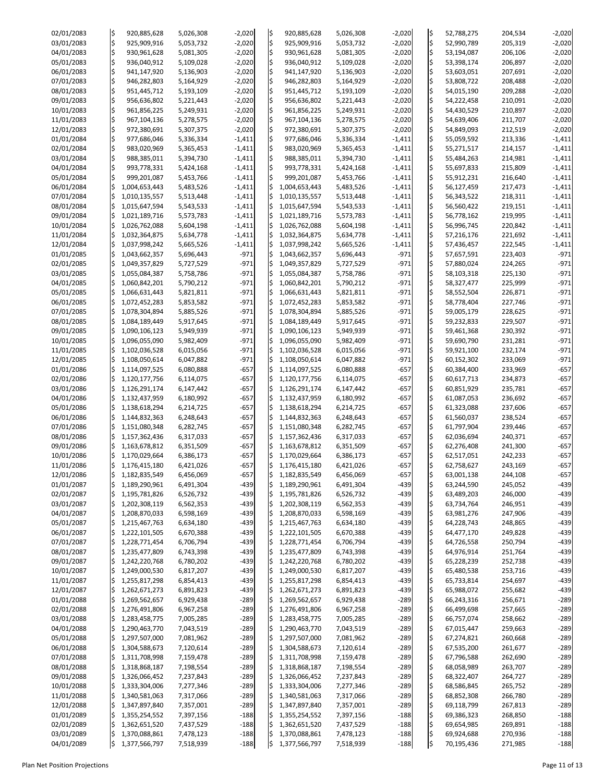| 02/01/2083               | l\$     | 920,885,628                    | 5,026,308              | $-2,020$             | l\$        | 920,885,628                    | 5,026,308              | $-2,020$             | ļ\$                           | 52,788,275               | 204,534            | $-2,020$             |
|--------------------------|---------|--------------------------------|------------------------|----------------------|------------|--------------------------------|------------------------|----------------------|-------------------------------|--------------------------|--------------------|----------------------|
| 03/01/2083               | l\$     | 925,909,916                    | 5,053,732              | $-2,020$             | ļ\$        | 925,909,916                    | 5,053,732              | $-2,020$             | l\$                           | 52,990,789               | 205,319            | $-2,020$             |
| 04/01/2083               | l\$     | 930,961,628                    | 5,081,305              | $-2,020$             | l\$        | 930,961,628                    | 5,081,305              | $-2,020$             | l\$                           | 53,194,087               | 206,106            | $-2,020$             |
| 05/01/2083               | l\$     | 936,040,912                    | 5,109,028              | $-2,020$             | ļ\$        | 936,040,912                    | 5,109,028              | $-2,020$             | \$                            | 53,398,174               | 206,897            | $-2,020$             |
| 06/01/2083               |         | 941,147,920                    | 5,136,903              | $-2,020$             | l\$        | 941,147,920                    | 5,136,903              | $-2,020$             | l\$                           | 53,603,051               | 207,691            | $-2,020$             |
| 07/01/2083               | l\$     | 946,282,803                    | 5,164,929              | $-2,020$             | l\$        | 946,282,803                    | 5,164,929              | $-2,020$             | l\$                           | 53,808,722               | 208,488            | $-2,020$             |
| 08/01/2083               | l\$     | 951,445,712                    | 5,193,109              | $-2,020$             | l\$        | 951,445,712                    | 5,193,109              | $-2,020$             | l\$                           | 54,015,190               | 209,288            | $-2,020$             |
| 09/01/2083               | l\$     | 956,636,802                    | 5,221,443              | $-2,020$             | l\$        | 956,636,802                    | 5,221,443              | $-2,020$             | ļ\$                           | 54,222,458               | 210,091            | $-2,020$             |
| 10/01/2083               | l\$     | 961,856,225                    | 5,249,931              | $-2,020$             | ļ\$        | 961,856,225                    | 5,249,931              | $-2,020$             | ¦\$                           | 54,430,529               | 210,897            | $-2,020$             |
| 11/01/2083               | l\$     | 967,104,136                    | 5,278,575              | $-2,020$             | ļ\$        | 967,104,136                    | 5,278,575              | $-2,020$             | l\$                           | 54,639,406               | 211,707            | $-2,020$             |
| 12/01/2083               | l\$     | 972,380,691                    | 5,307,375              | $-2,020$             | l\$        | 972,380,691                    | 5,307,375              | $-2,020$             | ļ\$                           | 54,849,093               | 212,519            | $-2,020$             |
| 01/01/2084               | l\$     | 977,686,046                    | 5,336,334              | $-1,411$             | l\$        | 977,686,046                    | 5,336,334              | $-1,411$             | l\$                           | 55,059,592               | 213,336            | $-1,411$             |
| 02/01/2084               | l\$     | 983,020,969                    | 5,365,453              | $-1,411$             | ļ\$        | 983,020,969                    | 5,365,453              | $-1,411$             | l\$                           | 55,271,517               | 214,157            | $-1,411$             |
| 03/01/2084               | l\$     | 988,385,011                    | 5,394,730              | $-1,411$             | l\$        | 988,385,011                    | 5,394,730              | $-1,411$             | ļ\$                           | 55,484,263               | 214,981            | $-1,411$             |
| 04/01/2084               | l\$     | 993,778,331                    | 5,424,168              | $-1,411$             | l\$        | 993,778,331                    | 5,424,168              | $-1,411$             | l\$                           | 55,697,833               | 215,809            | $-1,411$             |
| 05/01/2084               |         | 999,201,087                    | 5,453,766              | $-1,411$             | l\$        | 999,201,087                    | 5,453,766              | $-1,411$             | l\$                           | 55,912,231               | 216,640            | $-1,411$             |
| 06/01/2084<br>07/01/2084 |         | 1,004,653,443<br>1,010,135,557 | 5,483,526<br>5,513,448 | $-1,411$<br>$-1,411$ | l\$<br>l\$ | 1,004,653,443<br>1,010,135,557 | 5,483,526<br>5,513,448 | $-1,411$<br>$-1,411$ | $\overline{\varsigma}$<br>l\$ | 56,127,459<br>56,343,522 | 217,473<br>218,311 | $-1,411$<br>$-1,411$ |
| 08/01/2084               | \$      | 1,015,647,594                  | 5,543,533              | $-1,411$             | I\$        | 1,015,647,594                  | 5,543,533              | $-1,411$             | l\$                           | 56,560,422               | 219,151            | $-1,411$             |
| 09/01/2084               |         | 1,021,189,716                  | 5,573,783              | $-1,411$             |            | 1,021,189,716                  | 5,573,783              | $-1,411$             | l\$                           | 56,778,162               | 219,995            | $-1,411$             |
| 10/01/2084               | \$      | 1,026,762,088                  | 5,604,198              | $-1,411$             | l\$        | 1,026,762,088                  | 5,604,198              | $-1,411$             | l\$                           | 56,996,745               | 220,842            | $-1,411$             |
| 11/01/2084               |         | 1,032,364,875                  | 5,634,778              | $-1,411$             | l\$        | 1,032,364,875                  | 5,634,778              | $-1,411$             | l\$                           | 57,216,176               | 221,692            | $-1,411$             |
| 12/01/2084               |         | 1,037,998,242                  | 5,665,526              | $-1,411$             | l\$        | 1,037,998,242                  | 5,665,526              | $-1,411$             | l\$                           | 57,436,457               | 222,545            | $-1,411$             |
| 01/01/2085               | \$      | 1,043,662,357                  | 5,696,443              | $-971$               | I\$        | 1,043,662,357                  | 5,696,443              | $-971$               | l\$                           | 57,657,591               | 223,403            | $-971$               |
| 02/01/2085               | \$.     | 1,049,357,829                  | 5,727,529              | $-971$               | l\$        | 1,049,357,829                  | 5,727,529              | $-971$               | ļ\$                           | 57,880,024               | 224,265            | $-971$               |
| 03/01/2085               | \$      | 1,055,084,387                  | 5,758,786              | $-971$               | l\$        | 1,055,084,387                  | 5,758,786              | $-971$               | l\$                           | 58,103,318               | 225,130            | $-971$               |
| 04/01/2085               |         | 1,060,842,201                  | 5,790,212              | $-971$               | l\$        | 1,060,842,201                  | 5,790,212              | $-971$               | $\varsigma$                   | 58,327,477               | 225,999            | $-971$               |
| 05/01/2085               |         | 1,066,631,443                  | 5,821,811              | $-971$               | l\$        | 1,066,631,443                  | 5,821,811              | $-971$               | l\$                           | 58,552,504               | 226,871            | $-971$               |
| 06/01/2085               | \$.     | 1,072,452,283                  | 5,853,582              | $-971$               | l\$        | 1,072,452,283                  | 5,853,582              | $-971$               | l\$                           | 58,778,404               | 227,746            | $-971$               |
| 07/01/2085               |         | 1,078,304,894                  | 5,885,526              | $-971$               | l\$        | 1,078,304,894                  | 5,885,526              | $-971$               | l\$                           | 59,005,179               | 228,625            | $-971$               |
| 08/01/2085               | \$      | 1,084,189,449                  | 5,917,645              | $-971$               | l\$        | 1,084,189,449                  | 5,917,645              | $-971$               | $\mathsf{\hat{S}}$            | 59,232,833               | 229,507            | $-971$               |
| 09/01/2085               | IS      | 1,090,106,123                  | 5,949,939              | $-971$               | IS         | 1,090,106,123                  | 5,949,939              | $-971$               | l\$                           | 59,461,368               | 230,392            | $-971$               |
| 10/01/2085               | \$,     | 1,096,055,090                  | 5,982,409              | $-971$               | I\$        | 1,096,055,090                  | 5,982,409              | $-971$               | l\$                           | 59,690,790               | 231,281            | $-971$               |
| 11/01/2085               | \$.     | 1,102,036,528                  | 6,015,056              | $-971$               | I\$        | 1,102,036,528                  | 6,015,056              | $-971$               | ¦\$                           | 59,921,100               | 232,174            | $-971$               |
| 12/01/2085               |         | 1,108,050,614                  | 6,047,882              | $-971$               | l\$        | 1,108,050,614                  | 6,047,882              | $-971$               | l\$                           | 60,152,302               | 233,069            | $-971$               |
| 01/01/2086               |         | 1,114,097,525                  | 6,080,888              | $-657$               |            | 1,114,097,525                  | 6,080,888              | $-657$               |                               | 60,384,400               | 233,969            | $-657$               |
| 02/01/2086               |         | 1,120,177,756                  | 6,114,075              | $-657$               | I\$        | 1,120,177,756                  | 6,114,075              | $-657$               | l\$                           | 60,617,713               | 234,873            | $-657$               |
| 03/01/2086               |         | 1,126,291,174                  | 6,147,442              | $-657$               | I\$        | 1,126,291,174                  | 6,147,442              | $-657$               | \$                            | 60,851,929               | 235,781            | $-657$               |
| 04/01/2086               |         | 1,132,437,959                  | 6,180,992              | $-657$               | l\$        | 1,132,437,959                  | 6,180,992              | $-657$               | l\$                           | 61,087,053               | 236,692            | $-657$               |
| 05/01/2086               |         | 1,138,618,294                  | 6,214,725              | $-657$               | I\$        | 1,138,618,294                  | 6,214,725              | $-657$               | l\$                           | 61,323,088               | 237,606            | $-657$               |
| 06/01/2086               |         | 1,144,832,363                  | 6,248,643              | $-657$               |            | 1,144,832,363                  | 6,248,643              | $-657$               |                               | 61,560,037               | 238,524            | $-657$<br>$-657$     |
| 07/01/2086<br>08/01/2086 |         | 1,151,080,348<br>1,157,362,436 | 6,282,745<br>6,317,033 | $-657$<br>$-657$     | I\$<br>I\$ | 1,151,080,348<br>1,157,362,436 | 6,282,745<br>6,317,033 | $-657$<br>$-657$     | l\$<br> \$                    | 61,797,904<br>62,036,694 | 239,446<br>240,371 | $-657$               |
| 09/01/2086               |         | 1,163,678,812                  | 6,351,509              | $-657$               | I\$        | 1,163,678,812                  | 6,351,509              | $-657$               | l\$                           | 62,276,408               | 241,300            | $-657$               |
| 10/01/2086               | \$.     | 1,170,029,664                  | 6,386,173              | $-657$               | I\$        | 1,170,029,664                  | 6,386,173              | $-657$               | l\$                           | 62,517,051               | 242,233            | $-657$               |
| 11/01/2086               |         | 1,176,415,180                  | 6,421,026              | $-657$               |            | 1,176,415,180                  | 6,421,026              | $-657$               | ¦\$                           | 62,758,627               | 243,169            | $-657$               |
| 12/01/2086               |         | 1,182,835,549                  | 6,456,069              | $-657$               | l\$        | 1,182,835,549                  | 6,456,069              | $-657$               |                               | 63,001,138               | 244,108            | $-657$               |
| 01/01/2087               |         | 1,189,290,961                  | 6,491,304              | $-439$               | I\$        | 1,189,290,961                  | 6,491,304              | $-439$               | l\$                           | 63,244,590               | 245,052            | $-439$               |
| 02/01/2087               |         | 1,195,781,826                  | 6,526,732              | $-439$               |            | 1,195,781,826                  | 6,526,732              | $-439$               | l\$                           | 63,489,203               | 246,000            | $-439$               |
| 03/01/2087               | \$.     | 1,202,308,119                  | 6,562,353              | $-439$               | I\$        | 1,202,308,119                  | 6,562,353              | $-439$               | l\$                           | 63,734,764               | 246,951            | $-439$               |
| 04/01/2087               |         | 1,208,870,033                  | 6,598,169              | $-439$               | l\$        | 1,208,870,033                  | 6,598,169              | $-439$               | ¦\$                           | 63,981,276               | 247,906            | $-439$               |
| 05/01/2087               |         | 1,215,467,763                  | 6,634,180              | $-439$               | l\$        | 1,215,467,763                  | 6,634,180              | $-439$               |                               | 64,228,743               | 248,865            | $-439$               |
| 06/01/2087               |         | 1,222,101,505                  | 6,670,388              | $-439$               | l\$        | 1,222,101,505                  | 6,670,388              | $-439$               | l\$                           | 64,477,170               | 249,828            | $-439$               |
| 07/01/2087               |         | 1,228,771,454                  | 6,706,794              | $-439$               |            | 1,228,771,454                  | 6,706,794              | $-439$               | l\$                           | 64,726,558               | 250,794            | $-439$               |
| 08/01/2087               |         | 1,235,477,809                  | 6,743,398              | $-439$               | l\$        | 1,235,477,809                  | 6,743,398              | $-439$               | l\$                           | 64,976,914               | 251,764            | $-439$               |
| 09/01/2087               |         | 1,242,220,768                  | 6,780,202              | $-439$               | l\$        | 1,242,220,768                  | 6,780,202              | $-439$               | l\$                           | 65,228,239               | 252,738            | $-439$               |
| 10/01/2087               |         | 1,249,000,530                  | 6,817,207              | $-439$               |            | 1,249,000,530                  | 6,817,207              | $-439$               |                               | 65,480,538               | 253,716            | $-439$               |
| 11/01/2087               | \$      | 1,255,817,298                  | 6,854,413              | $-439$               | l\$        | 1,255,817,298                  | 6,854,413              | $-439$               | l\$                           | 65,733,814               | 254,697            | $-439$               |
| 12/01/2087               |         | 1,262,671,273                  | 6,891,823              | $-439$               |            | 1,262,671,273                  | 6,891,823              | $-439$               | l\$                           | 65,988,072               | 255,682            | $-439$               |
| 01/01/2088               | \$      | 1,269,562,657                  | 6,929,438              | $-289$               | l\$        | 1,269,562,657                  | 6,929,438              | $-289$               | l\$                           | 66,243,316               | 256,671            | $-289$               |
| 02/01/2088               |         | 1,276,491,806                  | 6,967,258              | $-289$               | l\$        | 1,276,491,806                  | 6,967,258              | $-289$               | l\$                           | 66,499,698               | 257,665            | $-289$               |
| 03/01/2088               |         | 1,283,458,775                  | 7,005,285              | $-289$               |            | 1,283,458,775                  | 7,005,285              | $-289$               |                               | 66,757,074               | 258,662            | $-289$               |
| 04/01/2088               | \$      | 1,290,463,770                  | 7,043,519              | $-289$               | IŚ         | 1,290,463,770                  | 7,043,519              | $-289$               | $\mathsf{\hat{S}}$            | 67,015,447               | 259,663            | $-289$               |
| 05/01/2088               |         | 1,297,507,000                  | 7,081,962              | $-289$               | I\$        | 1,297,507,000                  | 7,081,962              | $-289$               |                               | 67,274,821               | 260,668            | $-289$               |
| 06/01/2088               |         | 1,304,588,673<br>1,311,708,998 | 7,120,614              | $-289$               | l\$        | 1,304,588,673                  | 7,120,614              | $-289$               |                               | 67,535,200<br>67,796,588 | 261,677            | $-289$               |
| 07/01/2088<br>08/01/2088 | Ş<br>IŞ | 1,318,868,187                  | 7,159,478<br>7,198,554 | $-289$<br>$-289$     |            | 1,311,708,998<br>1,318,868,187 | 7,159,478<br>7,198,554 | $-289$<br>$-289$     |                               | 68,058,989               | 262,690<br>263,707 | $-289$<br>$-289$     |
| 09/01/2088               |         | 1,326,066,452                  | 7,237,843              | $-289$               |            | 1,326,066,452                  | 7,237,843              | $-289$               |                               | 68,322,407               | 264,727            | $-289$               |
| 10/01/2088               |         | 1,333,304,006                  | 7,277,346              | $-289$               |            | 1,333,304,006                  | 7,277,346              | $-289$               |                               | 68,586,845               | 265,752            | $-289$               |
| 11/01/2088               |         | 1,340,581,063                  | 7,317,066              | $-289$               |            | 1,340,581,063                  | 7,317,066              | $-289$               |                               | 68,852,308               | 266,780            | $-289$               |
| 12/01/2088               |         | 1,347,897,840                  | 7,357,001              | $-289$               |            | 1,347,897,840                  | 7,357,001              | $-289$               |                               | 69,118,799               | 267,813            | $-289$               |
| 01/01/2089               | IŞ.     | 1,355,254,552                  | 7,397,156              | $-188$               |            | 1,355,254,552                  | 7,397,156              | $-188$               |                               | 69,386,323               | 268,850            | $-188$               |
| 02/01/2089               | \$.     | 1,362,651,520                  | 7,437,529              | $-188$               | IŞ         | 1,362,651,520                  | 7,437,529              | $-188$               |                               | 69,654,985               | 269,891            | $-188$               |
| 03/01/2089               |         | 1,370,088,861                  | 7,478,123              | $-188$               | IŞ         | 1,370,088,861                  | 7,478,123              | $-188$               | \$                            | 69,924,688               | 270,936            | $-188$               |
| 04/01/2089               | I\$     | 1,377,566,797                  | 7,518,939              | $-188$               | l\$        | 1,377,566,797                  | 7,518,939              | $-188$               | l\$                           | 70,195,436               | 271,985            | $-188$               |

Plan Net Position Projections **Page 11 of 13** Page 11 of 13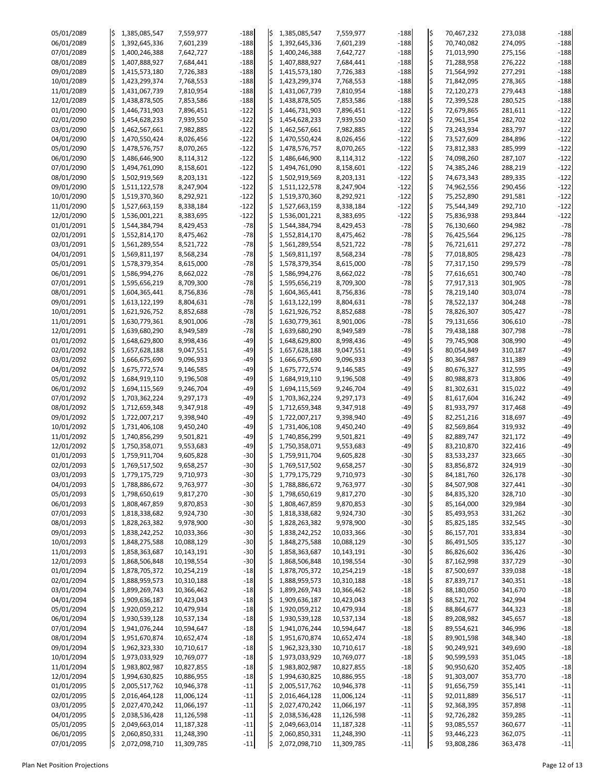| 05/01/2089               | l\$       | 1,385,085,547                  | 7,559,977                | $-188$           | IS  | 1,385,085,547                  | 7,559,977                | $-188$           | ļ\$        | 70,467,232               | 273,038            | $-188$           |
|--------------------------|-----------|--------------------------------|--------------------------|------------------|-----|--------------------------------|--------------------------|------------------|------------|--------------------------|--------------------|------------------|
| 06/01/2089               | $\zeta$   | 1,392,645,336                  | 7,601,239                | $-188$           |     | 1,392,645,336                  | 7,601,239                | $-188$           | l\$        | 70,740,082               | 274,095            | $-188$           |
| 07/01/2089               | l\$       | 1,400,246,388                  | 7,642,727                | $-188$           | I\$ | 1,400,246,388                  | 7,642,727                | $-188$           | l\$        | 71,013,990               | 275,156            | $-188$           |
| 08/01/2089               | \$        | 1,407,888,927                  | 7,684,441                | $-188$           |     | 1,407,888,927                  | 7,684,441                | $-188$           | l\$        | 71,288,958               | 276,222            | $-188$           |
| 09/01/2089               | l\$       | 1,415,573,180                  | 7,726,383                | $-188$           |     | 1,415,573,180                  | 7,726,383                | $-188$           | ļ\$        | 71,564,992               | 277,291            | $-188$           |
| 10/01/2089               | l\$       | 1,423,299,374                  | 7,768,553                | $-188$           |     | 1,423,299,374                  | 7,768,553                | $-188$           | l\$        | 71,842,095               | 278,365            | $-188$           |
| 11/01/2089               | \$        | 1,431,067,739                  | 7,810,954                | $-188$           |     | 1,431,067,739                  | 7,810,954                | $-188$           | l\$        | 72,120,273               | 279,443            | $-188$           |
| 12/01/2089               | l\$       | 1,438,878,505                  | 7,853,586                | $-188$           |     | 1,438,878,505                  | 7,853,586                | $-188$           | l\$        | 72,399,528               | 280,525            | $-188$           |
| 01/01/2090               |           | 1,446,731,903                  | 7,896,451                | $-122$           |     | 1,446,731,903                  | 7,896,451                | $-122$           | l\$        | 72,679,865               | 281,611            | $-122$           |
| 02/01/2090               |           | 1,454,628,233                  | 7,939,550                | $-122$           |     | 1,454,628,233                  | 7,939,550                | $-122$           | l\$        | 72,961,354               | 282,702            | $-122$           |
| 03/01/2090               | l\$       | 1,462,567,661                  | 7,982,885                | $-122$           |     | 1,462,567,661                  | 7,982,885                | $-122$           | l\$        | 73,243,934               | 283,797            | $-122$           |
| 04/01/2090               | \$        | 1,470,550,424                  | 8,026,456                | $-122$           |     | 1,470,550,424                  | 8,026,456                | $-122$           | l\$        | 73,527,609               | 284,896            | $-122$           |
| 05/01/2090               | l\$       | 1,478,576,757                  | 8,070,265                | $-122$           |     | 1,478,576,757                  | 8,070,265                | $-122$           | l\$        | 73,812,383               | 285,999            | $-122$           |
| 06/01/2090               |           | 1,486,646,900                  | 8,114,312                | $-122$           |     | 1,486,646,900                  | 8,114,312                | $-122$           | ļ\$        | 74,098,260               | 287,107            | $-122$           |
| 07/01/2090               |           | 1,494,761,090                  | 8,158,601                | $-122$           |     | 1,494,761,090                  | 8,158,601                | $-122$           | ļ\$        | 74,385,246               | 288,219            | $-122$           |
| 08/01/2090               | l\$       | 1,502,919,569                  | 8,203,131                | $-122$           |     | 1,502,919,569                  | 8,203,131                | $-122$           | ļ\$<br>l\$ | 74,673,343               | 289,335            | $-122$           |
| 09/01/2090<br>10/01/2090 | \$<br>l\$ | 1,511,122,578<br>1,519,370,360 | 8,247,904<br>8,292,921   | $-122$<br>$-122$ |     | 1,511,122,578<br>1,519,370,360 | 8,247,904<br>8,292,921   | $-122$<br>$-122$ | l\$        | 74,962,556<br>75,252,890 | 290,456<br>291,581 | $-122$<br>$-122$ |
| 11/01/2090               | \$        | 1,527,663,159                  | 8,338,184                | $-122$           |     | 1,527,663,159                  | 8,338,184                | $-122$           | ļ\$        | 75,544,349               | 292,710            | $-122$           |
| 12/01/2090               | \$        | 1,536,001,221                  | 8,383,695                | $-122$           |     | 1,536,001,221                  | 8,383,695                | $-122$           | l\$        | 75,836,938               | 293,844            | $-122$           |
| 01/01/2091               | l\$       | 1,544,384,794                  | 8,429,453                | $-78$            | l\$ | 1,544,384,794                  | 8,429,453                | $-78$            | l\$        | 76,130,660               | 294,982            | $-78$            |
| 02/01/2091               | \$        | 1,552,814,170                  | 8,475,462                | $-78$            |     | 1,552,814,170                  | 8,475,462                | $-78$            | ļ\$        | 76,425,564               | 296,125            | $-78$            |
| 03/01/2091               | \$        | 1,561,289,554                  | 8,521,722                | $-78$            |     | 1,561,289,554                  | 8,521,722                | $-78$            | l\$        | 76,721,611               | 297,272            | $-78$            |
| 04/01/2091               | $\zeta$   | 1,569,811,197                  | 8,568,234                | $-78$            |     | 1,569,811,197                  | 8,568,234                | $-78$            | l\$        | 77,018,805               | 298,423            | $-78$            |
| 05/01/2091               | \$        | 1,578,379,354                  | 8,615,000                | $-78$            |     | 1,578,379,354                  | 8,615,000                | $-78$            | ļ\$        | 77,317,150               | 299,579            | $-78$            |
| 06/01/2091               | l\$       | 1,586,994,276                  | 8,662,022                | $-78$            |     | 1,586,994,276                  | 8,662,022                | $-78$            | l\$        | 77,616,651               | 300,740            | $-78$            |
| 07/01/2091               | l\$       | 1,595,656,219                  | 8,709,300                | $-78$            |     | 1,595,656,219                  | 8,709,300                | $-78$            | ļ\$        | 77,917,313               | 301,905            | $-78$            |
| 08/01/2091               | \$        | 1,604,365,441                  | 8,756,836                | $-78$            |     | 1,604,365,441                  | 8,756,836                | $-78$            | ļ\$        | 78,219,140               | 303,074            | $-78$            |
| 09/01/2091               | l\$       | 1,613,122,199                  | 8,804,631                | $-78$            | I\$ | 1,613,122,199                  | 8,804,631                | $-78$            | l\$        | 78,522,137               | 304,248            | $-78$            |
| 10/01/2091               |           | 1,621,926,752                  | 8,852,688                | $-78$            |     | 1,621,926,752                  | 8,852,688                | $-78$            | l\$        | 78,826,307               | 305,427            | $-78$            |
| 11/01/2091               | \$        | 1,630,779,361                  | 8,901,006                | $-78$            |     | 1,630,779,361                  | 8,901,006                | $-78$            | ¦\$        | 79,131,656               | 306,610            | $-78$            |
| 12/01/2091               |           | 1,639,680,290                  | 8,949,589                | $-78$            | IŞ  | 1,639,680,290                  | 8,949,589                | $-78$            | I\$        | 79,438,188               | 307,798            | $-78$            |
| 01/01/2092               |           | 1,648,629,800                  | 8,998,436                | $-49$            |     | 1,648,629,800                  | 8,998,436                | $-49$            | ļ\$        | 79,745,908               | 308,990            | $-49$            |
| 02/01/2092               | l\$       | 1,657,628,188                  | 9,047,551                | $-49$            |     | 1,657,628,188                  | 9,047,551                | $-49$            | l\$        | 80,054,849               | 310,187            | $-49$            |
| 03/01/2092               |           | 1,666,675,690                  | 9,096,933                | $-49$            |     | 1,666,675,690                  | 9,096,933                | $-49$            | ļ\$        | 80,364,987               | 311,389            | $-49$            |
| 04/01/2092               |           | 1,675,772,574                  | 9,146,585                | $-49$            |     | 1,675,772,574                  | 9,146,585                | $-49$            | l\$        | 80,676,327               | 312,595            | $-49$            |
| 05/01/2092               |           | 1,684,919,110                  | 9,196,508                | $-49$            |     | 1,684,919,110                  | 9,196,508                | $-49$            | l\$        | 80,988,873               | 313,806            | $-49$            |
| 06/01/2092               |           | 1,694,115,569                  | 9,246,704                | $-49$            |     | 1,694,115,569                  | 9,246,704                | $-49$            | l\$        | 81,302,631               | 315,022            | $-49$            |
| 07/01/2092               |           | 1,703,362,224                  | 9,297,173                | $-49$            |     | 1,703,362,224                  | 9,297,173                | $-49$            | l\$        | 81,617,604               | 316,242            | $-49$            |
| 08/01/2092               |           | 1,712,659,348                  | 9,347,918                | $-49$            |     | 1,712,659,348                  | 9,347,918                | $-49$            | l\$        | 81,933,797               | 317,468            | $-49$            |
| 09/01/2092               |           | 1,722,007,217                  | 9,398,940                | $-49$            |     | 1,722,007,217                  | 9,398,940                | $-49$            | l\$        | 82,251,216               | 318,697            | $-49$            |
| 10/01/2092               |           | 1,731,406,108                  | 9,450,240                | $-49$            |     | 1,731,406,108                  | 9,450,240                | $-49$            | l\$        | 82,569,864               | 319,932            | $-49$            |
| 11/01/2092<br>12/01/2092 |           | 1,740,856,299                  | 9,501,821                | $-49$            |     | 1,740,856,299                  | 9,501,821                | $-49$<br>$-49$   | ļ\$        | 82,889,747               | 321,172            | $-49$<br>$-49$   |
| 01/01/2093               |           | 1,750,358,071<br>1,759,911,704 | 9,553,683<br>9,605,828   | $-49$<br>$-30$   |     | 1,750,358,071<br>1,759,911,704 | 9,553,683<br>9,605,828   | $-30$            | l\$<br>l\$ | 83,210,870<br>83,533,237 | 322,416<br>323,665 | $-30$            |
| 02/01/2093               |           | 1,769,517,502                  | 9,658,257                | $-30$            |     | 1,769,517,502                  | 9,658,257                | $-30$            | l\$        | 83,856,872               | 324,919            | $-30$            |
| 03/01/2093               |           | 1,779,175,729                  | 9,710,973                | $-30$            |     | 1,779,175,729                  | 9,710,973                | $-30$            |            | 84,181,760               | 326,178            | $-30$            |
| 04/01/2093               |           | 1,788,886,672                  | 9,763,977                | $-30$            |     | 1,788,886,672                  | 9,763,977                | $-30$            | ļ\$        | 84,507,908               | 327,441            | $-30$            |
| 05/01/2093               |           | 1,798,650,619                  | 9,817,270                | $-30$            |     | 1,798,650,619                  | 9,817,270                | $-30$            | l\$        | 84,835,320               | 328,710            | $-30$            |
| 06/01/2093               | l\$       | 1,808,467,859                  | 9,870,853                | $-30$            |     | 1,808,467,859                  | 9,870,853                | $-30$            | l\$        | 85,164,000               | 329,984            | $-30$            |
| 07/01/2093               |           | 1,818,338,682                  | 9,924,730                | $-30$            |     | 1,818,338,682                  | 9,924,730                | $-30$            | ļ\$        | 85,493,953               | 331,262            | $-30$            |
| 08/01/2093               |           | 1,828,263,382                  | 9,978,900                | $-30$            |     | 1,828,263,382                  | 9,978,900                | $-30$            | l\$        | 85,825,185               | 332,545            | $-30$            |
| 09/01/2093               |           | 1,838,242,252                  | 10,033,366               | $-30$            |     | 1,838,242,252                  | 10,033,366               | $-30$            | l\$        | 86,157,701               | 333,834            | $-30$            |
| 10/01/2093               |           | 1,848,275,588                  | 10,088,129               | $-30$            |     | 1,848,275,588                  | 10,088,129               | $-30$            | ļ\$        | 86,491,505               | 335,127            | $-30$            |
| 11/01/2093               |           | 1,858,363,687                  | 10,143,191               | $-30$            |     | 1,858,363,687                  | 10,143,191               | $-30$            | l\$        | 86,826,602               | 336,426            | $-30$            |
| 12/01/2093               |           | 1,868,506,848                  | 10,198,554               | $-30$            |     | 1,868,506,848                  | 10,198,554               | $-30$            | ļ\$        | 87,162,998               | 337,729            | $-30$            |
| 01/01/2094               |           | 1,878,705,372                  | 10,254,219               | $-18$            |     | 1,878,705,372                  | 10,254,219               | $-18$            | l\$        | 87,500,697               | 339,038            | $-18$            |
| 02/01/2094               |           | 1,888,959,573                  | 10,310,188               | $-18$            |     | 1,888,959,573                  | 10,310,188               | $-18$            | ļ\$        | 87,839,717               | 340,351            | $-18$            |
| 03/01/2094               |           | 1,899,269,743                  | 10,366,462               | $-18$            |     | 1,899,269,743                  | 10,366,462               | $-18$            | l\$        | 88,180,050               | 341,670            | $-18$            |
| 04/01/2094               |           | 1,909,636,187                  | 10,423,043               | $-18$            |     | 1,909,636,187                  | 10,423,043               | $-18$            |            | 88,521,702               | 342,994            | $-18$            |
| 05/01/2094               |           | 1,920,059,212                  | 10,479,934               | $-18$            |     | 1,920,059,212                  | 10,479,934               | $-18$            | l\$        | 88,864,677               | 344,323            | $-18$            |
| 06/01/2094               |           | 1,930,539,128                  | 10,537,134               | $-18$            |     | 1,930,539,128                  | 10,537,134               | $-18$            |            | 89,208,982               | 345,657            | $-18$            |
| 07/01/2094               | I\$       | 1,941,076,244                  | 10,594,647               | $-18$            |     | 1,941,076,244                  | 10,594,647               | $-18$            | l\$        | 89,554,621               | 346,996            | $-18$            |
| 08/01/2094               |           | 1,951,670,874                  | 10,652,474               | $-18$            |     | 1,951,670,874                  | 10,652,474               | $-18$            | ļ\$        | 89,901,598               | 348,340            | $-18$            |
| 09/01/2094               |           | 1,962,323,330                  | 10,710,617               | $-18$            |     | 1,962,323,330                  | 10,710,617               | $-18$            | ļ\$        | 90,249,921               | 349,690            | $-18$            |
| 10/01/2094               |           | 1,973,033,929                  | 10,769,077               | $-18$            |     | 1,973,033,929                  | 10,769,077               | $-18$            |            | 90,599,593               | 351,045            | $-18$            |
| 11/01/2094               |           | 1,983,802,987                  | 10,827,855<br>10,886,955 | $-18$            |     | 1,983,802,987                  | 10,827,855               | $-18$            |            | 90,950,620               | 352,405            | $-18$<br>$-18$   |
| 12/01/2094<br>01/01/2095 |           | 1,994,630,825<br>2,005,517,762 | 10,946,378               | $-18$<br>$-11$   |     | 1,994,630,825<br>2,005,517,762 | 10,886,955<br>10,946,378 | $-18$<br>$-11$   |            | 91,303,007<br>91,656,759 | 353,770<br>355,141 | $-11$            |
| 02/01/2095               |           | 2,016,464,128                  | 11,006,124               | $-11$            |     | 2,016,464,128                  | 11,006,124               | $-11$            |            | 92,011,889               | 356,517            | $-11$            |
| 03/01/2095               |           | 2,027,470,242                  | 11,066,197               | $-11$            |     | 2,027,470,242                  | 11,066,197               | $-11$            |            | 92,368,395               | 357,898            | $-11$            |
| 04/01/2095               |           | 2,038,536,428                  | 11,126,598               | $-11$            |     | 2,038,536,428                  | 11,126,598               | $-11$            | l\$        | 92,726,282               | 359,285            | $-11$            |
| 05/01/2095               |           | 2,049,663,014                  | 11,187,328               | $-11$            |     | 2,049,663,014                  | 11,187,328               | $-11$            |            | 93,085,557               | 360,677            | $-11$            |
| 06/01/2095               |           | 2,060,850,331                  | 11,248,390               | $-11$            |     | 2,060,850,331                  | 11,248,390               | $-11$            | ļ\$        | 93,446,223               | 362,075            | $-11$            |
| 07/01/2095               | l\$       | 2,072,098,710                  | 11,309,785               | $-11$            | IŞ  | 2,072,098,710                  | 11,309,785               | $-11$            | ļ\$        | 93,808,286               | 363,478            | $-11$            |

Plan Net Position Projections **Page 12 of 13** Page 12 of 13